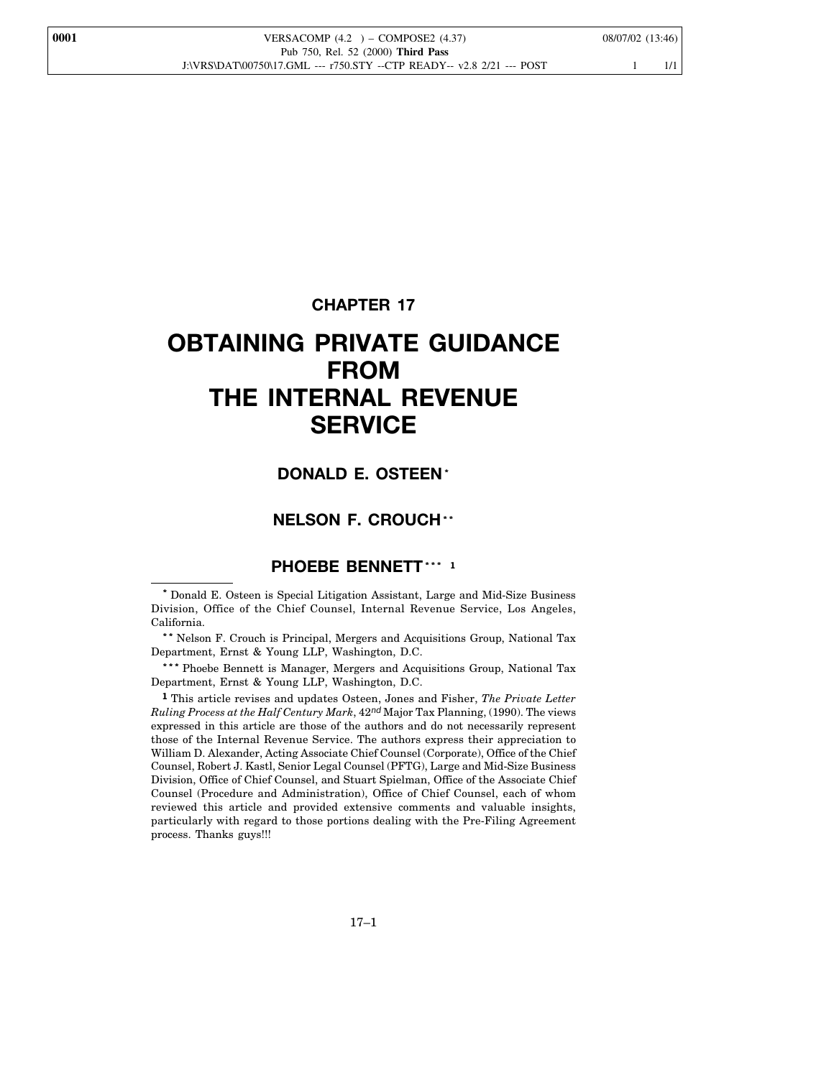**CHAPTER 17**

# **OBTAINING PRIVATE GUIDANCE FROM THE INTERNAL REVENUE SERVICE**

## **DONALD E. OSTEEN\***

## **NELSON F. CROUCH\*\***

## **PHOEBE BENNETT\*\*\* <sup>1</sup>**

**\*\*** Nelson F. Crouch is Principal, Mergers and Acquisitions Group, National Tax Department, Ernst & Young LLP, Washington, D.C.

**\*\*\*** Phoebe Bennett is Manager, Mergers and Acquisitions Group, National Tax Department, Ernst & Young LLP, Washington, D.C.

**1** This article revises and updates Osteen, Jones and Fisher, *The Private Letter Ruling Process at the Half Century Mark*, 42*nd* Major Tax Planning, (1990). The views expressed in this article are those of the authors and do not necessarily represent those of the Internal Revenue Service. The authors express their appreciation to William D. Alexander, Acting Associate Chief Counsel (Corporate), Office of the Chief Counsel, Robert J. Kastl, Senior Legal Counsel (PFTG), Large and Mid-Size Business Division, Office of Chief Counsel, and Stuart Spielman, Office of the Associate Chief Counsel (Procedure and Administration), Office of Chief Counsel, each of whom reviewed this article and provided extensive comments and valuable insights, particularly with regard to those portions dealing with the Pre-Filing Agreement process. Thanks guys!!!

**<sup>\*</sup>** Donald E. Osteen is Special Litigation Assistant, Large and Mid-Size Business Division, Office of the Chief Counsel, Internal Revenue Service, Los Angeles, California.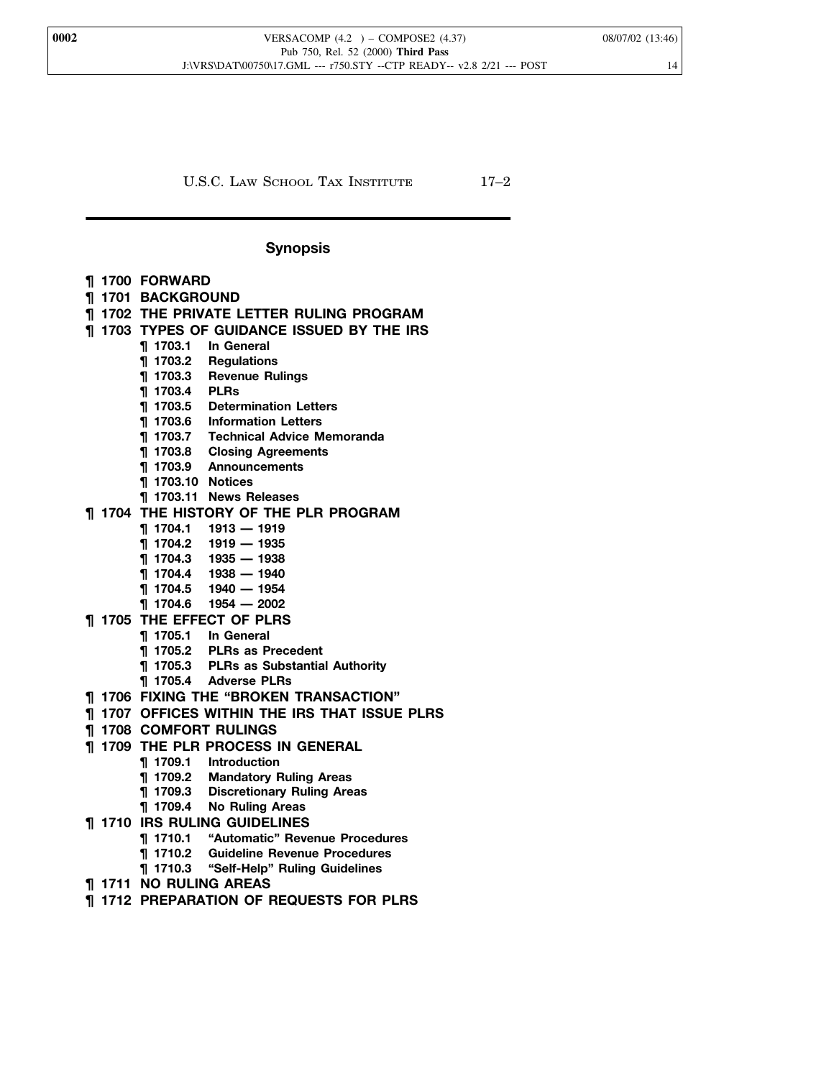U.S.C. LAW SCHOOL TAX INSTITUTE 17-2

## **Synopsis**

- **¶ 1700 FORWARD**
- **¶ 1701 BACKGROUND**

## **¶ 1702 THE PRIVATE LETTER RULING PROGRAM**

- **¶ 1703 TYPES OF GUIDANCE ISSUED BY THE IRS**
	- **¶ 1703.1 In General**
	- **¶ 1703.2 Regulations**
	- **¶ 1703.3 Revenue Rulings**
	- **¶ 1703.4 PLRs**
	- **¶ 1703.5 Determination Letters**
	- **¶ 1703.6 Information Letters**
	- **¶ 1703.7 Technical Advice Memoranda**
	- **¶ 1703.8 Closing Agreements**
	- **¶ 1703.9 Announcements**
	- **¶ 1703.10 Notices**
	- **¶ 1703.11 News Releases**
- **¶ 1704 THE HISTORY OF THE PLR PROGRAM**
	- **¶ 1704.1 1913 1919**
		- **¶ 1704.2 1919 1935**
		- **¶ 1704.3 1935 1938**
		- **¶ 1704.4 1938 1940**
		- **¶ 1704.5 1940 1954**
		- **¶ 1704.6 1954 2002**
- **¶ 1705 THE EFFECT OF PLRS**
	- **¶ 1705.1 In General**
	- **¶ 1705.2 PLRs as Precedent**
	- **¶ 1705.3 PLRs as Substantial Authority**
	- **¶ 1705.4 Adverse PLRs**
- **¶ 1706 FIXING THE "BROKEN TRANSACTION"**
- **¶ 1707 OFFICES WITHIN THE IRS THAT ISSUE PLRS**
- **¶ 1708 COMFORT RULINGS**
- **¶ 1709 THE PLR PROCESS IN GENERAL**
	- **¶ 1709.1 Introduction**
	- **Mandatory Ruling Areas**
	- **¶ 1709.3 Discretionary Ruling Areas**
	- **¶ 1709.4 No Ruling Areas**
- **¶ 1710 IRS RULING GUIDELINES**
	- **¶ 1710.1 "Automatic" Revenue Procedures**
	- **¶ 1710.2 Guideline Revenue Procedures**
	- **¶ 1710.3 "Self-Help" Ruling Guidelines**
- **¶ 1711 NO RULING AREAS**
- **¶ 1712 PREPARATION OF REQUESTS FOR PLRS**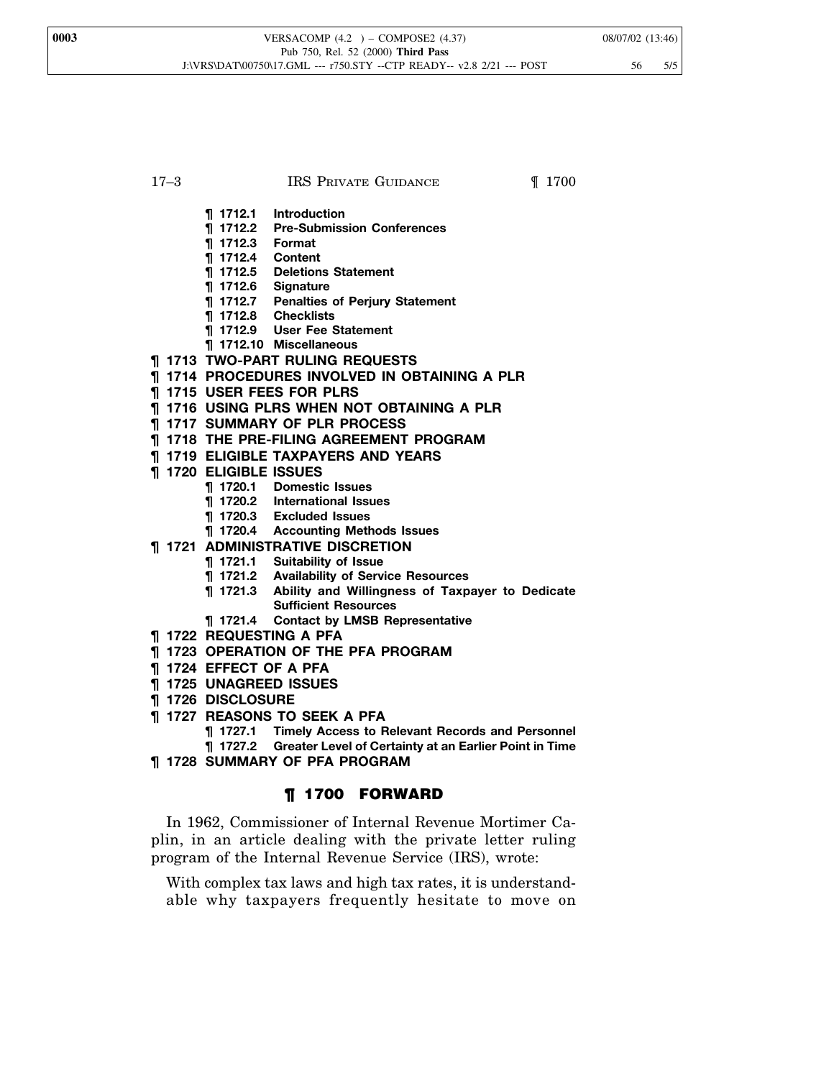#### 17–3 **IRS PRIVATE GUIDANCE I** 1700

- **¶ 1712.1 Introduction**
- **¶ 1712.2 Pre-Submission Conferences**
- **¶ 1712.3 Format**
- **¶ 1712.4 Content**
- **¶ 1712.5 Deletions Statement**
- **¶ 1712.6 Signature**
- **¶ 1712.7 Penalties of Perjury Statement**
- **¶ 1712.8 Checklists**
- **¶ 1712.9 User Fee Statement**
- **¶ 1712.10 Miscellaneous**
- **¶ 1713 TWO-PART RULING REQUESTS**
- **¶ 1714 PROCEDURES INVOLVED IN OBTAINING A PLR**
- **¶ 1715 USER FEES FOR PLRS**
- **¶ 1716 USING PLRS WHEN NOT OBTAINING A PLR**
- **¶ 1717 SUMMARY OF PLR PROCESS**
- **¶ 1718 THE PRE-FILING AGREEMENT PROGRAM**
- **¶ 1719 ELIGIBLE TAXPAYERS AND YEARS**
- **¶ 1720 ELIGIBLE ISSUES**
	- **¶ 1720.1 Domestic Issues**
	- **¶ 1720.2 International Issues**
	- **¶ 1720.3 Excluded Issues**
	- **¶ 1720.4 Accounting Methods Issues**
- **¶ 1721 ADMINISTRATIVE DISCRETION**
	- **¶ 1721.1 Suitability of Issue**
	- **¶ 1721.2 Availability of Service Resources**
	- **¶ 1721.3 Ability and Willingness of Taxpayer to Dedicate Sufficient Resources**
	- **¶ 1721.4 Contact by LMSB Representative**
- **¶ 1722 REQUESTING A PFA**
- **¶ 1723 OPERATION OF THE PFA PROGRAM**
- **¶ 1724 EFFECT OF A PFA**
- **¶ 1725 UNAGREED ISSUES**
- **¶ 1726 DISCLOSURE**
- **¶ 1727 REASONS TO SEEK A PFA**
	- **¶ 1727.1 Timely Access to Relevant Records and Personnel**
	- **¶ 1727.2 Greater Level of Certainty at an Earlier Point in Time**
- **¶ 1728 SUMMARY OF PFA PROGRAM**

## ¶ 1700 FORWARD

In 1962, Commissioner of Internal Revenue Mortimer Caplin, in an article dealing with the private letter ruling program of the Internal Revenue Service (IRS), wrote:

With complex tax laws and high tax rates, it is understandable why taxpayers frequently hesitate to move on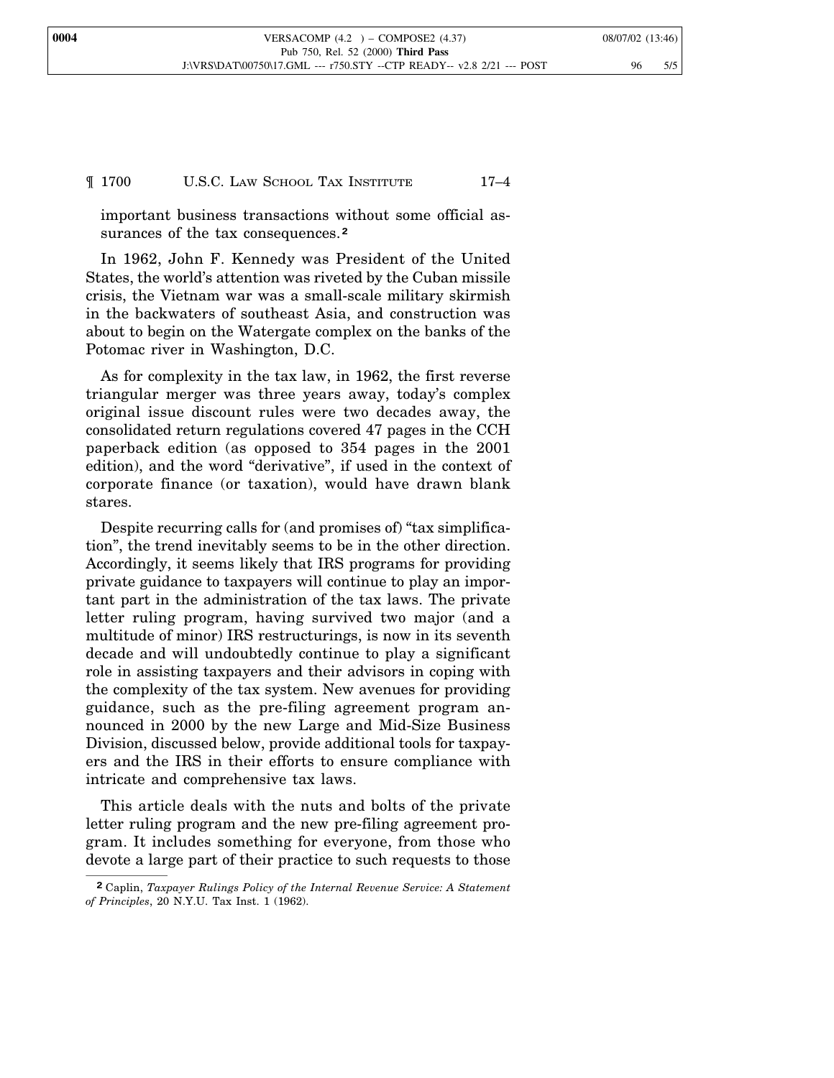#### ¶ 1700 U.S.C. LAW SCHOOL TAX INSTITUTE 17–4

important business transactions without some official assurances of the tax consequences.**<sup>2</sup>**

In 1962, John F. Kennedy was President of the United States, the world's attention was riveted by the Cuban missile crisis, the Vietnam war was a small-scale military skirmish in the backwaters of southeast Asia, and construction was about to begin on the Watergate complex on the banks of the Potomac river in Washington, D.C.

As for complexity in the tax law, in 1962, the first reverse triangular merger was three years away, today's complex original issue discount rules were two decades away, the consolidated return regulations covered 47 pages in the CCH paperback edition (as opposed to 354 pages in the 2001 edition), and the word "derivative", if used in the context of corporate finance (or taxation), would have drawn blank stares.

Despite recurring calls for (and promises of) "tax simplification", the trend inevitably seems to be in the other direction. Accordingly, it seems likely that IRS programs for providing private guidance to taxpayers will continue to play an important part in the administration of the tax laws. The private letter ruling program, having survived two major (and a multitude of minor) IRS restructurings, is now in its seventh decade and will undoubtedly continue to play a significant role in assisting taxpayers and their advisors in coping with the complexity of the tax system. New avenues for providing guidance, such as the pre-filing agreement program announced in 2000 by the new Large and Mid-Size Business Division, discussed below, provide additional tools for taxpayers and the IRS in their efforts to ensure compliance with intricate and comprehensive tax laws.

This article deals with the nuts and bolts of the private letter ruling program and the new pre-filing agreement program. It includes something for everyone, from those who devote a large part of their practice to such requests to those

**<sup>2</sup>** Caplin, *Taxpayer Rulings Policy of the Internal Revenue Service: A Statement of Principles*, 20 N.Y.U. Tax Inst. 1 (1962).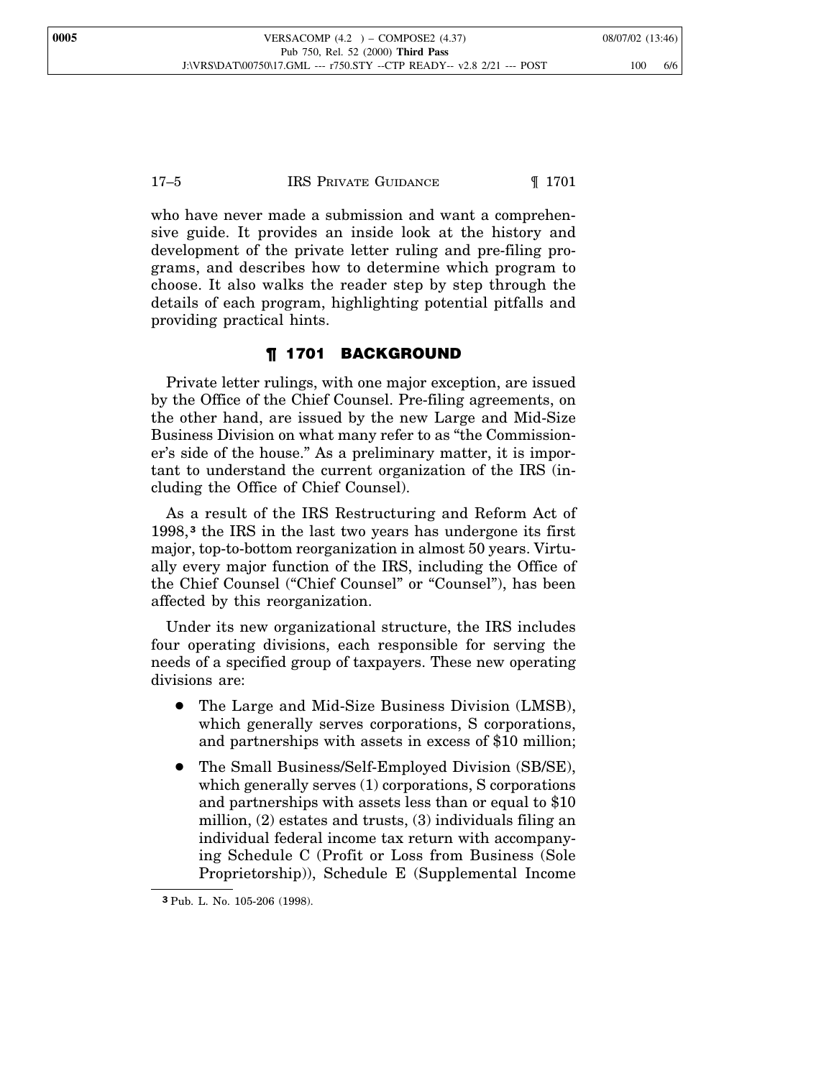who have never made a submission and want a comprehensive guide. It provides an inside look at the history and development of the private letter ruling and pre-filing programs, and describes how to determine which program to choose. It also walks the reader step by step through the details of each program, highlighting potential pitfalls and providing practical hints.

## ¶ 1701 BACKGROUND

Private letter rulings, with one major exception, are issued by the Office of the Chief Counsel. Pre-filing agreements, on the other hand, are issued by the new Large and Mid-Size Business Division on what many refer to as "the Commissioner's side of the house." As a preliminary matter, it is important to understand the current organization of the IRS (including the Office of Chief Counsel).

As a result of the IRS Restructuring and Reform Act of 1998,**<sup>3</sup>** the IRS in the last two years has undergone its first major, top-to-bottom reorganization in almost 50 years. Virtually every major function of the IRS, including the Office of the Chief Counsel ("Chief Counsel" or "Counsel"), has been affected by this reorganization.

Under its new organizational structure, the IRS includes four operating divisions, each responsible for serving the needs of a specified group of taxpayers. These new operating divisions are:

- The Large and Mid-Size Business Division (LMSB), which generally serves corporations, S corporations, and partnerships with assets in excess of \$10 million;
- The Small Business/Self-Employed Division (SB/SE), which generally serves (1) corporations, S corporations and partnerships with assets less than or equal to \$10 million, (2) estates and trusts, (3) individuals filing an individual federal income tax return with accompanying Schedule C (Profit or Loss from Business (Sole Proprietorship)), Schedule E (Supplemental Income

**<sup>3</sup>** Pub. L. No. 105-206 (1998).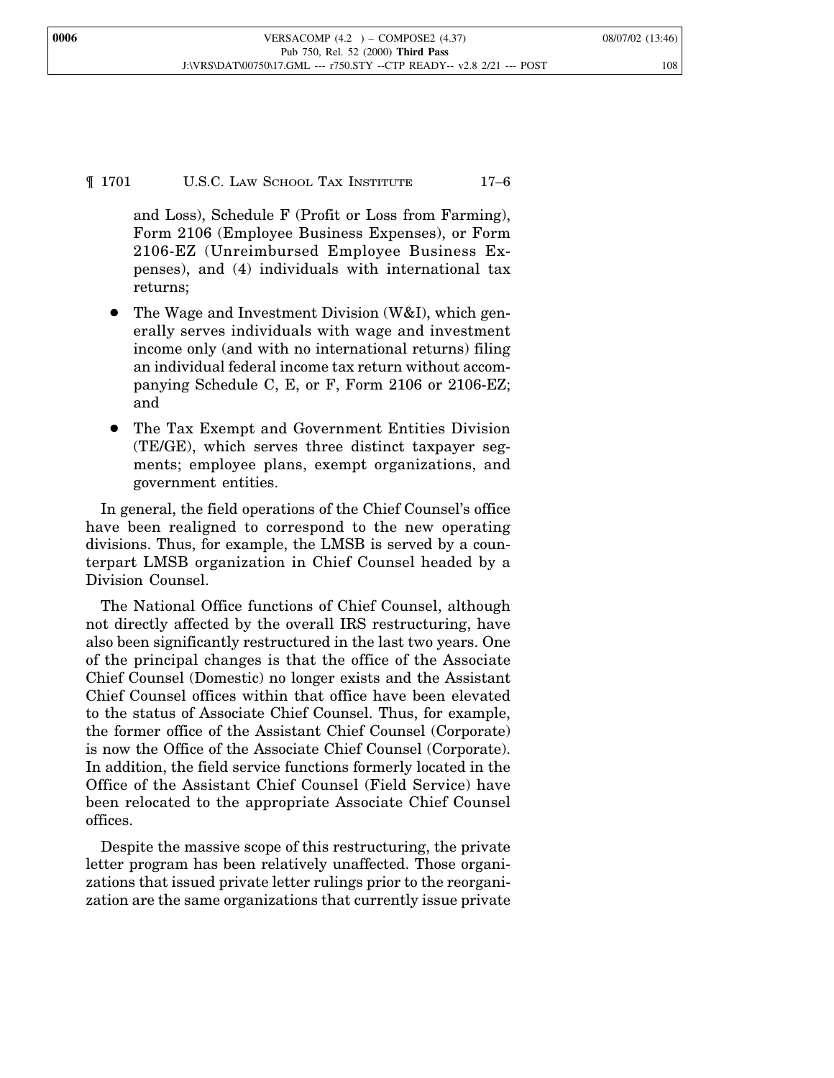¶ 1701 U.S.C. LAW SCHOOL TAX INSTITUTE 17–6

and Loss), Schedule F (Profit or Loss from Farming), Form 2106 (Employee Business Expenses), or Form 2106-EZ (Unreimbursed Employee Business Expenses), and (4) individuals with international tax returns;

- The Wage and Investment Division  $(W&I)$ , which generally serves individuals with wage and investment income only (and with no international returns) filing an individual federal income tax return without accompanying Schedule C, E, or F, Form 2106 or 2106-EZ; and
- The Tax Exempt and Government Entities Division (TE/GE), which serves three distinct taxpayer segments; employee plans, exempt organizations, and government entities.

In general, the field operations of the Chief Counsel's office have been realigned to correspond to the new operating divisions. Thus, for example, the LMSB is served by a counterpart LMSB organization in Chief Counsel headed by a Division Counsel.

The National Office functions of Chief Counsel, although not directly affected by the overall IRS restructuring, have also been significantly restructured in the last two years. One of the principal changes is that the office of the Associate Chief Counsel (Domestic) no longer exists and the Assistant Chief Counsel offices within that office have been elevated to the status of Associate Chief Counsel. Thus, for example, the former office of the Assistant Chief Counsel (Corporate) is now the Office of the Associate Chief Counsel (Corporate). In addition, the field service functions formerly located in the Office of the Assistant Chief Counsel (Field Service) have been relocated to the appropriate Associate Chief Counsel offices.

Despite the massive scope of this restructuring, the private letter program has been relatively unaffected. Those organizations that issued private letter rulings prior to the reorganization are the same organizations that currently issue private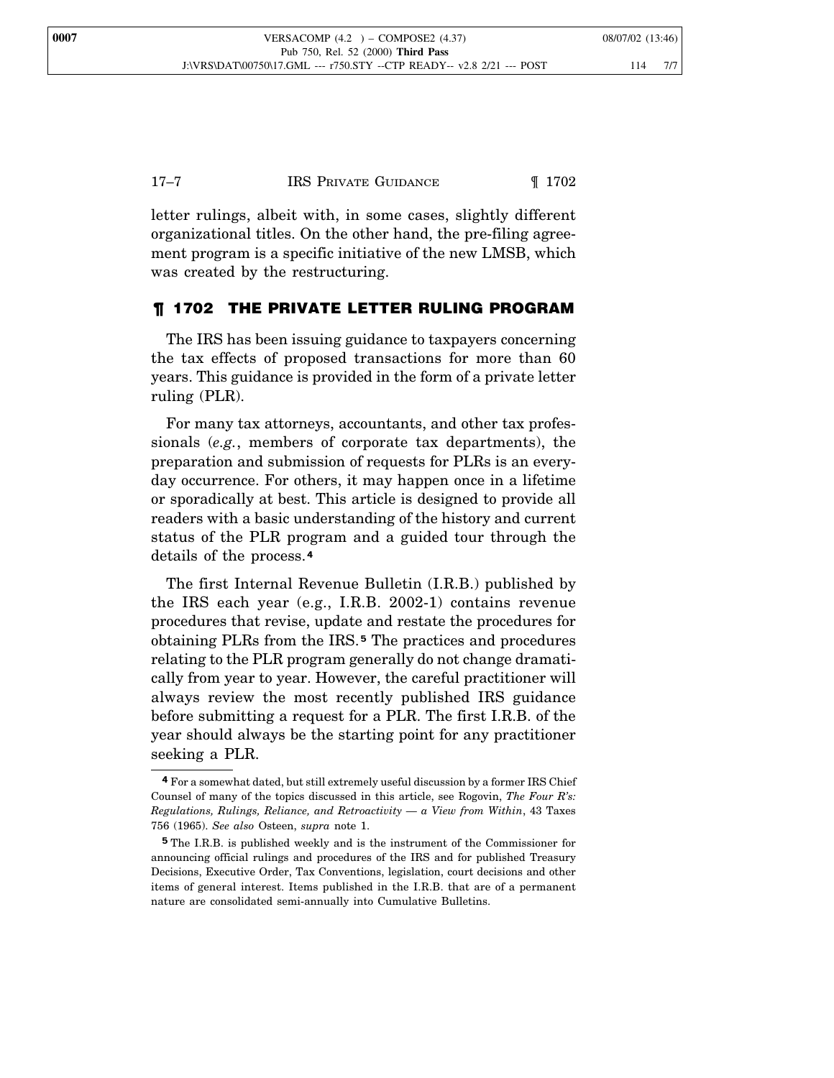letter rulings, albeit with, in some cases, slightly different organizational titles. On the other hand, the pre-filing agreement program is a specific initiative of the new LMSB, which was created by the restructuring.

## ¶ 1702 THE PRIVATE LETTER RULING PROGRAM

The IRS has been issuing guidance to taxpayers concerning the tax effects of proposed transactions for more than 60 years. This guidance is provided in the form of a private letter ruling (PLR).

For many tax attorneys, accountants, and other tax professionals (*e.g.*, members of corporate tax departments), the preparation and submission of requests for PLRs is an everyday occurrence. For others, it may happen once in a lifetime or sporadically at best. This article is designed to provide all readers with a basic understanding of the history and current status of the PLR program and a guided tour through the details of the process.**<sup>4</sup>**

The first Internal Revenue Bulletin (I.R.B.) published by the IRS each year (e.g., I.R.B. 2002-1) contains revenue procedures that revise, update and restate the procedures for obtaining PLRs from the IRS. **<sup>5</sup>** The practices and procedures relating to the PLR program generally do not change dramatically from year to year. However, the careful practitioner will always review the most recently published IRS guidance before submitting a request for a PLR. The first I.R.B. of the year should always be the starting point for any practitioner seeking a PLR.

**<sup>4</sup>** For a somewhat dated, but still extremely useful discussion by a former IRS Chief Counsel of many of the topics discussed in this article, see Rogovin, *The Four R's: Regulations, Rulings, Reliance, and Retroactivity — a View from Within*, 43 Taxes 756 (1965). *See also* Osteen, *supra* note 1.

**<sup>5</sup>** The I.R.B. is published weekly and is the instrument of the Commissioner for announcing official rulings and procedures of the IRS and for published Treasury Decisions, Executive Order, Tax Conventions, legislation, court decisions and other items of general interest. Items published in the I.R.B. that are of a permanent nature are consolidated semi-annually into Cumulative Bulletins.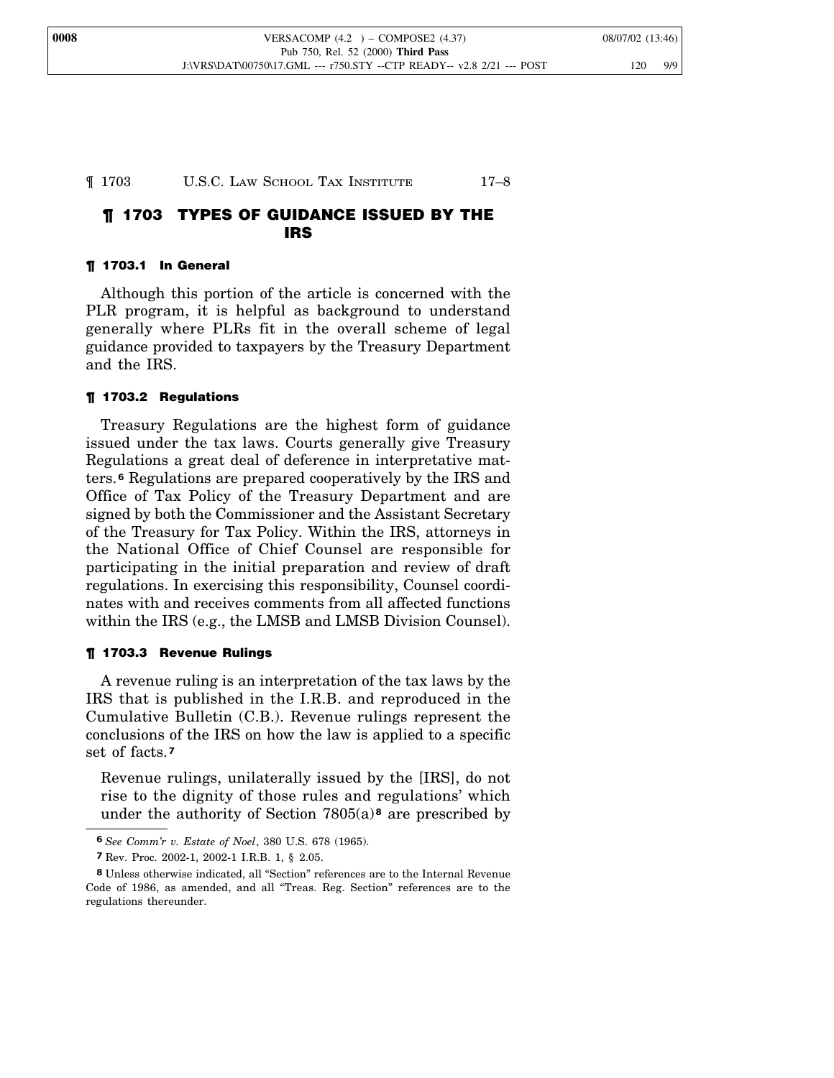## ¶ 1703 U.S.C. LAW SCHOOL TAX INSTITUTE 17–8

## ¶ 1703 TYPES OF GUIDANCE ISSUED BY THE IRS

## ¶ 1703.1 In General

Although this portion of the article is concerned with the PLR program, it is helpful as background to understand generally where PLRs fit in the overall scheme of legal guidance provided to taxpayers by the Treasury Department and the IRS.

## ¶ 1703.2 Regulations

Treasury Regulations are the highest form of guidance issued under the tax laws. Courts generally give Treasury Regulations a great deal of deference in interpretative matters.**<sup>6</sup>** Regulations are prepared cooperatively by the IRS and Office of Tax Policy of the Treasury Department and are signed by both the Commissioner and the Assistant Secretary of the Treasury for Tax Policy. Within the IRS, attorneys in the National Office of Chief Counsel are responsible for participating in the initial preparation and review of draft regulations. In exercising this responsibility, Counsel coordinates with and receives comments from all affected functions within the IRS (e.g., the LMSB and LMSB Division Counsel).

## ¶ 1703.3 Revenue Rulings

A revenue ruling is an interpretation of the tax laws by the IRS that is published in the I.R.B. and reproduced in the Cumulative Bulletin (C.B.). Revenue rulings represent the conclusions of the IRS on how the law is applied to a specific set of facts.**<sup>7</sup>**

Revenue rulings, unilaterally issued by the [IRS], do not rise to the dignity of those rules and regulations' which under the authority of Section 7805(a) **<sup>8</sup>** are prescribed by

**<sup>6</sup>** *See Comm'r v. Estate of Noel*, 380 U.S. 678 (1965).

**<sup>7</sup>** Rev. Proc. 2002-1, 2002-1 I.R.B. 1, § 2.05.

**<sup>8</sup>** Unless otherwise indicated, all "Section" references are to the Internal Revenue Code of 1986, as amended, and all "Treas. Reg. Section" references are to the regulations thereunder.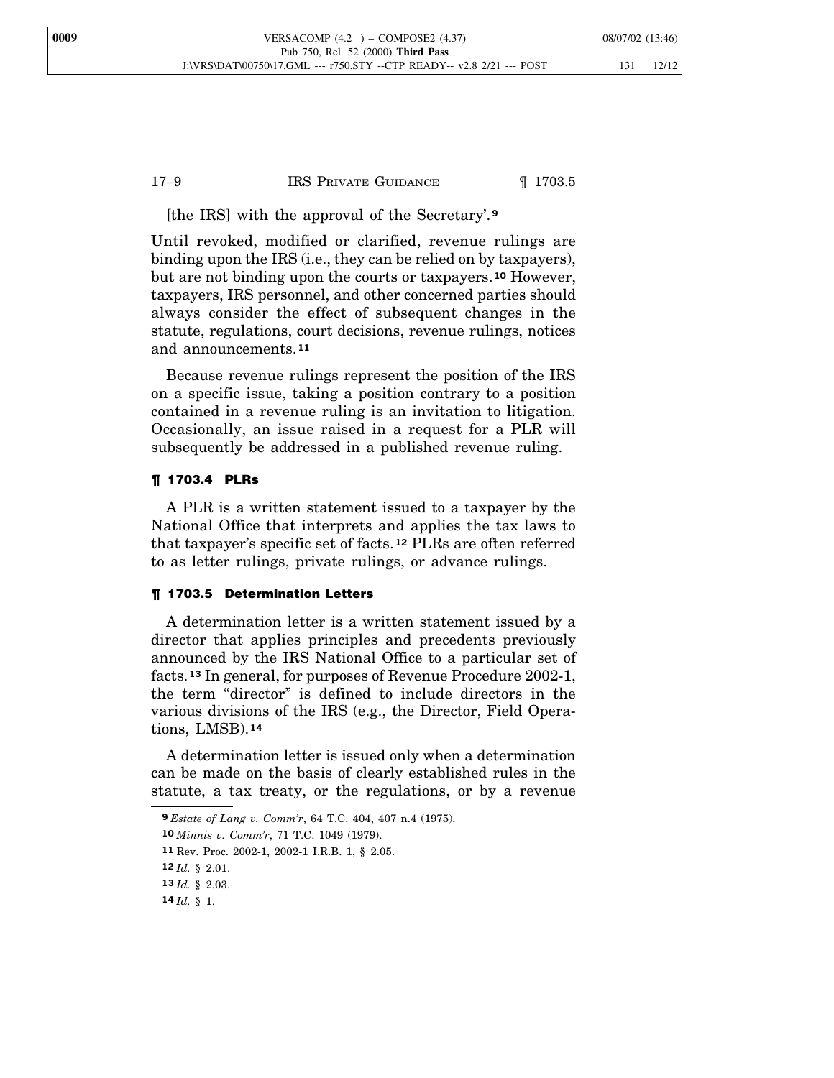## 17–9 IRS PRIVATE GUIDANCE 1703.5

[the IRS] with the approval of the Secretary'. **9**

Until revoked, modified or clarified, revenue rulings are binding upon the IRS (i.e., they can be relied on by taxpayers), but are not binding upon the courts or taxpayers.**<sup>10</sup>** However, taxpayers, IRS personnel, and other concerned parties should always consider the effect of subsequent changes in the statute, regulations, court decisions, revenue rulings, notices and announcements.**<sup>11</sup>**

Because revenue rulings represent the position of the IRS on a specific issue, taking a position contrary to a position contained in a revenue ruling is an invitation to litigation. Occasionally, an issue raised in a request for a PLR will subsequently be addressed in a published revenue ruling.

## ¶ 1703.4 PLRs

A PLR is a written statement issued to a taxpayer by the National Office that interprets and applies the tax laws to that taxpayer's specific set of facts. **<sup>12</sup>** PLRs are often referred to as letter rulings, private rulings, or advance rulings.

#### ¶ 1703.5 Determination Letters

A determination letter is a written statement issued by a director that applies principles and precedents previously announced by the IRS National Office to a particular set of facts.**<sup>13</sup>** In general, for purposes of Revenue Procedure 2002-1, the term "director" is defined to include directors in the various divisions of the IRS (e.g., the Director, Field Operations, LMSB).**<sup>14</sup>**

A determination letter is issued only when a determination can be made on the basis of clearly established rules in the statute, a tax treaty, or the regulations, or by a revenue

**<sup>9</sup>** *Estate of Lang v. Comm'r*, 64 T.C. 404, 407 n.4 (1975).

**<sup>10</sup>** *Minnis v. Comm'r*, 71 T.C. 1049 (1979).

**<sup>11</sup>** Rev. Proc. 2002-1, 2002-1 I.R.B. 1, § 2.05.

**<sup>12</sup>** *Id.* § 2.01.

**<sup>13</sup>** *Id.* § 2.03.

**<sup>14</sup>** *Id.* § 1.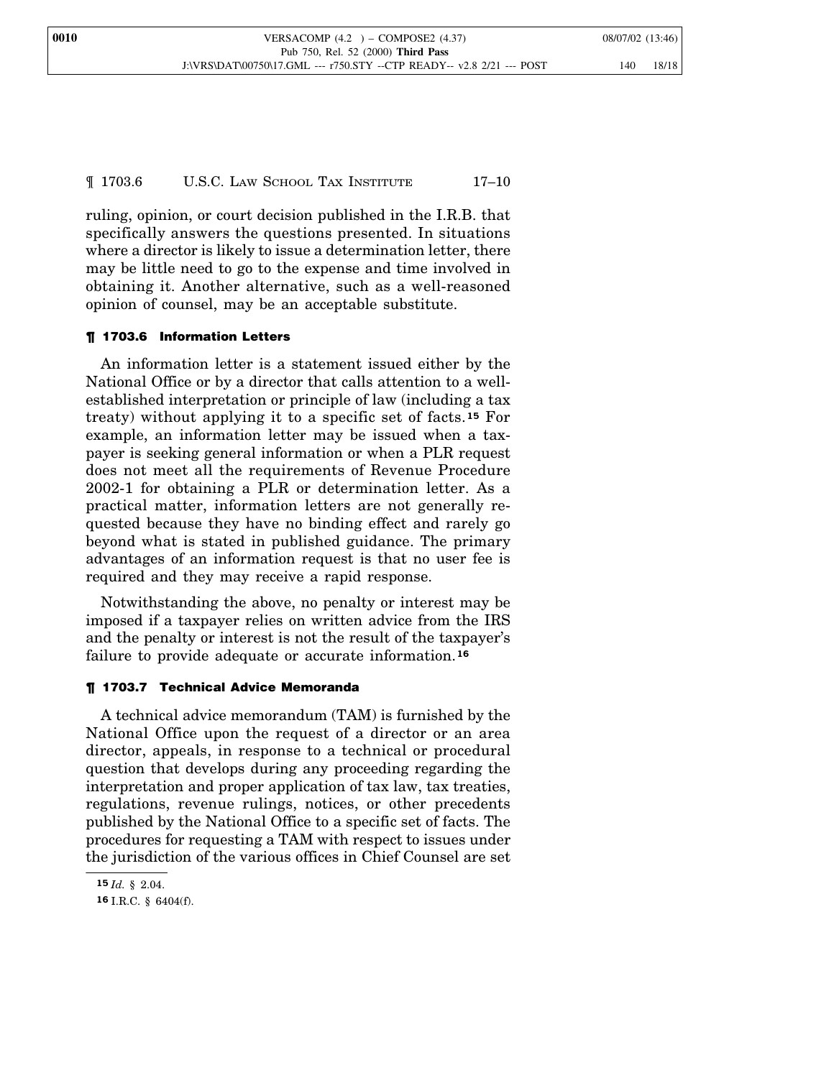¶ 1703.6 U.S.C. LAW SCHOOL TAX INSTITUTE 17–10

ruling, opinion, or court decision published in the I.R.B. that specifically answers the questions presented. In situations where a director is likely to issue a determination letter, there may be little need to go to the expense and time involved in obtaining it. Another alternative, such as a well-reasoned opinion of counsel, may be an acceptable substitute.

## ¶ 1703.6 Information Letters

An information letter is a statement issued either by the National Office or by a director that calls attention to a wellestablished interpretation or principle of law (including a tax treaty) without applying it to a specific set of facts. **<sup>15</sup>** For example, an information letter may be issued when a taxpayer is seeking general information or when a PLR request does not meet all the requirements of Revenue Procedure 2002-1 for obtaining a PLR or determination letter. As a practical matter, information letters are not generally requested because they have no binding effect and rarely go beyond what is stated in published guidance. The primary advantages of an information request is that no user fee is required and they may receive a rapid response.

Notwithstanding the above, no penalty or interest may be imposed if a taxpayer relies on written advice from the IRS and the penalty or interest is not the result of the taxpayer's failure to provide adequate or accurate information.**<sup>16</sup>**

## ¶ 1703.7 Technical Advice Memoranda

A technical advice memorandum (TAM) is furnished by the National Office upon the request of a director or an area director, appeals, in response to a technical or procedural question that develops during any proceeding regarding the interpretation and proper application of tax law, tax treaties, regulations, revenue rulings, notices, or other precedents published by the National Office to a specific set of facts. The procedures for requesting a TAM with respect to issues under the jurisdiction of the various offices in Chief Counsel are set

**<sup>15</sup>** *Id.* § 2.04.

**<sup>16</sup>** I.R.C. § 6404(f).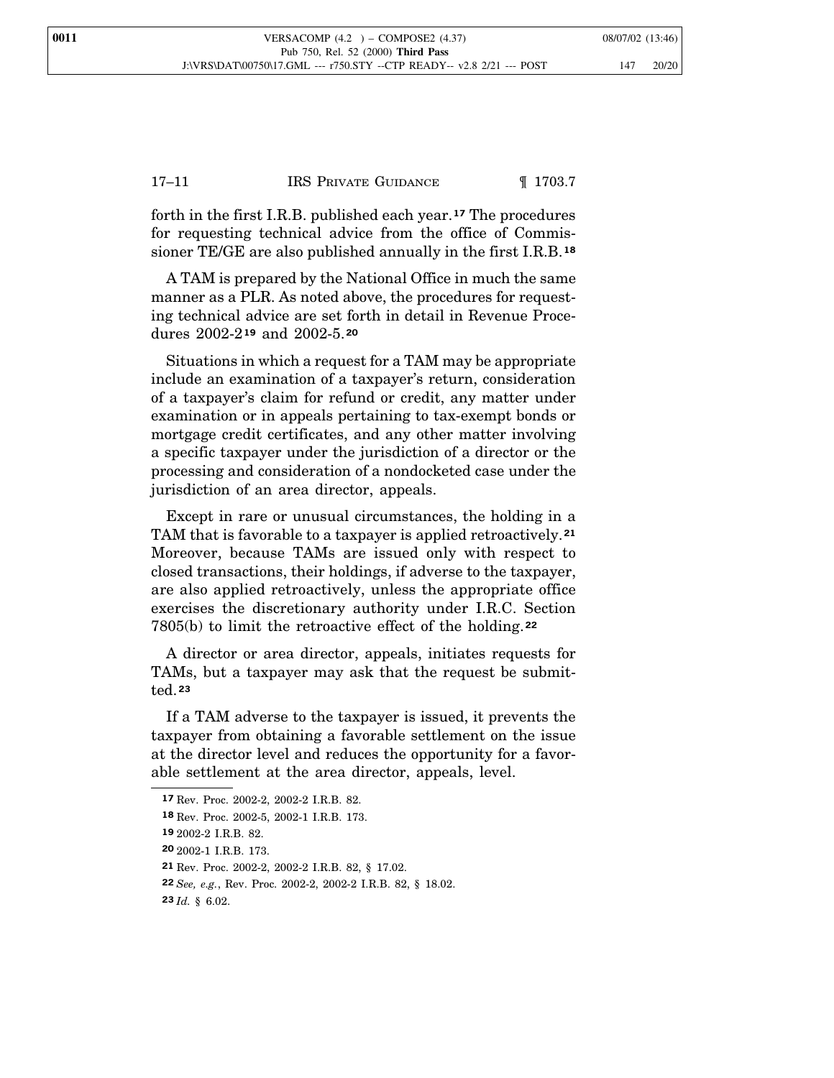## 17–11 **IRS PRIVATE GUIDANCE I** 1703.7

forth in the first I.R.B. published each year.**<sup>17</sup>** The procedures for requesting technical advice from the office of Commissioner TE/GE are also published annually in the first I.R.B.**<sup>18</sup>**

A TAM is prepared by the National Office in much the same manner as a PLR. As noted above, the procedures for requesting technical advice are set forth in detail in Revenue Procedures 2002-2**<sup>19</sup>** and 2002-5.**<sup>20</sup>**

Situations in which a request for a TAM may be appropriate include an examination of a taxpayer's return, consideration of a taxpayer's claim for refund or credit, any matter under examination or in appeals pertaining to tax-exempt bonds or mortgage credit certificates, and any other matter involving a specific taxpayer under the jurisdiction of a director or the processing and consideration of a nondocketed case under the jurisdiction of an area director, appeals.

Except in rare or unusual circumstances, the holding in a TAM that is favorable to a taxpayer is applied retroactively.**<sup>21</sup>** Moreover, because TAMs are issued only with respect to closed transactions, their holdings, if adverse to the taxpayer, are also applied retroactively, unless the appropriate office exercises the discretionary authority under I.R.C. Section 7805(b) to limit the retroactive effect of the holding.**<sup>22</sup>**

A director or area director, appeals, initiates requests for TAMs, but a taxpayer may ask that the request be submitted.**<sup>23</sup>**

If a TAM adverse to the taxpayer is issued, it prevents the taxpayer from obtaining a favorable settlement on the issue at the director level and reduces the opportunity for a favorable settlement at the area director, appeals, level.

**<sup>17</sup>** Rev. Proc. 2002-2, 2002-2 I.R.B. 82.

**<sup>18</sup>** Rev. Proc. 2002-5, 2002-1 I.R.B. 173.

**<sup>19</sup>** 2002-2 I.R.B. 82.

**<sup>20</sup>** 2002-1 I.R.B. 173.

**<sup>21</sup>** Rev. Proc. 2002-2, 2002-2 I.R.B. 82, § 17.02.

**<sup>22</sup>** *See, e.g.*, Rev. Proc. 2002-2, 2002-2 I.R.B. 82, § 18.02.

**<sup>23</sup>** *Id.* § 6.02.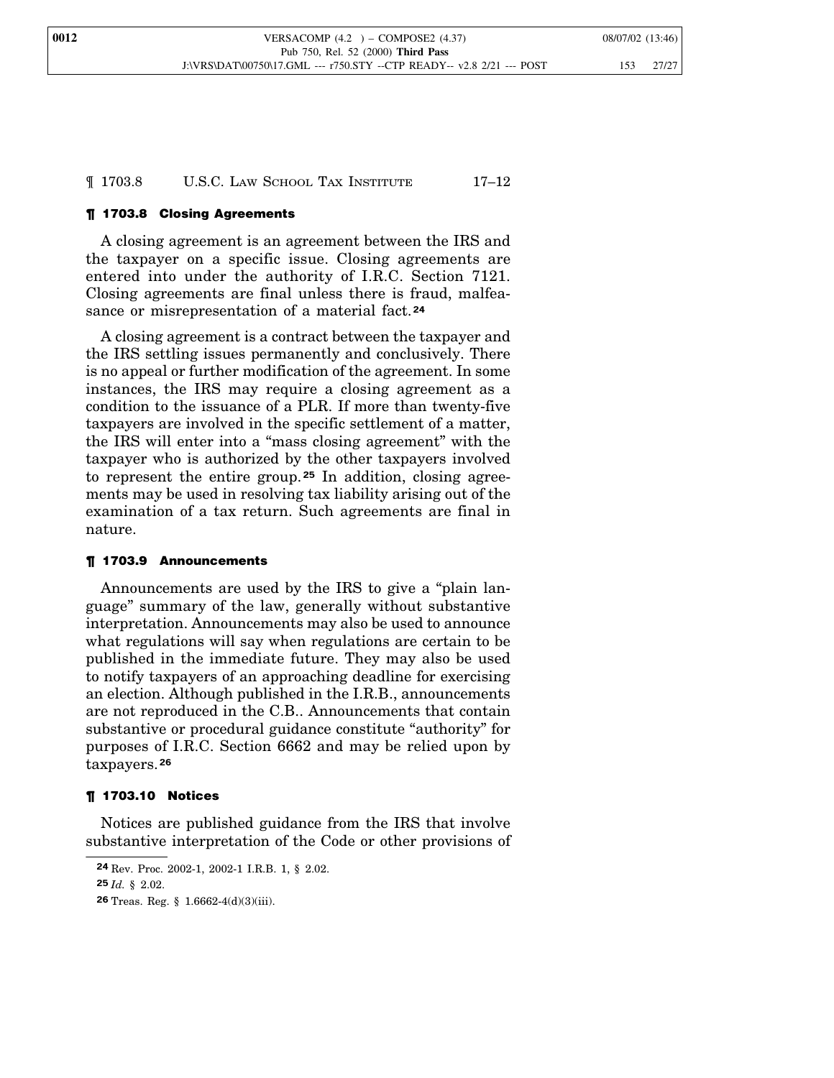¶ 1703.8 U.S.C. LAW SCHOOL TAX INSTITUTE 17–12

## ¶ 1703.8 Closing Agreements

A closing agreement is an agreement between the IRS and the taxpayer on a specific issue. Closing agreements are entered into under the authority of I.R.C. Section 7121. Closing agreements are final unless there is fraud, malfeasance or misrepresentation of a material fact.**<sup>24</sup>**

A closing agreement is a contract between the taxpayer and the IRS settling issues permanently and conclusively. There is no appeal or further modification of the agreement. In some instances, the IRS may require a closing agreement as a condition to the issuance of a PLR. If more than twenty-five taxpayers are involved in the specific settlement of a matter, the IRS will enter into a "mass closing agreement" with the taxpayer who is authorized by the other taxpayers involved to represent the entire group. **<sup>25</sup>** In addition, closing agreements may be used in resolving tax liability arising out of the examination of a tax return. Such agreements are final in nature.

## ¶ 1703.9 Announcements

Announcements are used by the IRS to give a "plain language" summary of the law, generally without substantive interpretation. Announcements may also be used to announce what regulations will say when regulations are certain to be published in the immediate future. They may also be used to notify taxpayers of an approaching deadline for exercising an election. Although published in the I.R.B., announcements are not reproduced in the C.B.. Announcements that contain substantive or procedural guidance constitute "authority" for purposes of I.R.C. Section 6662 and may be relied upon by taxpayers.**<sup>26</sup>**

#### ¶ 1703.10 Notices

Notices are published guidance from the IRS that involve substantive interpretation of the Code or other provisions of

**<sup>24</sup>** Rev. Proc. 2002-1, 2002-1 I.R.B. 1, § 2.02.

**<sup>25</sup>** *Id.* § 2.02.

**<sup>26</sup>** Treas. Reg. § 1.6662-4(d)(3)(iii).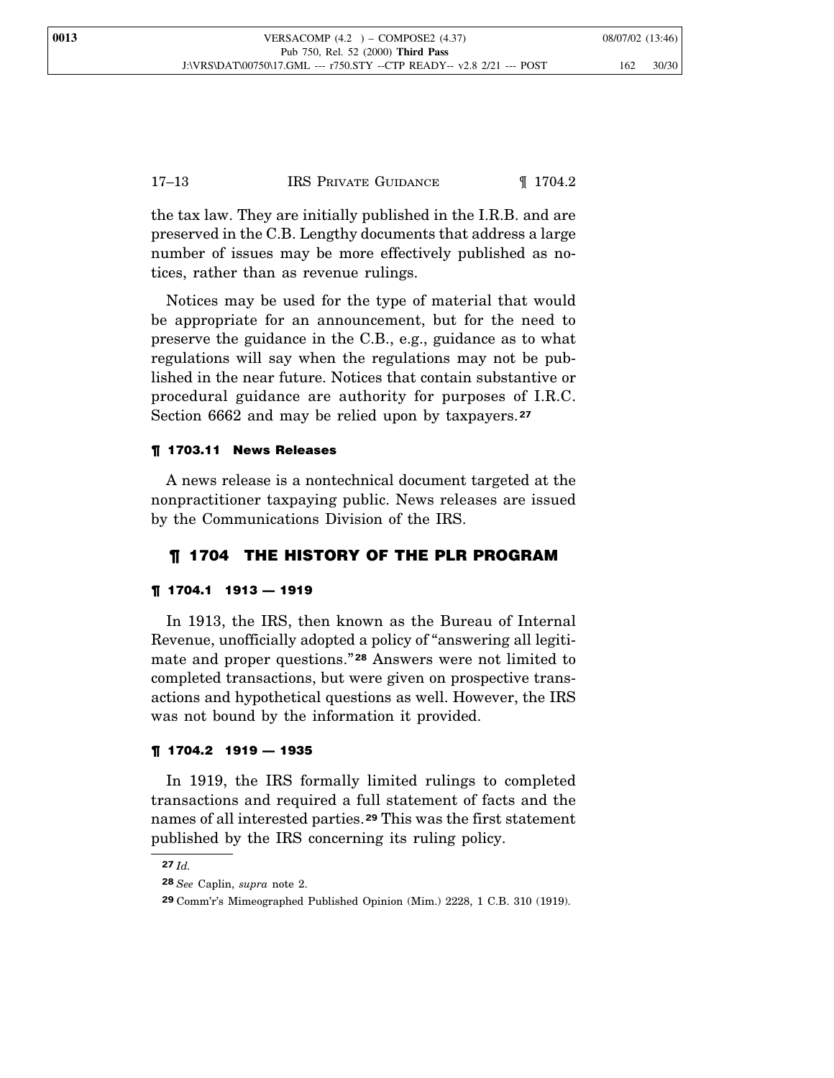the tax law. They are initially published in the I.R.B. and are preserved in the C.B. Lengthy documents that address a large number of issues may be more effectively published as notices, rather than as revenue rulings.

Notices may be used for the type of material that would be appropriate for an announcement, but for the need to preserve the guidance in the C.B., e.g., guidance as to what regulations will say when the regulations may not be published in the near future. Notices that contain substantive or procedural guidance are authority for purposes of I.R.C. Section 6662 and may be relied upon by taxpayers.**<sup>27</sup>**

## ¶ 1703.11 News Releases

A news release is a nontechnical document targeted at the nonpractitioner taxpaying public. News releases are issued by the Communications Division of the IRS.

## ¶ 1704 THE HISTORY OF THE PLR PROGRAM

## ¶ 1704.1 1913 — 1919

In 1913, the IRS, then known as the Bureau of Internal Revenue, unofficially adopted a policy of "answering all legitimate and proper questions." **<sup>28</sup>** Answers were not limited to completed transactions, but were given on prospective transactions and hypothetical questions as well. However, the IRS was not bound by the information it provided.

#### ¶ 1704.2 1919 — 1935

In 1919, the IRS formally limited rulings to completed transactions and required a full statement of facts and the names of all interested parties.**<sup>29</sup>** This was the first statement published by the IRS concerning its ruling policy.

**<sup>27</sup>** *Id.*

**<sup>28</sup>** *See* Caplin, *supra* note 2.

**<sup>29</sup>** Comm'r's Mimeographed Published Opinion (Mim.) 2228, 1 C.B. 310 (1919).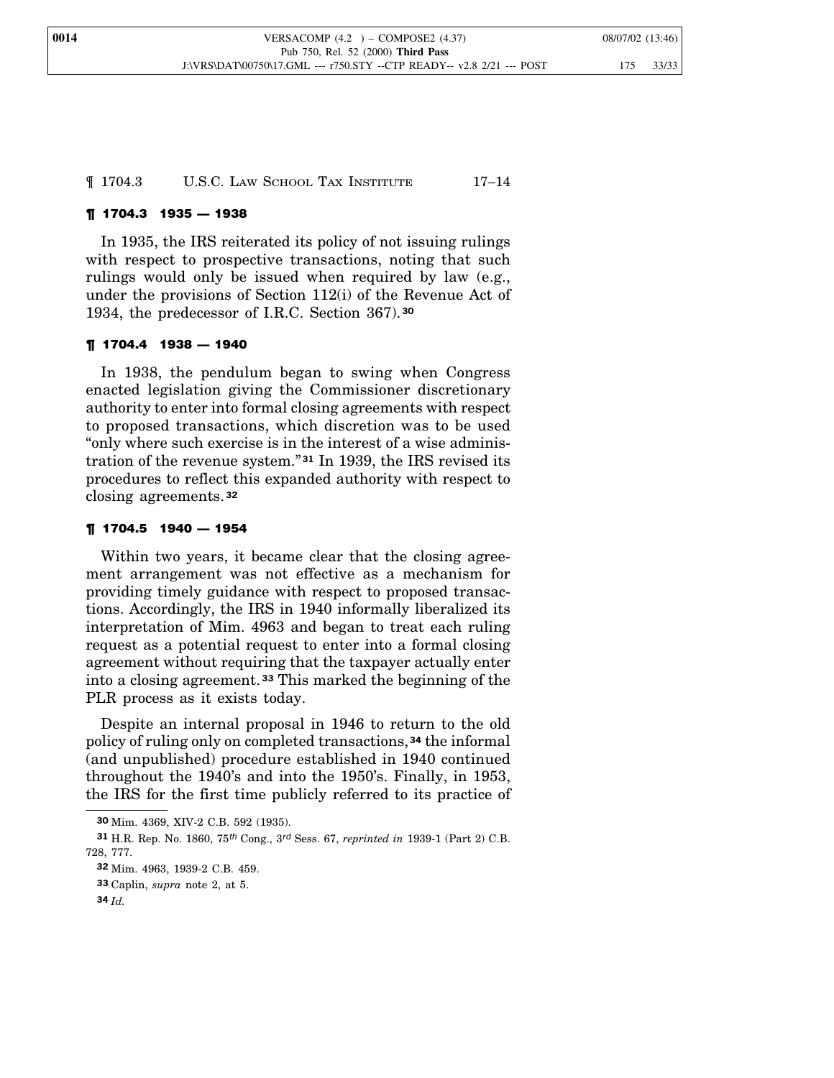¶ 1704.3 U.S.C. LAW SCHOOL TAX INSTITUTE 17–14

## ¶ 1704.3 1935 — 1938

In 1935, the IRS reiterated its policy of not issuing rulings with respect to prospective transactions, noting that such rulings would only be issued when required by law (e.g., under the provisions of Section 112(i) of the Revenue Act of 1934, the predecessor of I.R.C. Section 367).**<sup>30</sup>**

#### ¶ 1704.4 1938 — 1940

In 1938, the pendulum began to swing when Congress enacted legislation giving the Commissioner discretionary authority to enter into formal closing agreements with respect to proposed transactions, which discretion was to be used "only where such exercise is in the interest of a wise administration of the revenue system." **<sup>31</sup>** In 1939, the IRS revised its procedures to reflect this expanded authority with respect to closing agreements.**<sup>32</sup>**

#### ¶ 1704.5 1940 — 1954

Within two years, it became clear that the closing agreement arrangement was not effective as a mechanism for providing timely guidance with respect to proposed transactions. Accordingly, the IRS in 1940 informally liberalized its interpretation of Mim. 4963 and began to treat each ruling request as a potential request to enter into a formal closing agreement without requiring that the taxpayer actually enter into a closing agreement. **<sup>33</sup>** This marked the beginning of the PLR process as it exists today.

Despite an internal proposal in 1946 to return to the old policy of ruling only on completed transactions,**<sup>34</sup>** the informal (and unpublished) procedure established in 1940 continued throughout the 1940's and into the 1950's. Finally, in 1953, the IRS for the first time publicly referred to its practice of

**<sup>30</sup>** Mim. 4369, XIV-2 C.B. 592 (1935).

**<sup>31</sup>** H.R. Rep. No. 1860, 75*th* Cong., 3*rd* Sess. 67, *reprinted in* 1939-1 (Part 2) C.B. 728, 777.

**<sup>32</sup>** Mim. 4963, 1939-2 C.B. 459.

**<sup>33</sup>** Caplin, *supra* note 2, at 5.

**<sup>34</sup>** *Id.*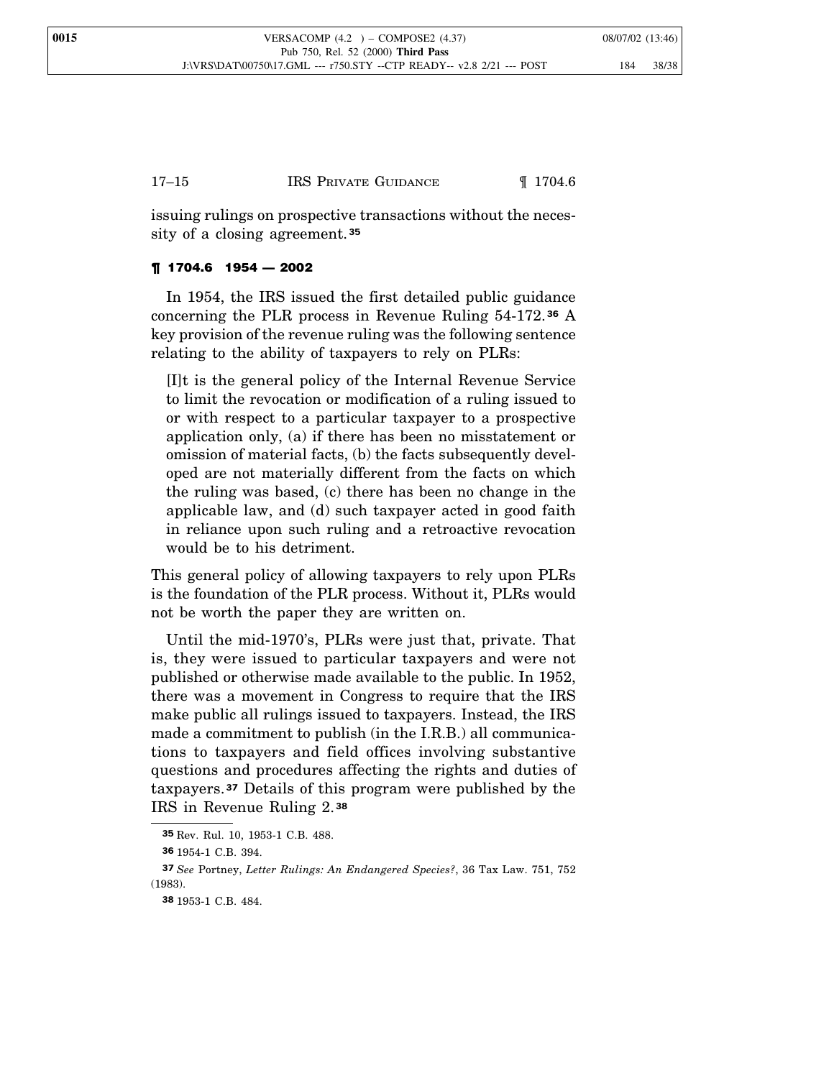## 17–15 **IRS PRIVATE GUIDANCE I** 1704.6

issuing rulings on prospective transactions without the necessity of a closing agreement.**<sup>35</sup>**

## ¶ 1704.6 1954 — 2002

In 1954, the IRS issued the first detailed public guidance concerning the PLR process in Revenue Ruling 54-172. **<sup>36</sup>** A key provision of the revenue ruling was the following sentence relating to the ability of taxpayers to rely on PLRs:

[I]t is the general policy of the Internal Revenue Service to limit the revocation or modification of a ruling issued to or with respect to a particular taxpayer to a prospective application only, (a) if there has been no misstatement or omission of material facts, (b) the facts subsequently developed are not materially different from the facts on which the ruling was based, (c) there has been no change in the applicable law, and (d) such taxpayer acted in good faith in reliance upon such ruling and a retroactive revocation would be to his detriment.

This general policy of allowing taxpayers to rely upon PLRs is the foundation of the PLR process. Without it, PLRs would not be worth the paper they are written on.

Until the mid-1970's, PLRs were just that, private. That is, they were issued to particular taxpayers and were not published or otherwise made available to the public. In 1952, there was a movement in Congress to require that the IRS make public all rulings issued to taxpayers. Instead, the IRS made a commitment to publish (in the I.R.B.) all communications to taxpayers and field offices involving substantive questions and procedures affecting the rights and duties of taxpayers.**<sup>37</sup>** Details of this program were published by the IRS in Revenue Ruling 2. **38**

**<sup>35</sup>** Rev. Rul. 10, 1953-1 C.B. 488.

**<sup>36</sup>** 1954-1 C.B. 394.

**<sup>37</sup>** *See* Portney, *Letter Rulings: An Endangered Species?*, 36 Tax Law. 751, 752 (1983).

**<sup>38</sup>** 1953-1 C.B. 484.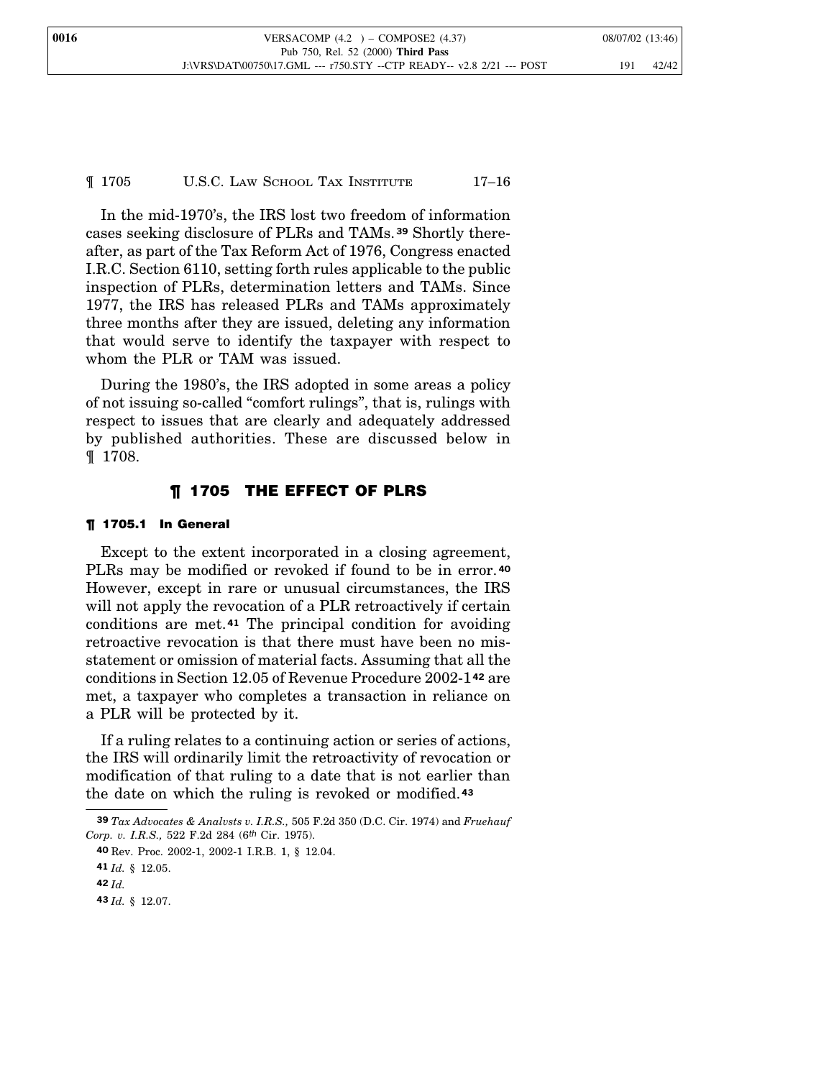| 0016 | VERSACOMP $(4.2)$ – COMPOSE2 $(4.37)$                                 | 08/07/02 (13:46) |
|------|-----------------------------------------------------------------------|------------------|
|      | Pub 750, Rel. 52 (2000) Third Pass                                    |                  |
|      | J:\VRS\DAT\00750\17.GML --- r750.STY --CTP READY-- v2.8 2/21 --- POST | 42/42<br>191     |

¶ 1705 U.S.C. LAW SCHOOL TAX INSTITUTE 17–16

In the mid-1970's, the IRS lost two freedom of information cases seeking disclosure of PLRs and TAMs.**<sup>39</sup>** Shortly thereafter, as part of the Tax Reform Act of 1976, Congress enacted I.R.C. Section 6110, setting forth rules applicable to the public inspection of PLRs, determination letters and TAMs. Since 1977, the IRS has released PLRs and TAMs approximately three months after they are issued, deleting any information that would serve to identify the taxpayer with respect to whom the PLR or TAM was issued.

During the 1980's, the IRS adopted in some areas a policy of not issuing so-called "comfort rulings", that is, rulings with respect to issues that are clearly and adequately addressed by published authorities. These are discussed below in ¶ 1708.

## ¶ 1705 THE EFFECT OF PLRS

#### ¶ 1705.1 In General

Except to the extent incorporated in a closing agreement, PLRs may be modified or revoked if found to be in error. **<sup>40</sup>** However, except in rare or unusual circumstances, the IRS will not apply the revocation of a PLR retroactively if certain conditions are met.**<sup>41</sup>** The principal condition for avoiding retroactive revocation is that there must have been no misstatement or omission of material facts. Assuming that all the conditions in Section 12.05 of Revenue Procedure 2002-1**<sup>42</sup>** are met, a taxpayer who completes a transaction in reliance on a PLR will be protected by it.

If a ruling relates to a continuing action or series of actions, the IRS will ordinarily limit the retroactivity of revocation or modification of that ruling to a date that is not earlier than the date on which the ruling is revoked or modified.**<sup>43</sup>**

**<sup>39</sup>** *Tax Advocates & Analvsts v. I.R.S.,* 505 F.2d 350 (D.C. Cir. 1974) and *Fruehauf Corp. v. I.R.S.,* 522 F.2d 284 (6*th* Cir. 1975).

**<sup>40</sup>** Rev. Proc. 2002-1, 2002-1 I.R.B. 1, § 12.04.

**<sup>41</sup>** *Id.* § 12.05.

**<sup>42</sup>** *Id.*

**<sup>43</sup>** *Id.* § 12.07.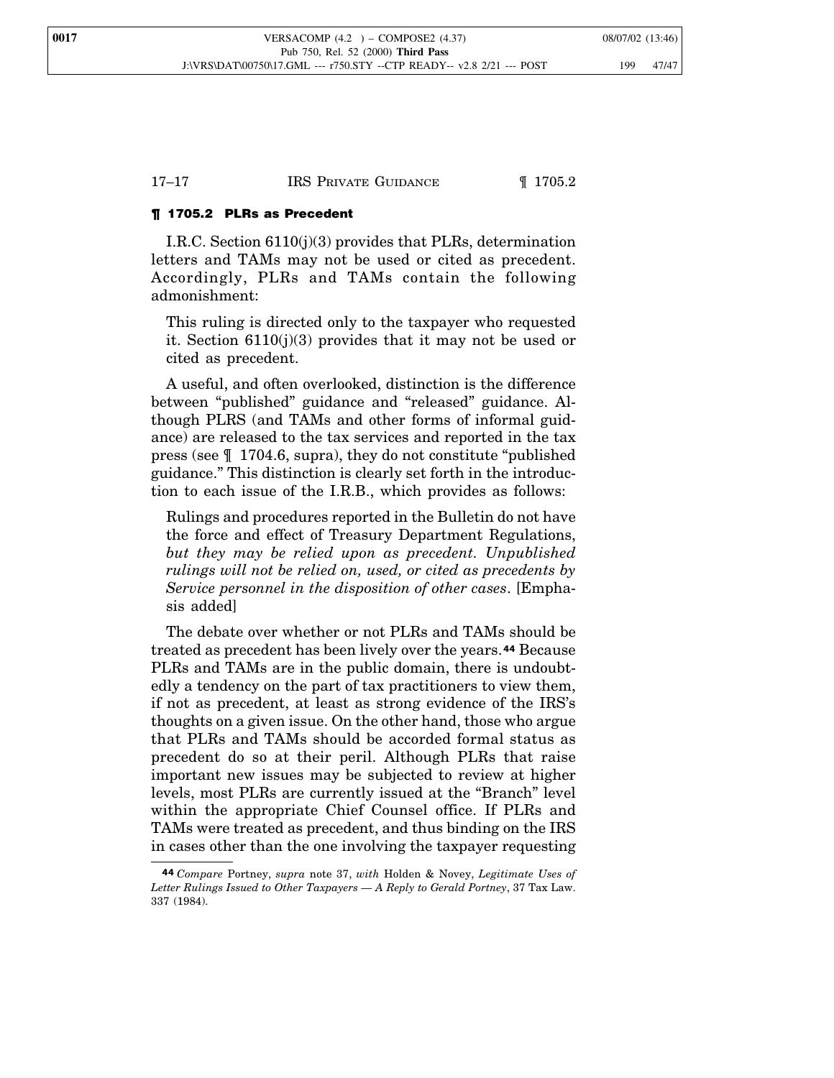#### ¶ 1705.2 PLRs as Precedent

I.R.C. Section 6110(j)(3) provides that PLRs, determination letters and TAMs may not be used or cited as precedent. Accordingly, PLRs and TAMs contain the following admonishment:

This ruling is directed only to the taxpayer who requested it. Section 6110(j)(3) provides that it may not be used or cited as precedent.

A useful, and often overlooked, distinction is the difference between "published" guidance and "released" guidance. Although PLRS (and TAMs and other forms of informal guidance) are released to the tax services and reported in the tax press (see ¶ 1704.6, supra), they do not constitute "published guidance." This distinction is clearly set forth in the introduction to each issue of the I.R.B., which provides as follows:

Rulings and procedures reported in the Bulletin do not have the force and effect of Treasury Department Regulations, *but they may be relied upon as precedent. Unpublished rulings will not be relied on, used, or cited as precedents by Service personnel in the disposition of other cases*. [Emphasis added]

The debate over whether or not PLRs and TAMs should be treated as precedent has been lively over the years.**<sup>44</sup>** Because PLRs and TAMs are in the public domain, there is undoubtedly a tendency on the part of tax practitioners to view them, if not as precedent, at least as strong evidence of the IRS's thoughts on a given issue. On the other hand, those who argue that PLRs and TAMs should be accorded formal status as precedent do so at their peril. Although PLRs that raise important new issues may be subjected to review at higher levels, most PLRs are currently issued at the "Branch" level within the appropriate Chief Counsel office. If PLRs and TAMs were treated as precedent, and thus binding on the IRS in cases other than the one involving the taxpayer requesting

**<sup>44</sup>** *Compare* Portney, *supra* note 37, *with* Holden & Novey, *Legitimate Uses of Letter Rulings Issued to Other Taxpayers — A Reply to Gerald Portney*, 37 Tax Law. 337 (1984).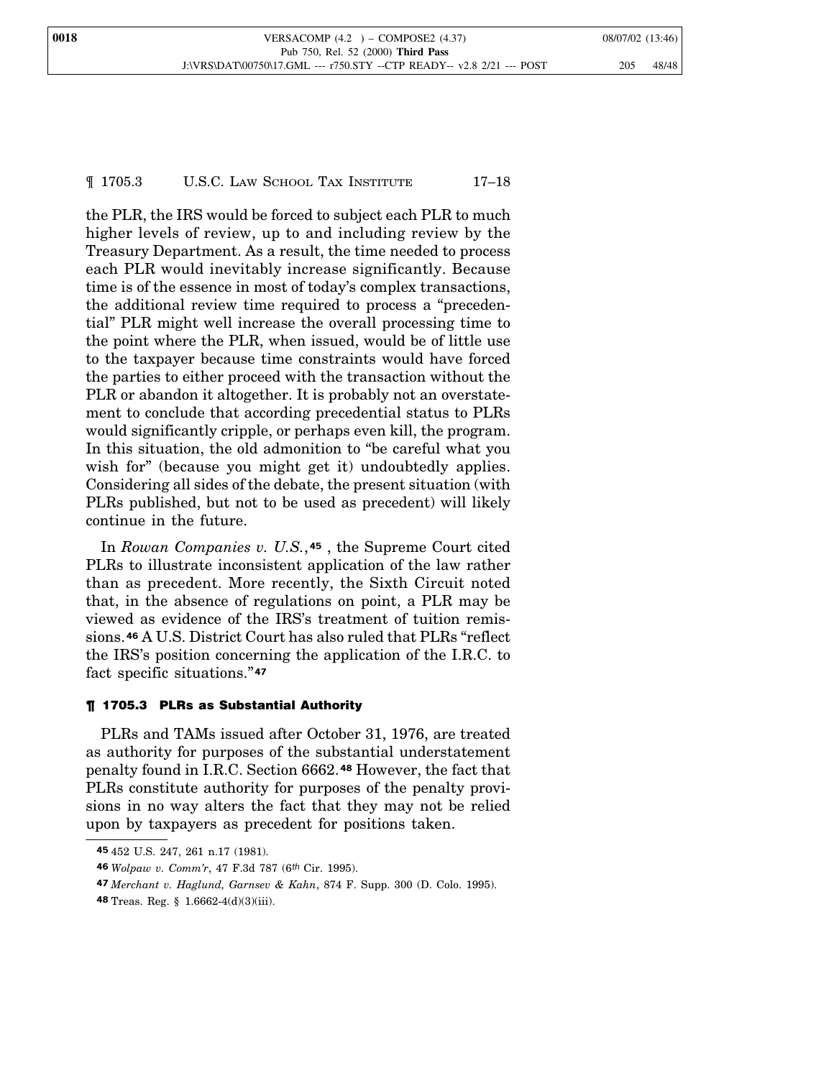the PLR, the IRS would be forced to subject each PLR to much higher levels of review, up to and including review by the Treasury Department. As a result, the time needed to process each PLR would inevitably increase significantly. Because time is of the essence in most of today's complex transactions, the additional review time required to process a "precedential" PLR might well increase the overall processing time to the point where the PLR, when issued, would be of little use to the taxpayer because time constraints would have forced the parties to either proceed with the transaction without the PLR or abandon it altogether. It is probably not an overstatement to conclude that according precedential status to PLRs would significantly cripple, or perhaps even kill, the program. In this situation, the old admonition to "be careful what you wish for" (because you might get it) undoubtedly applies. Considering all sides of the debate, the present situation (with PLRs published, but not to be used as precedent) will likely continue in the future.

In *Rowan Companies v. U.S.*, **<sup>45</sup>** , the Supreme Court cited PLRs to illustrate inconsistent application of the law rather than as precedent. More recently, the Sixth Circuit noted that, in the absence of regulations on point, a PLR may be viewed as evidence of the IRS's treatment of tuition remissions.**<sup>46</sup>** A U.S. District Court has also ruled that PLRs "reflect the IRS's position concerning the application of the I.R.C. to fact specific situations." **47**

## ¶ 1705.3 PLRs as Substantial Authority

PLRs and TAMs issued after October 31, 1976, are treated as authority for purposes of the substantial understatement penalty found in I.R.C. Section 6662. **<sup>48</sup>** However, the fact that PLRs constitute authority for purposes of the penalty provisions in no way alters the fact that they may not be relied upon by taxpayers as precedent for positions taken.

**<sup>45</sup>** 452 U.S. 247, 261 n.17 (1981).

**<sup>46</sup>** *Wolpaw v. Comm'r*, 47 F.3d 787 (6*th* Cir. 1995).

**<sup>47</sup>** *Merchant v. Haglund, Garnsev & Kahn*, 874 F. Supp. 300 (D. Colo. 1995).

**<sup>48</sup>** Treas. Reg. § 1.6662-4(d)(3)(iii).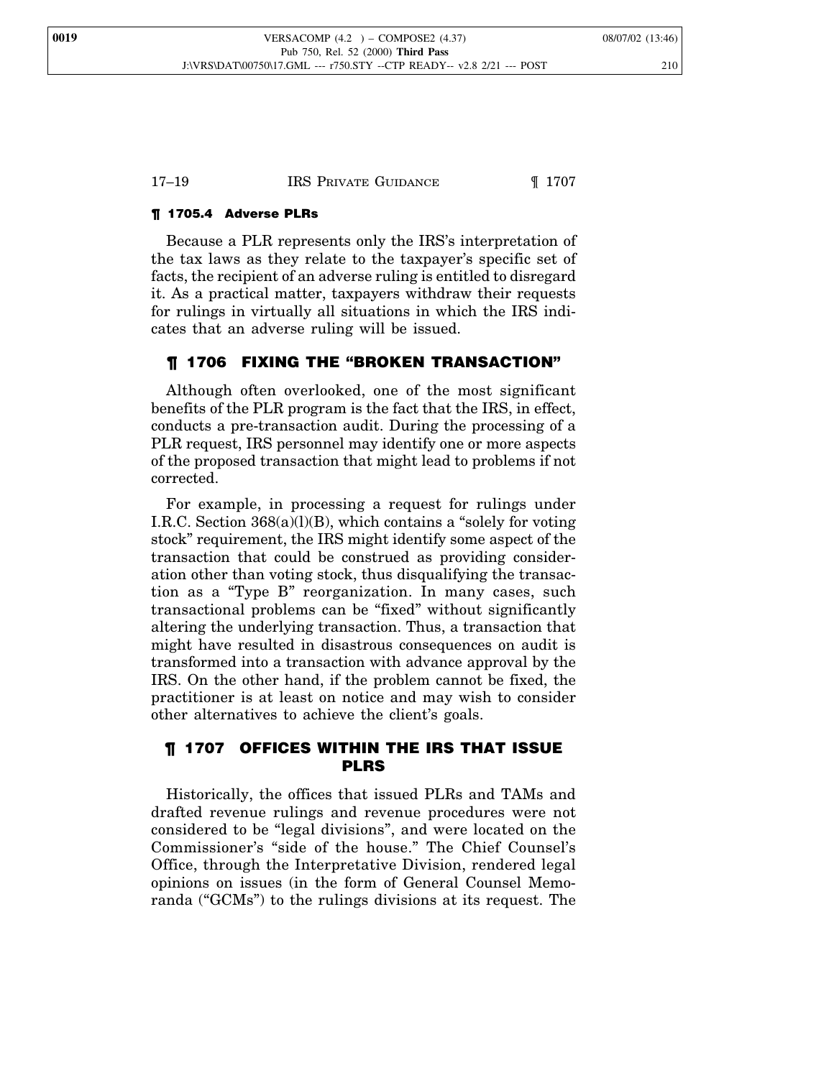## ¶ 1705.4 Adverse PLRs

Because a PLR represents only the IRS's interpretation of the tax laws as they relate to the taxpayer's specific set of facts, the recipient of an adverse ruling is entitled to disregard it. As a practical matter, taxpayers withdraw their requests for rulings in virtually all situations in which the IRS indicates that an adverse ruling will be issued.

## ¶ 1706 FIXING THE "BROKEN TRANSACTION"

Although often overlooked, one of the most significant benefits of the PLR program is the fact that the IRS, in effect, conducts a pre-transaction audit. During the processing of a PLR request, IRS personnel may identify one or more aspects of the proposed transaction that might lead to problems if not corrected.

For example, in processing a request for rulings under I.R.C. Section 368(a)(l)(B), which contains a "solely for voting stock" requirement, the IRS might identify some aspect of the transaction that could be construed as providing consideration other than voting stock, thus disqualifying the transaction as a "Type B" reorganization. In many cases, such transactional problems can be "fixed" without significantly altering the underlying transaction. Thus, a transaction that might have resulted in disastrous consequences on audit is transformed into a transaction with advance approval by the IRS. On the other hand, if the problem cannot be fixed, the practitioner is at least on notice and may wish to consider other alternatives to achieve the client's goals.

## ¶ 1707 OFFICES WITHIN THE IRS THAT ISSUE PLRS

Historically, the offices that issued PLRs and TAMs and drafted revenue rulings and revenue procedures were not considered to be "legal divisions", and were located on the Commissioner's "side of the house." The Chief Counsel's Office, through the Interpretative Division, rendered legal opinions on issues (in the form of General Counsel Memoranda ("GCMs") to the rulings divisions at its request. The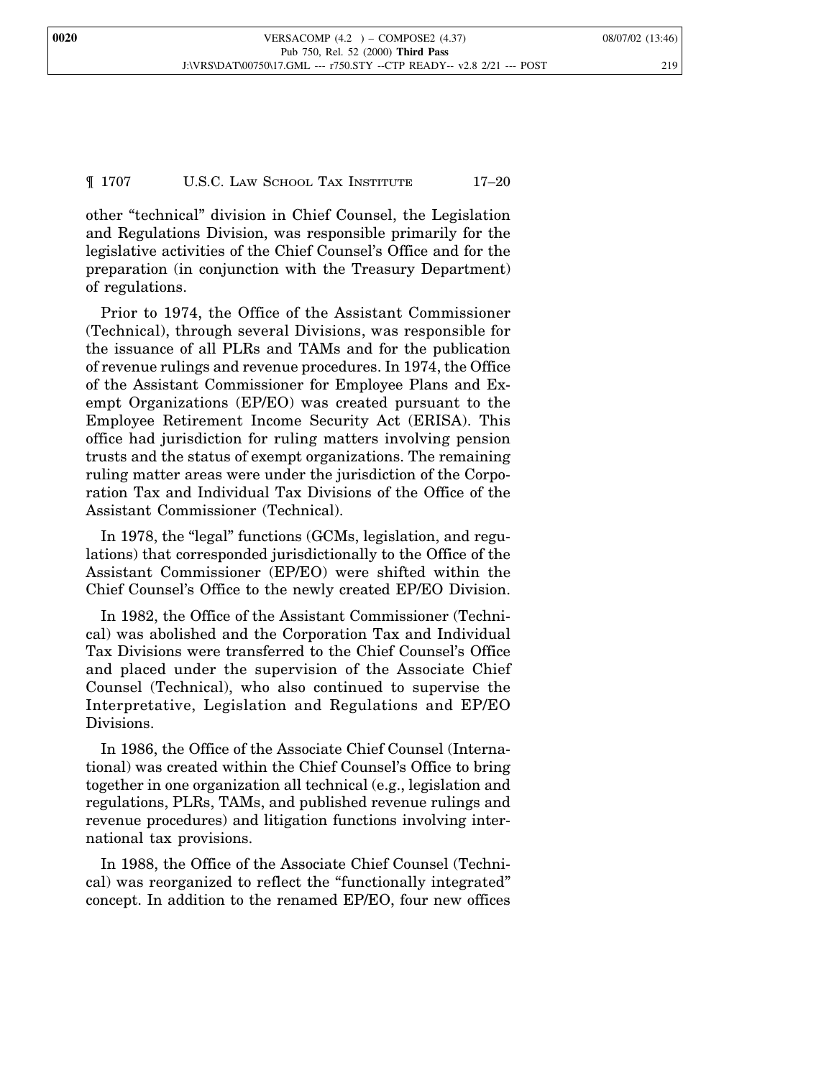**0020 VERSACOMP** (4.2 ) – **COMPOSE2** (4.37) 08/07/02 (13:46) Pub 750, Rel. 52 (2000) **Third Pass** J:\VRS\DAT\00750\17.GML --- r750.STY --CTP READY-- v2.8 2/21 --- POST 219

## ¶ 1707 U.S.C. LAW SCHOOL TAX INSTITUTE 17–20

other "technical" division in Chief Counsel, the Legislation and Regulations Division, was responsible primarily for the legislative activities of the Chief Counsel's Office and for the preparation (in conjunction with the Treasury Department) of regulations.

Prior to 1974, the Office of the Assistant Commissioner (Technical), through several Divisions, was responsible for the issuance of all PLRs and TAMs and for the publication of revenue rulings and revenue procedures. In 1974, the Office of the Assistant Commissioner for Employee Plans and Exempt Organizations (EP/EO) was created pursuant to the Employee Retirement Income Security Act (ERISA). This office had jurisdiction for ruling matters involving pension trusts and the status of exempt organizations. The remaining ruling matter areas were under the jurisdiction of the Corporation Tax and Individual Tax Divisions of the Office of the Assistant Commissioner (Technical).

In 1978, the "legal" functions (GCMs, legislation, and regulations) that corresponded jurisdictionally to the Office of the Assistant Commissioner (EP/EO) were shifted within the Chief Counsel's Office to the newly created EP/EO Division.

In 1982, the Office of the Assistant Commissioner (Technical) was abolished and the Corporation Tax and Individual Tax Divisions were transferred to the Chief Counsel's Office and placed under the supervision of the Associate Chief Counsel (Technical), who also continued to supervise the Interpretative, Legislation and Regulations and EP/EO Divisions.

In 1986, the Office of the Associate Chief Counsel (International) was created within the Chief Counsel's Office to bring together in one organization all technical (e.g., legislation and regulations, PLRs, TAMs, and published revenue rulings and revenue procedures) and litigation functions involving international tax provisions.

In 1988, the Office of the Associate Chief Counsel (Technical) was reorganized to reflect the "functionally integrated" concept. In addition to the renamed EP/EO, four new offices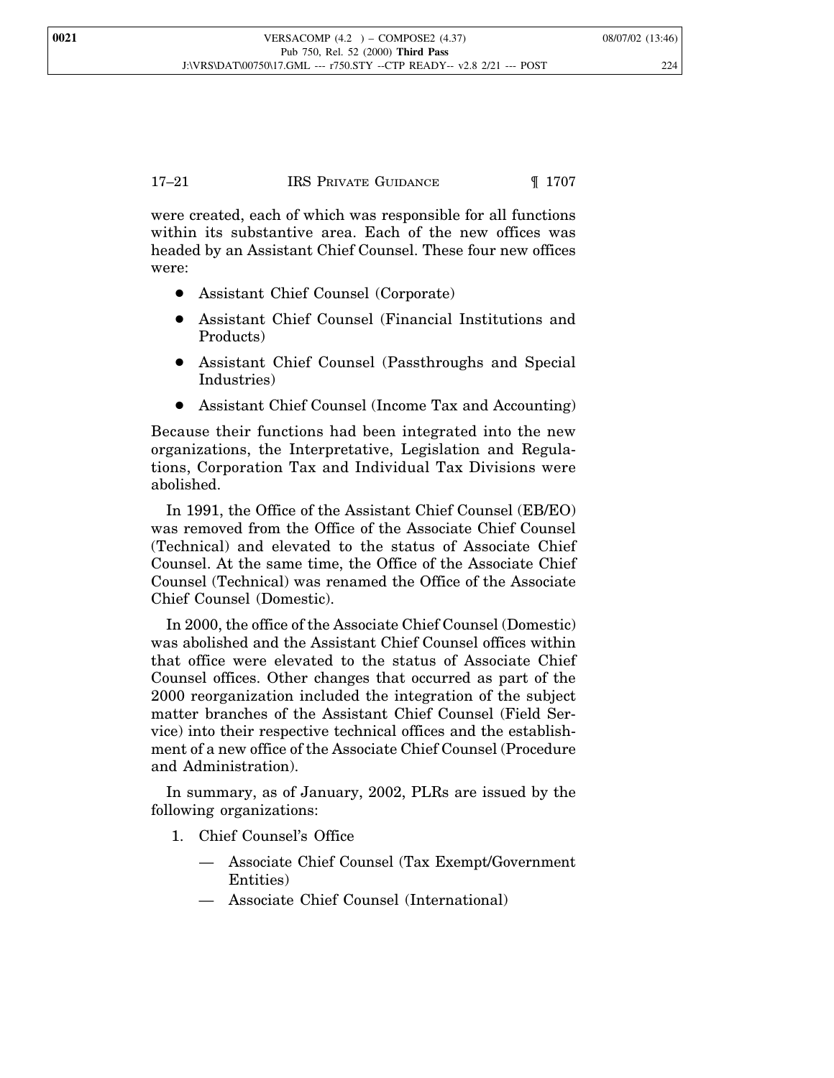were created, each of which was responsible for all functions within its substantive area. Each of the new offices was headed by an Assistant Chief Counsel. These four new offices were:

- Assistant Chief Counsel (Corporate)
- Assistant Chief Counsel (Financial Institutions and Products)
- Assistant Chief Counsel (Passthroughs and Special Industries)
- Assistant Chief Counsel (Income Tax and Accounting)

Because their functions had been integrated into the new organizations, the Interpretative, Legislation and Regulations, Corporation Tax and Individual Tax Divisions were abolished.

In 1991, the Office of the Assistant Chief Counsel (EB/EO) was removed from the Office of the Associate Chief Counsel (Technical) and elevated to the status of Associate Chief Counsel. At the same time, the Office of the Associate Chief Counsel (Technical) was renamed the Office of the Associate Chief Counsel (Domestic).

In 2000, the office of the Associate Chief Counsel (Domestic) was abolished and the Assistant Chief Counsel offices within that office were elevated to the status of Associate Chief Counsel offices. Other changes that occurred as part of the 2000 reorganization included the integration of the subject matter branches of the Assistant Chief Counsel (Field Service) into their respective technical offices and the establishment of a new office of the Associate Chief Counsel (Procedure and Administration).

In summary, as of January, 2002, PLRs are issued by the following organizations:

- 1. Chief Counsel's Office
	- Associate Chief Counsel (Tax Exempt/Government Entities)
	- Associate Chief Counsel (International)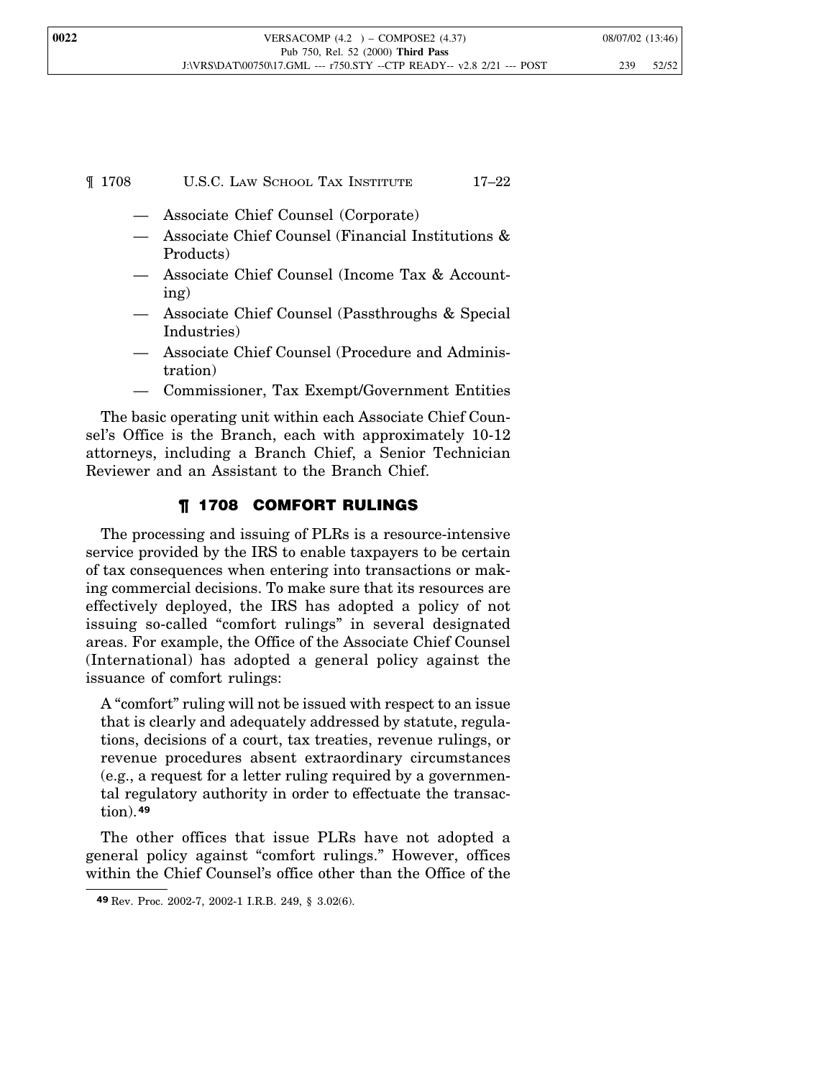## ¶ 1708 U.S.C. LAW SCHOOL TAX INSTITUTE 17–22

- Associate Chief Counsel (Corporate)
- Associate Chief Counsel (Financial Institutions & Products)
- Associate Chief Counsel (Income Tax & Accounting)
- Associate Chief Counsel (Passthroughs & Special Industries)
- Associate Chief Counsel (Procedure and Administration)
- Commissioner, Tax Exempt/Government Entities

The basic operating unit within each Associate Chief Counsel's Office is the Branch, each with approximately 10-12 attorneys, including a Branch Chief, a Senior Technician Reviewer and an Assistant to the Branch Chief.

## ¶ 1708 COMFORT RULINGS

The processing and issuing of PLRs is a resource-intensive service provided by the IRS to enable taxpayers to be certain of tax consequences when entering into transactions or making commercial decisions. To make sure that its resources are effectively deployed, the IRS has adopted a policy of not issuing so-called "comfort rulings" in several designated areas. For example, the Office of the Associate Chief Counsel (International) has adopted a general policy against the issuance of comfort rulings:

A "comfort" ruling will not be issued with respect to an issue that is clearly and adequately addressed by statute, regulations, decisions of a court, tax treaties, revenue rulings, or revenue procedures absent extraordinary circumstances (e.g., a request for a letter ruling required by a governmental regulatory authority in order to effectuate the transaction).**<sup>49</sup>**

The other offices that issue PLRs have not adopted a general policy against "comfort rulings." However, offices within the Chief Counsel's office other than the Office of the

**<sup>49</sup>** Rev. Proc. 2002-7, 2002-1 I.R.B. 249, § 3.02(6).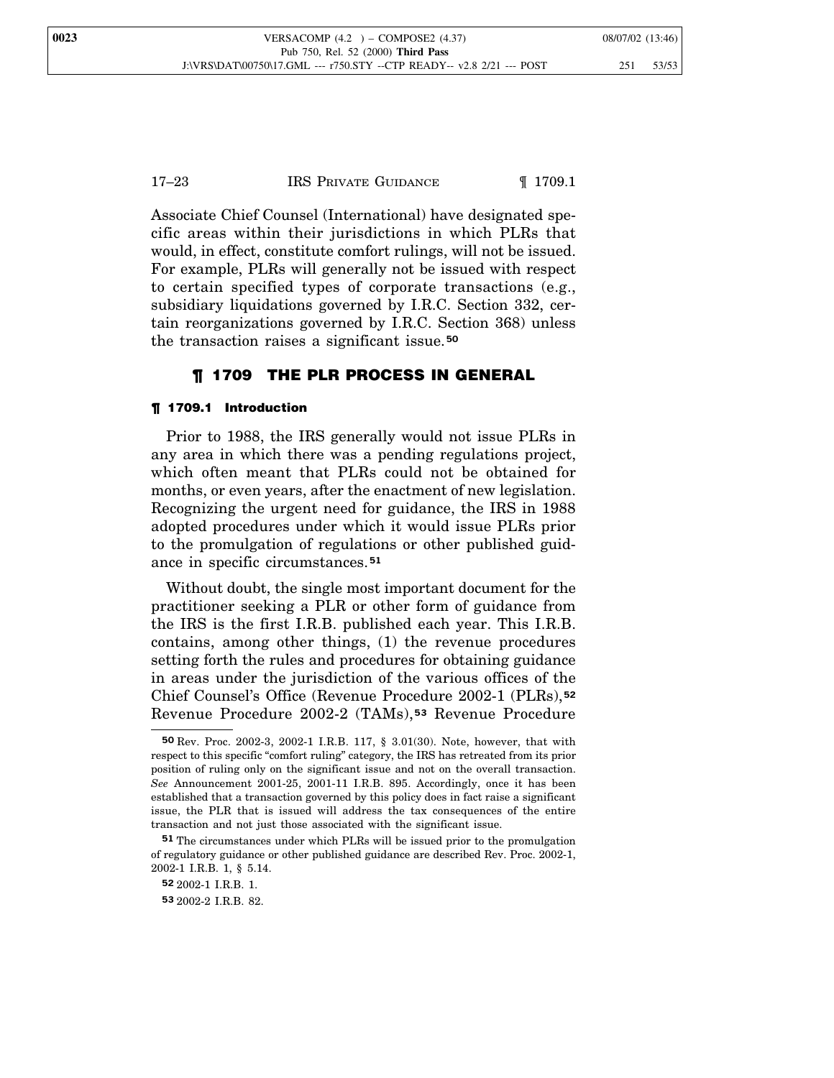## 17–23 IRS PRIVATE GUIDANCE 1709.1

Associate Chief Counsel (International) have designated specific areas within their jurisdictions in which PLRs that would, in effect, constitute comfort rulings, will not be issued. For example, PLRs will generally not be issued with respect to certain specified types of corporate transactions (e.g., subsidiary liquidations governed by I.R.C. Section 332, certain reorganizations governed by I.R.C. Section 368) unless the transaction raises a significant issue.**<sup>50</sup>**

## ¶ 1709 THE PLR PROCESS IN GENERAL

#### ¶ 1709.1 Introduction

Prior to 1988, the IRS generally would not issue PLRs in any area in which there was a pending regulations project, which often meant that PLRs could not be obtained for months, or even years, after the enactment of new legislation. Recognizing the urgent need for guidance, the IRS in 1988 adopted procedures under which it would issue PLRs prior to the promulgation of regulations or other published guidance in specific circumstances.**<sup>51</sup>**

Without doubt, the single most important document for the practitioner seeking a PLR or other form of guidance from the IRS is the first I.R.B. published each year. This I.R.B. contains, among other things, (1) the revenue procedures setting forth the rules and procedures for obtaining guidance in areas under the jurisdiction of the various offices of the Chief Counsel's Office (Revenue Procedure 2002-1 (PLRs), **52** Revenue Procedure 2002-2 (TAMs), **<sup>53</sup>** Revenue Procedure

**<sup>50</sup>** Rev. Proc. 2002-3, 2002-1 I.R.B. 117, § 3.01(30). Note, however, that with respect to this specific "comfort ruling" category, the IRS has retreated from its prior position of ruling only on the significant issue and not on the overall transaction. *See* Announcement 2001-25, 2001-11 I.R.B. 895. Accordingly, once it has been established that a transaction governed by this policy does in fact raise a significant issue, the PLR that is issued will address the tax consequences of the entire transaction and not just those associated with the significant issue.

**<sup>51</sup>** The circumstances under which PLRs will be issued prior to the promulgation of regulatory guidance or other published guidance are described Rev. Proc. 2002-1, 2002-1 I.R.B. 1, § 5.14.

**<sup>52</sup>** 2002-1 I.R.B. 1.

**<sup>53</sup>** 2002-2 I.R.B. 82.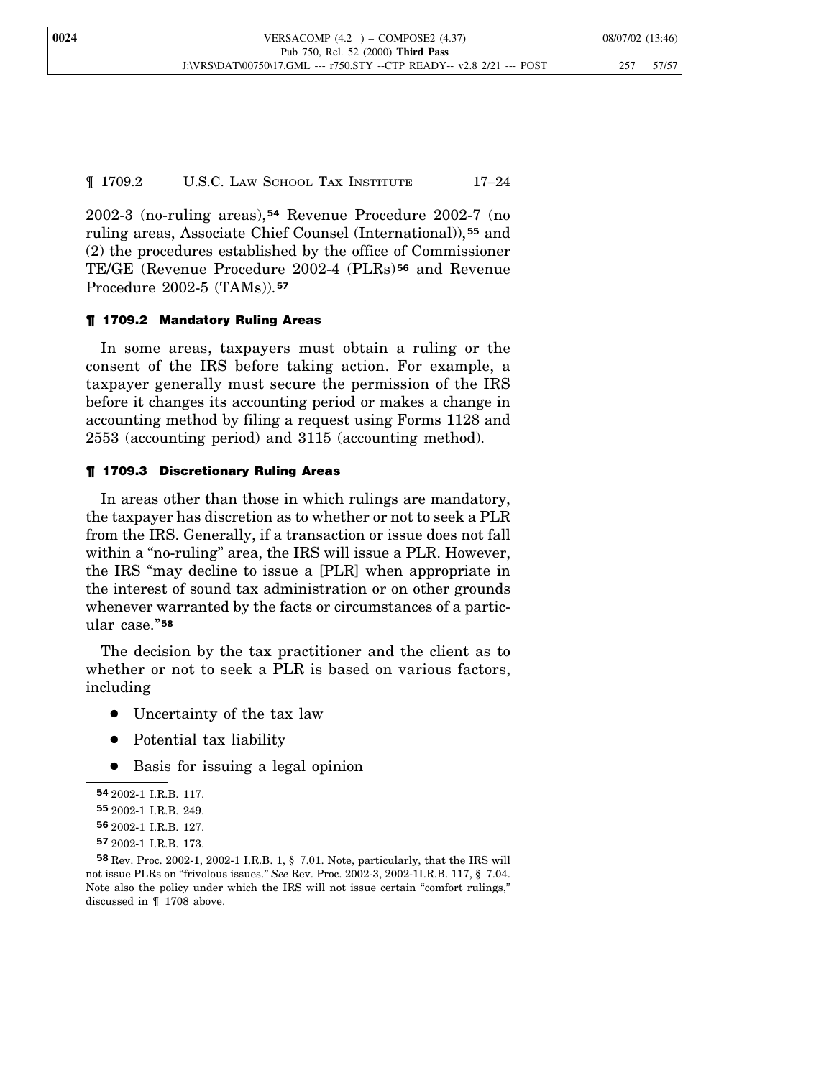¶ 1709.2 U.S.C. LAW SCHOOL TAX INSTITUTE 17–24

2002-3 (no-ruling areas),**<sup>54</sup>** Revenue Procedure 2002-7 (no ruling areas, Associate Chief Counsel (International)), **<sup>55</sup>** and (2) the procedures established by the office of Commissioner TE/GE (Revenue Procedure 2002-4 (PLRs) **<sup>56</sup>** and Revenue Procedure 2002-5 (TAMs)).**<sup>57</sup>**

#### ¶ 1709.2 Mandatory Ruling Areas

In some areas, taxpayers must obtain a ruling or the consent of the IRS before taking action. For example, a taxpayer generally must secure the permission of the IRS before it changes its accounting period or makes a change in accounting method by filing a request using Forms 1128 and 2553 (accounting period) and 3115 (accounting method).

#### ¶ 1709.3 Discretionary Ruling Areas

In areas other than those in which rulings are mandatory, the taxpayer has discretion as to whether or not to seek a PLR from the IRS. Generally, if a transaction or issue does not fall within a "no-ruling" area, the IRS will issue a PLR. However, the IRS "may decline to issue a [PLR] when appropriate in the interest of sound tax administration or on other grounds whenever warranted by the facts or circumstances of a particular case." **58**

The decision by the tax practitioner and the client as to whether or not to seek a PLR is based on various factors, including

- Uncertainty of the tax law
- Potential tax liability
- Basis for issuing a legal opinion

**<sup>54</sup>** 2002-1 I.R.B. 117.

**<sup>55</sup>** 2002-1 I.R.B. 249.

**<sup>56</sup>** 2002-1 I.R.B. 127.

**<sup>57</sup>** 2002-1 I.R.B. 173.

**<sup>58</sup>** Rev. Proc. 2002-1, 2002-1 I.R.B. 1, § 7.01. Note, particularly, that the IRS will not issue PLRs on "frivolous issues." *See* Rev. Proc. 2002-3, 2002-1I.R.B. 117, § 7.04. Note also the policy under which the IRS will not issue certain "comfort rulings," discussed in ¶ 1708 above.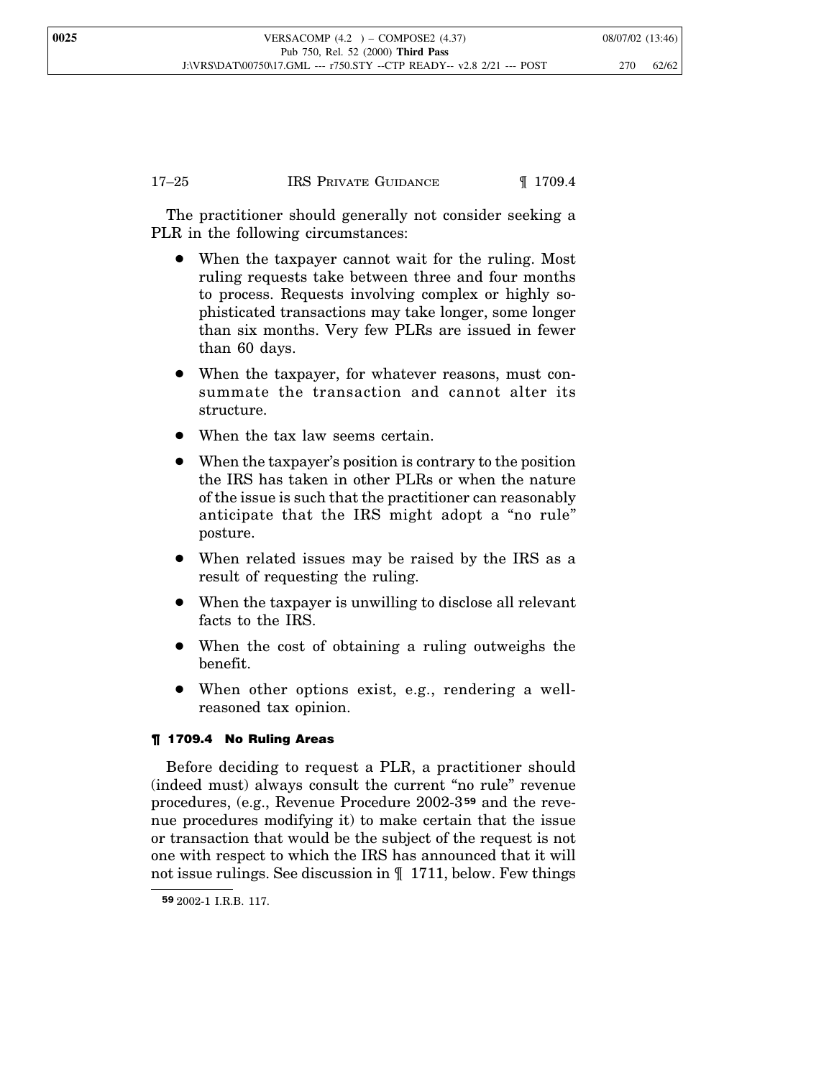The practitioner should generally not consider seeking a PLR in the following circumstances:

- When the taxpayer cannot wait for the ruling. Most ruling requests take between three and four months to process. Requests involving complex or highly sophisticated transactions may take longer, some longer than six months. Very few PLRs are issued in fewer than 60 days.
- When the taxpayer, for whatever reasons, must consummate the transaction and cannot alter its structure.
- When the tax law seems certain.
- When the taxpayer's position is contrary to the position the IRS has taken in other PLRs or when the nature of the issue is such that the practitioner can reasonably anticipate that the IRS might adopt a "no rule" posture.
- When related issues may be raised by the IRS as a result of requesting the ruling.
- When the taxpayer is unwilling to disclose all relevant facts to the IRS.
- When the cost of obtaining a ruling outweighs the benefit.
- When other options exist, e.g., rendering a wellreasoned tax opinion.

## ¶ 1709.4 No Ruling Areas

Before deciding to request a PLR, a practitioner should (indeed must) always consult the current "no rule" revenue procedures, (e.g., Revenue Procedure 2002-3 **<sup>59</sup>** and the revenue procedures modifying it) to make certain that the issue or transaction that would be the subject of the request is not one with respect to which the IRS has announced that it will not issue rulings. See discussion in ¶ 1711, below. Few things

**<sup>59</sup>** 2002-1 I.R.B. 117.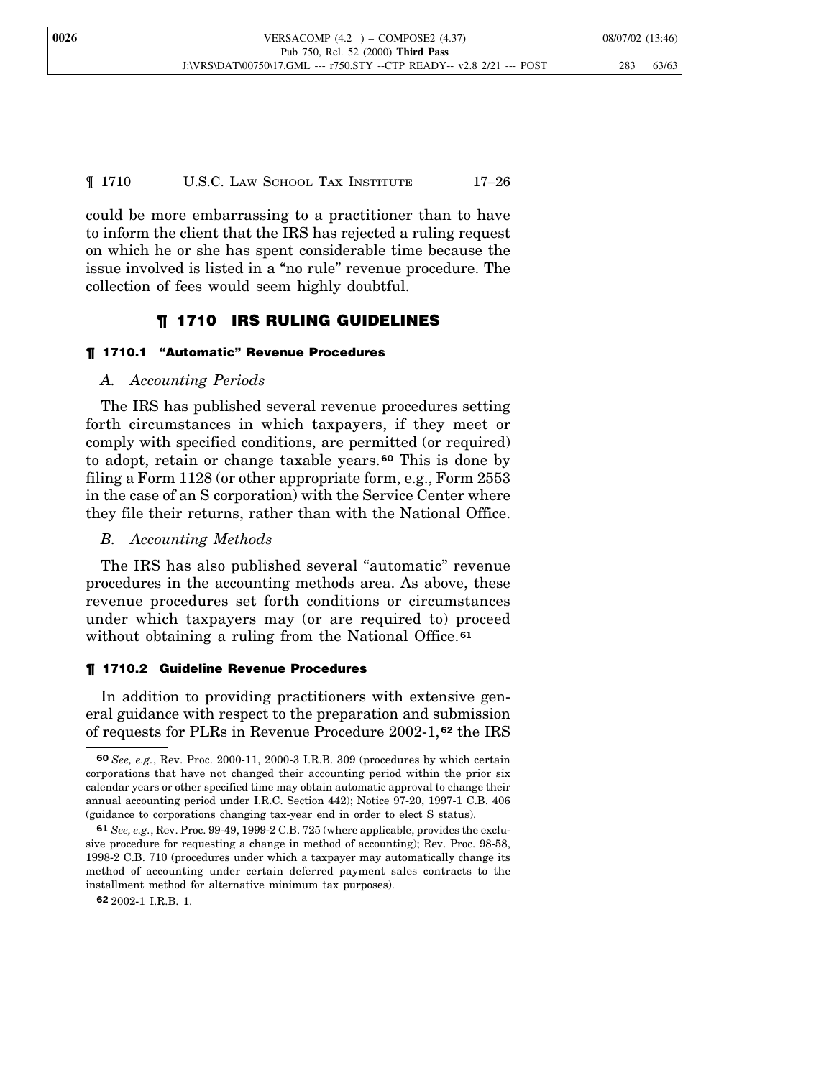## ¶ 1710 U.S.C. LAW SCHOOL TAX INSTITUTE 17–26

could be more embarrassing to a practitioner than to have to inform the client that the IRS has rejected a ruling request on which he or she has spent considerable time because the issue involved is listed in a "no rule" revenue procedure. The collection of fees would seem highly doubtful.

## ¶ 1710 IRS RULING GUIDELINES

#### ¶ 1710.1 "Automatic" Revenue Procedures

## *A. Accounting Periods*

The IRS has published several revenue procedures setting forth circumstances in which taxpayers, if they meet or comply with specified conditions, are permitted (or required) to adopt, retain or change taxable years.**<sup>60</sup>** This is done by filing a Form 1128 (or other appropriate form, e.g., Form 2553 in the case of an S corporation) with the Service Center where they file their returns, rather than with the National Office.

## *B. Accounting Methods*

The IRS has also published several "automatic" revenue procedures in the accounting methods area. As above, these revenue procedures set forth conditions or circumstances under which taxpayers may (or are required to) proceed without obtaining a ruling from the National Office.**<sup>61</sup>**

#### ¶ 1710.2 Guideline Revenue Procedures

In addition to providing practitioners with extensive general guidance with respect to the preparation and submission of requests for PLRs in Revenue Procedure 2002-1, **<sup>62</sup>** the IRS

**62** 2002-1 I.R.B. 1.

**<sup>60</sup>** *See, e.g.*, Rev. Proc. 2000-11, 2000-3 I.R.B. 309 (procedures by which certain corporations that have not changed their accounting period within the prior six calendar years or other specified time may obtain automatic approval to change their annual accounting period under I.R.C. Section 442); Notice 97-20, 1997-1 C.B. 406 (guidance to corporations changing tax-year end in order to elect S status).

**<sup>61</sup>** *See, e.g.*, Rev. Proc. 99-49, 1999-2 C.B. 725 (where applicable, provides the exclusive procedure for requesting a change in method of accounting); Rev. Proc. 98-58, 1998-2 C.B. 710 (procedures under which a taxpayer may automatically change its method of accounting under certain deferred payment sales contracts to the installment method for alternative minimum tax purposes).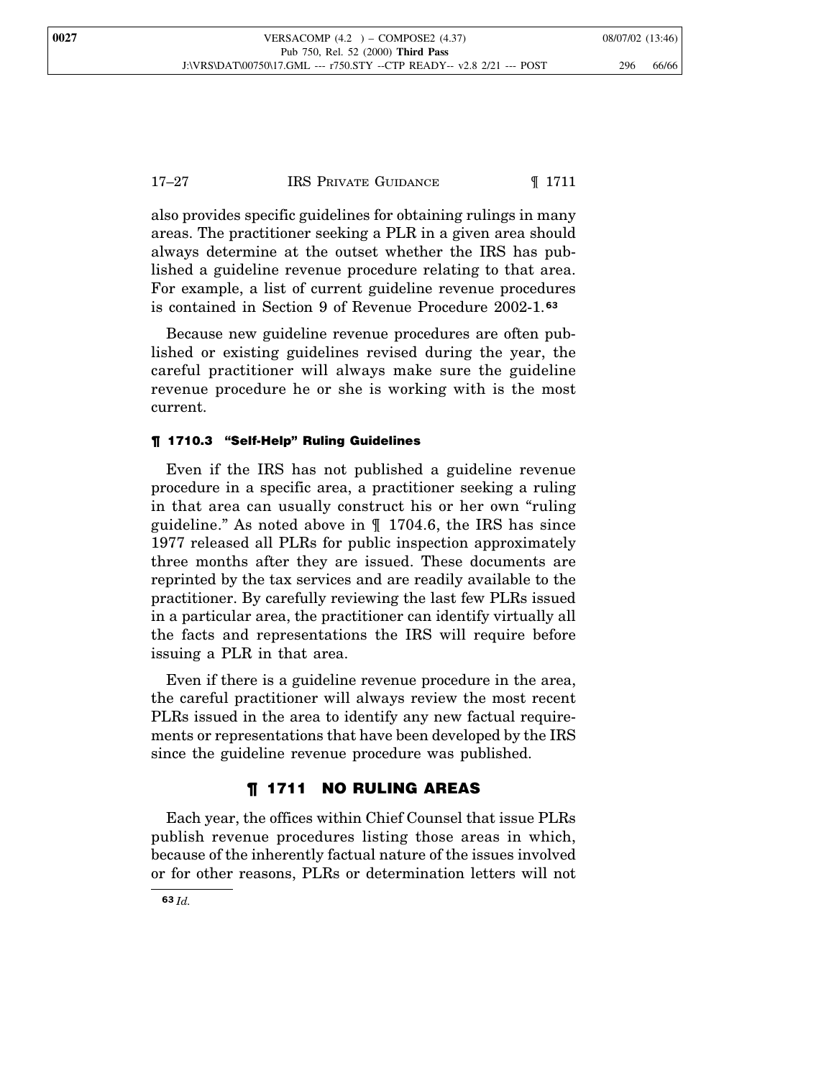## 17–27 **IRS PRIVATE GUIDANCE I** 1711

also provides specific guidelines for obtaining rulings in many areas. The practitioner seeking a PLR in a given area should always determine at the outset whether the IRS has published a guideline revenue procedure relating to that area. For example, a list of current guideline revenue procedures is contained in Section 9 of Revenue Procedure 2002-1. **63**

Because new guideline revenue procedures are often published or existing guidelines revised during the year, the careful practitioner will always make sure the guideline revenue procedure he or she is working with is the most current.

#### ¶ 1710.3 "Self-Help" Ruling Guidelines

Even if the IRS has not published a guideline revenue procedure in a specific area, a practitioner seeking a ruling in that area can usually construct his or her own "ruling guideline." As noted above in ¶ 1704.6, the IRS has since 1977 released all PLRs for public inspection approximately three months after they are issued. These documents are reprinted by the tax services and are readily available to the practitioner. By carefully reviewing the last few PLRs issued in a particular area, the practitioner can identify virtually all the facts and representations the IRS will require before issuing a PLR in that area.

Even if there is a guideline revenue procedure in the area, the careful practitioner will always review the most recent PLRs issued in the area to identify any new factual requirements or representations that have been developed by the IRS since the guideline revenue procedure was published.

## ¶ 1711 NO RULING AREAS

Each year, the offices within Chief Counsel that issue PLRs publish revenue procedures listing those areas in which, because of the inherently factual nature of the issues involved or for other reasons, PLRs or determination letters will not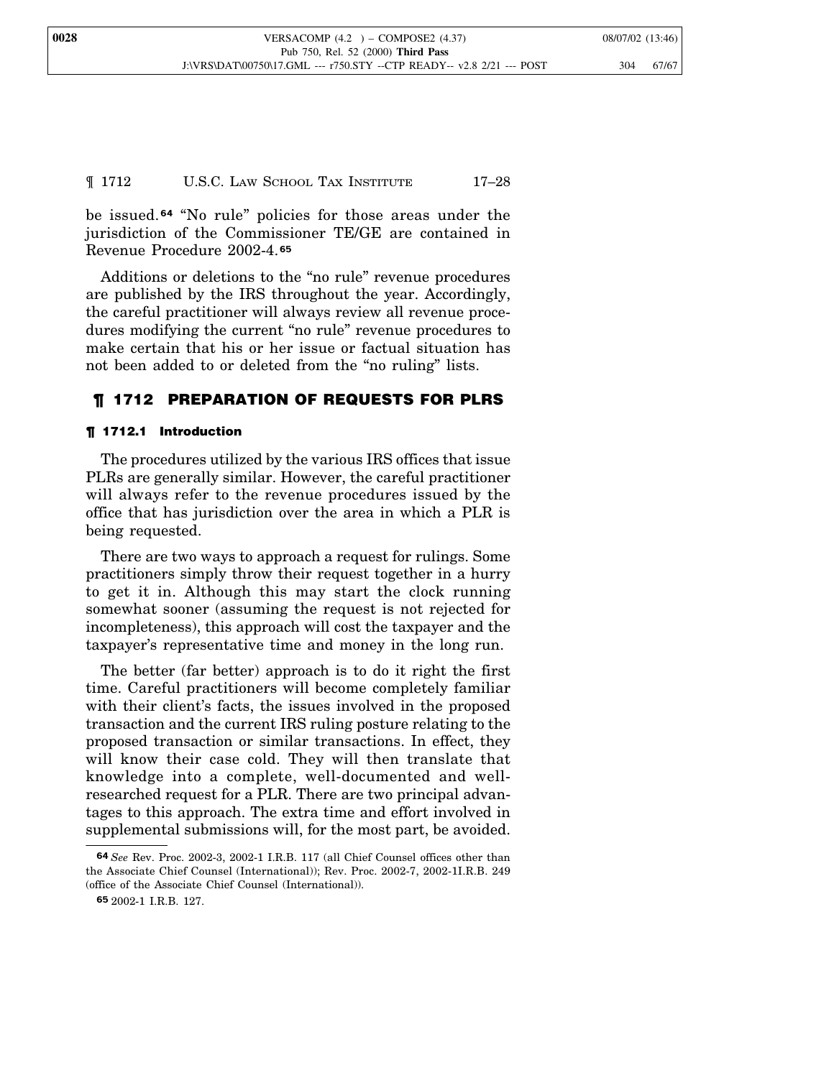## ¶ 1712 U.S.C. LAW SCHOOL TAX INSTITUTE 17–28

be issued. **<sup>64</sup>** "No rule" policies for those areas under the jurisdiction of the Commissioner TE/GE are contained in Revenue Procedure 2002-4. **65**

Additions or deletions to the "no rule" revenue procedures are published by the IRS throughout the year. Accordingly, the careful practitioner will always review all revenue procedures modifying the current "no rule" revenue procedures to make certain that his or her issue or factual situation has not been added to or deleted from the "no ruling" lists.

## ¶ 1712 PREPARATION OF REQUESTS FOR PLRS

#### ¶ 1712.1 Introduction

The procedures utilized by the various IRS offices that issue PLRs are generally similar. However, the careful practitioner will always refer to the revenue procedures issued by the office that has jurisdiction over the area in which a PLR is being requested.

There are two ways to approach a request for rulings. Some practitioners simply throw their request together in a hurry to get it in. Although this may start the clock running somewhat sooner (assuming the request is not rejected for incompleteness), this approach will cost the taxpayer and the taxpayer's representative time and money in the long run.

The better (far better) approach is to do it right the first time. Careful practitioners will become completely familiar with their client's facts, the issues involved in the proposed transaction and the current IRS ruling posture relating to the proposed transaction or similar transactions. In effect, they will know their case cold. They will then translate that knowledge into a complete, well-documented and wellresearched request for a PLR. There are two principal advantages to this approach. The extra time and effort involved in supplemental submissions will, for the most part, be avoided.

**<sup>64</sup>** *See* Rev. Proc. 2002-3, 2002-1 I.R.B. 117 (all Chief Counsel offices other than the Associate Chief Counsel (International)); Rev. Proc. 2002-7, 2002-1I.R.B. 249 (office of the Associate Chief Counsel (International)).

**<sup>65</sup>** 2002-1 I.R.B. 127.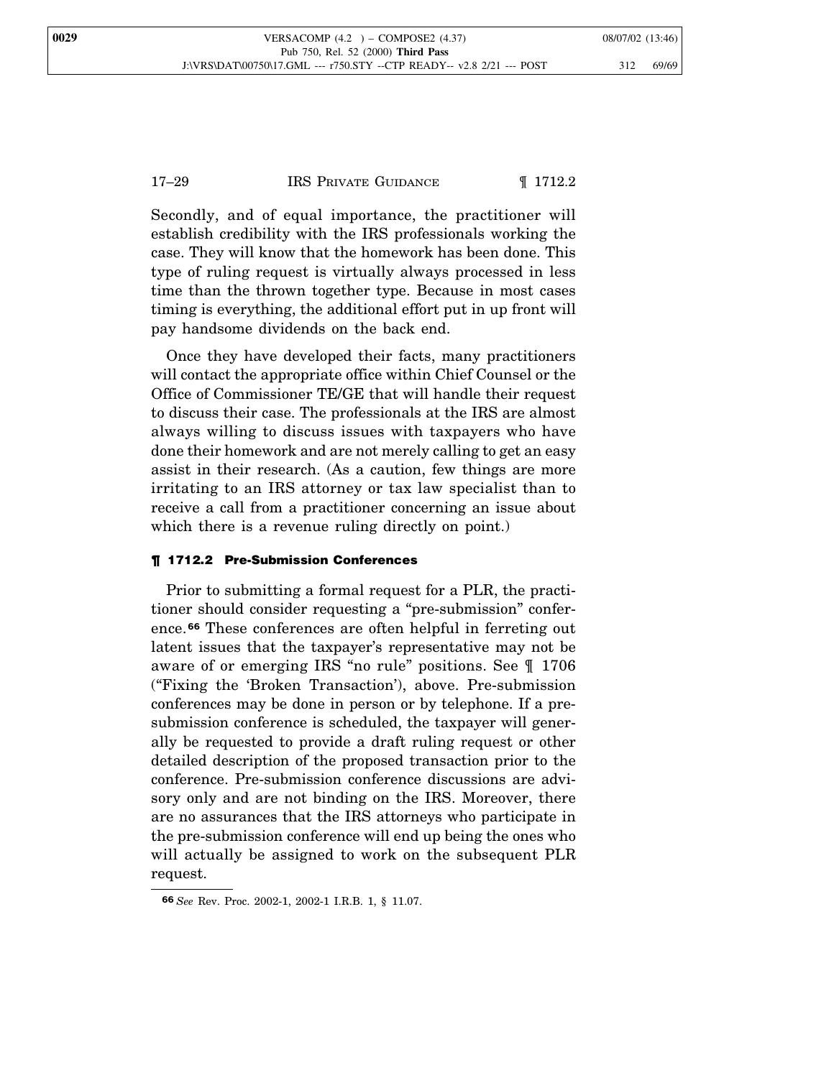## 17–29 IRS PRIVATE GUIDANCE 1712.2

Secondly, and of equal importance, the practitioner will establish credibility with the IRS professionals working the case. They will know that the homework has been done. This type of ruling request is virtually always processed in less time than the thrown together type. Because in most cases timing is everything, the additional effort put in up front will pay handsome dividends on the back end.

Once they have developed their facts, many practitioners will contact the appropriate office within Chief Counsel or the Office of Commissioner TE/GE that will handle their request to discuss their case. The professionals at the IRS are almost always willing to discuss issues with taxpayers who have done their homework and are not merely calling to get an easy assist in their research. (As a caution, few things are more irritating to an IRS attorney or tax law specialist than to receive a call from a practitioner concerning an issue about which there is a revenue ruling directly on point.)

#### ¶ 1712.2 Pre-Submission Conferences

Prior to submitting a formal request for a PLR, the practitioner should consider requesting a "pre-submission" conference.**<sup>66</sup>** These conferences are often helpful in ferreting out latent issues that the taxpayer's representative may not be aware of or emerging IRS "no rule" positions. See ¶ 1706 ("Fixing the 'Broken Transaction'), above. Pre-submission conferences may be done in person or by telephone. If a presubmission conference is scheduled, the taxpayer will generally be requested to provide a draft ruling request or other detailed description of the proposed transaction prior to the conference. Pre-submission conference discussions are advisory only and are not binding on the IRS. Moreover, there are no assurances that the IRS attorneys who participate in the pre-submission conference will end up being the ones who will actually be assigned to work on the subsequent PLR request.

**<sup>66</sup>** *See* Rev. Proc. 2002-1, 2002-1 I.R.B. 1, § 11.07.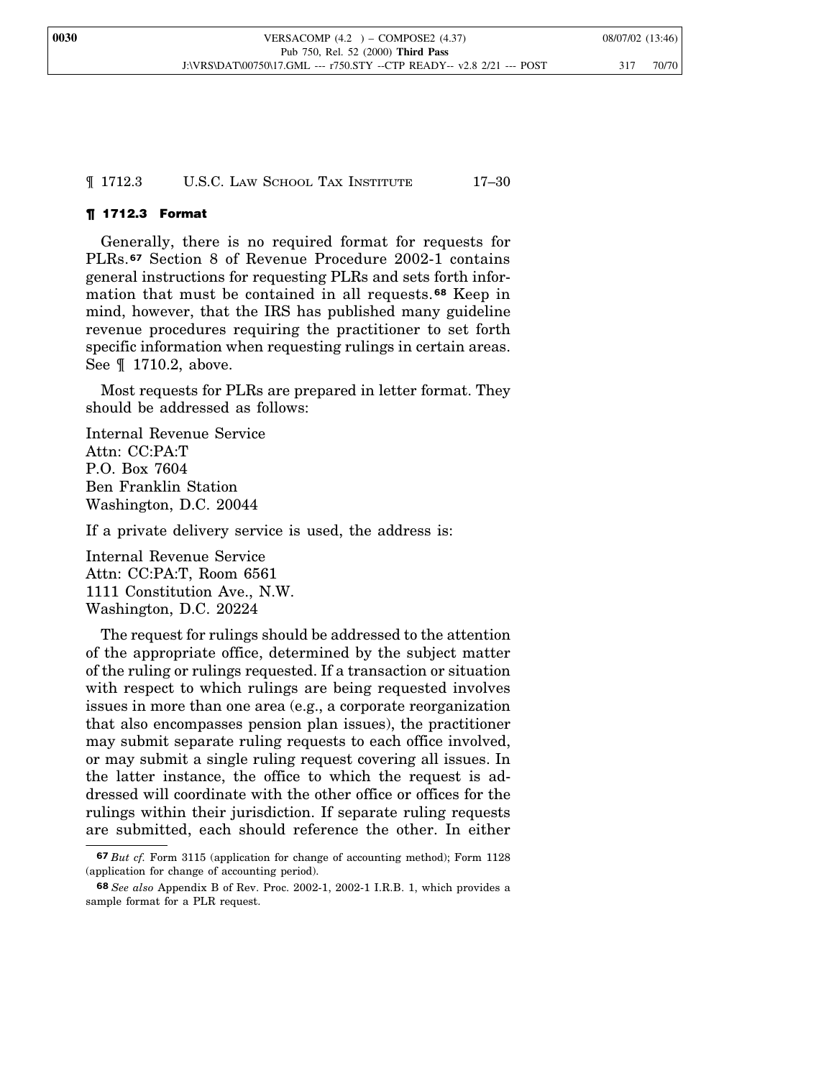¶ 1712.3 U.S.C. LAW SCHOOL TAX INSTITUTE 17–30

## ¶ 1712.3 Format

Generally, there is no required format for requests for PLRs.**<sup>67</sup>** Section 8 of Revenue Procedure 2002-1 contains general instructions for requesting PLRs and sets forth information that must be contained in all requests. **<sup>68</sup>** Keep in mind, however, that the IRS has published many guideline revenue procedures requiring the practitioner to set forth specific information when requesting rulings in certain areas. See ¶ 1710.2, above.

Most requests for PLRs are prepared in letter format. They should be addressed as follows:

Internal Revenue Service Attn: CC:PA:T P.O. Box 7604 Ben Franklin Station Washington, D.C. 20044

If a private delivery service is used, the address is:

Internal Revenue Service Attn: CC:PA:T, Room 6561 1111 Constitution Ave., N.W. Washington, D.C. 20224

The request for rulings should be addressed to the attention of the appropriate office, determined by the subject matter of the ruling or rulings requested. If a transaction or situation with respect to which rulings are being requested involves issues in more than one area (e.g., a corporate reorganization that also encompasses pension plan issues), the practitioner may submit separate ruling requests to each office involved, or may submit a single ruling request covering all issues. In the latter instance, the office to which the request is addressed will coordinate with the other office or offices for the rulings within their jurisdiction. If separate ruling requests are submitted, each should reference the other. In either

**<sup>67</sup>** *But cf.* Form 3115 (application for change of accounting method); Form 1128 (application for change of accounting period).

**<sup>68</sup>** *See also* Appendix B of Rev. Proc. 2002-1, 2002-1 I.R.B. 1, which provides a sample format for a PLR request.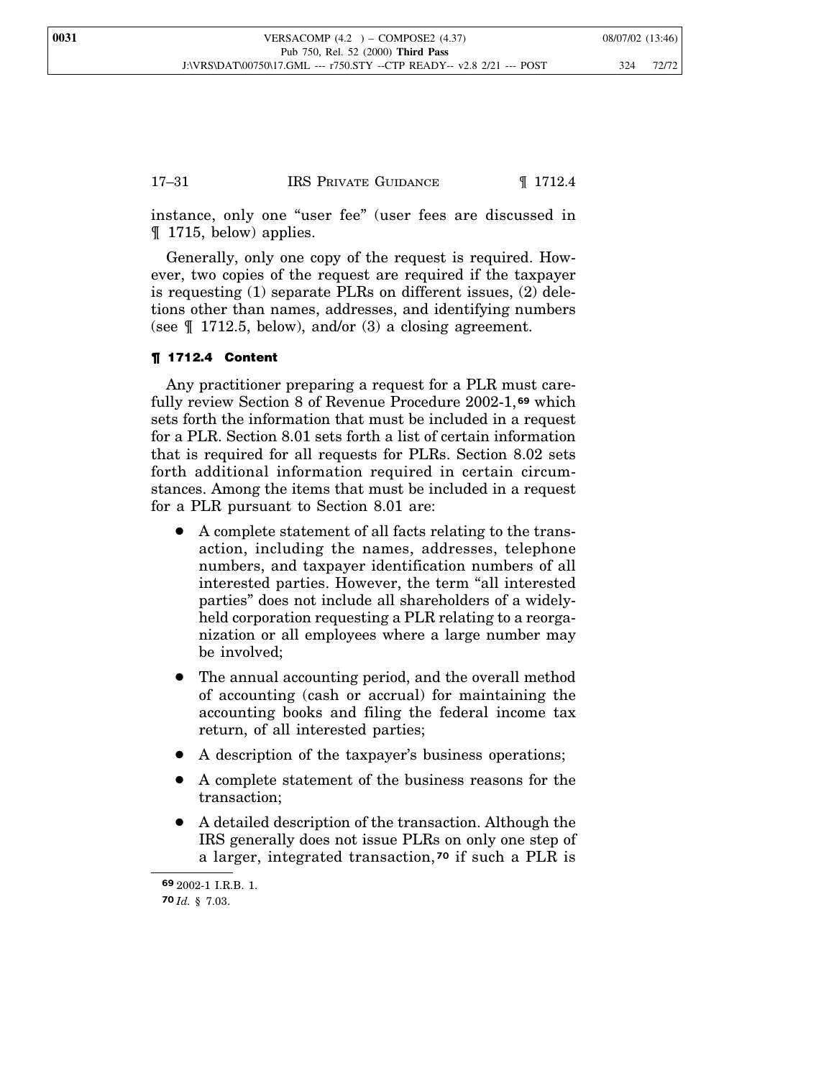## 17–31 IRS PRIVATE GUIDANCE 1712.4

instance, only one "user fee" (user fees are discussed in ¶ 1715, below) applies.

Generally, only one copy of the request is required. However, two copies of the request are required if the taxpayer is requesting (1) separate PLRs on different issues, (2) deletions other than names, addresses, and identifying numbers (see  $\llbracket$  1712.5, below), and/or (3) a closing agreement.

## ¶ 1712.4 Content

Any practitioner preparing a request for a PLR must carefully review Section 8 of Revenue Procedure 2002-1, **<sup>69</sup>** which sets forth the information that must be included in a request for a PLR. Section 8.01 sets forth a list of certain information that is required for all requests for PLRs. Section 8.02 sets forth additional information required in certain circumstances. Among the items that must be included in a request for a PLR pursuant to Section 8.01 are:

- A complete statement of all facts relating to the transaction, including the names, addresses, telephone numbers, and taxpayer identification numbers of all interested parties. However, the term "all interested parties" does not include all shareholders of a widelyheld corporation requesting a PLR relating to a reorganization or all employees where a large number may be involved;
- The annual accounting period, and the overall method of accounting (cash or accrual) for maintaining the accounting books and filing the federal income tax return, of all interested parties;
- A description of the taxpayer's business operations;
- A complete statement of the business reasons for the transaction;
- A detailed description of the transaction. Although the IRS generally does not issue PLRs on only one step of a larger, integrated transaction, **<sup>70</sup>** if such a PLR is

**<sup>69</sup>** 2002-1 I.R.B. 1. **70** *Id.* § 7.03.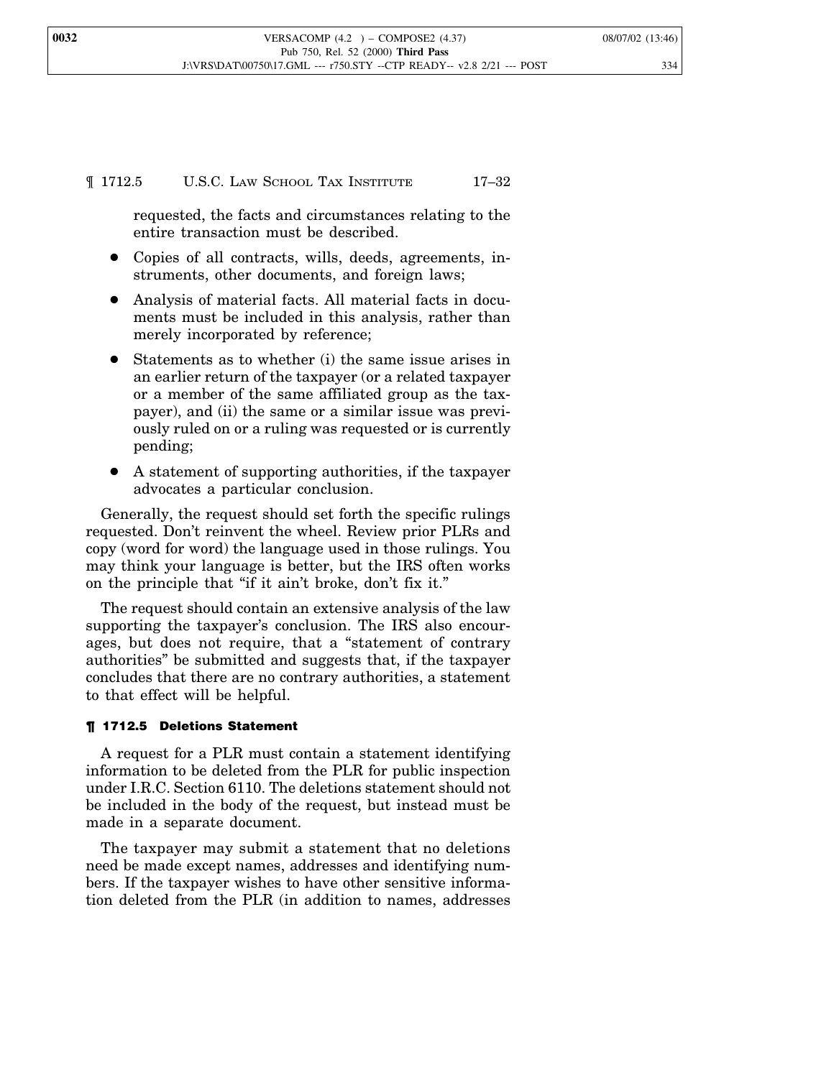## ¶ 1712.5 U.S.C. LAW SCHOOL TAX INSTITUTE 17–32

requested, the facts and circumstances relating to the entire transaction must be described.

- Copies of all contracts, wills, deeds, agreements, instruments, other documents, and foreign laws;
- Analysis of material facts. All material facts in documents must be included in this analysis, rather than merely incorporated by reference;
- Statements as to whether (i) the same issue arises in an earlier return of the taxpayer (or a related taxpayer or a member of the same affiliated group as the taxpayer), and (ii) the same or a similar issue was previously ruled on or a ruling was requested or is currently pending;
- A statement of supporting authorities, if the taxpayer advocates a particular conclusion.

Generally, the request should set forth the specific rulings requested. Don't reinvent the wheel. Review prior PLRs and copy (word for word) the language used in those rulings. You may think your language is better, but the IRS often works on the principle that "if it ain't broke, don't fix it."

The request should contain an extensive analysis of the law supporting the taxpayer's conclusion. The IRS also encourages, but does not require, that a "statement of contrary authorities" be submitted and suggests that, if the taxpayer concludes that there are no contrary authorities, a statement to that effect will be helpful.

#### ¶ 1712.5 Deletions Statement

A request for a PLR must contain a statement identifying information to be deleted from the PLR for public inspection under I.R.C. Section 6110. The deletions statement should not be included in the body of the request, but instead must be made in a separate document.

The taxpayer may submit a statement that no deletions need be made except names, addresses and identifying numbers. If the taxpayer wishes to have other sensitive information deleted from the PLR (in addition to names, addresses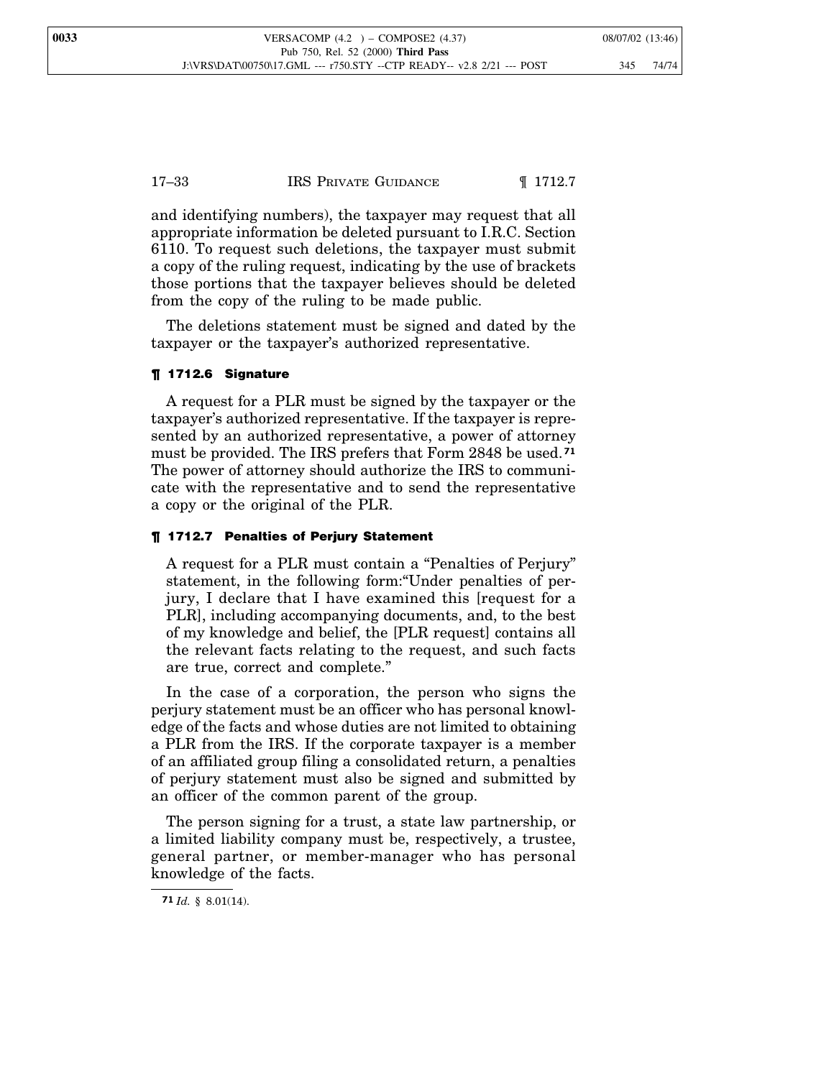17–33 IRS PRIVATE GUIDANCE 1712.7

and identifying numbers), the taxpayer may request that all appropriate information be deleted pursuant to I.R.C. Section 6110. To request such deletions, the taxpayer must submit a copy of the ruling request, indicating by the use of brackets those portions that the taxpayer believes should be deleted from the copy of the ruling to be made public.

The deletions statement must be signed and dated by the taxpayer or the taxpayer's authorized representative.

#### ¶ 1712.6 Signature

A request for a PLR must be signed by the taxpayer or the taxpayer's authorized representative. If the taxpayer is represented by an authorized representative, a power of attorney must be provided. The IRS prefers that Form 2848 be used.**<sup>71</sup>** The power of attorney should authorize the IRS to communicate with the representative and to send the representative a copy or the original of the PLR.

#### ¶ 1712.7 Penalties of Perjury Statement

A request for a PLR must contain a "Penalties of Perjury" statement, in the following form:"Under penalties of perjury, I declare that I have examined this [request for a PLR], including accompanying documents, and, to the best of my knowledge and belief, the [PLR request] contains all the relevant facts relating to the request, and such facts are true, correct and complete."

In the case of a corporation, the person who signs the perjury statement must be an officer who has personal knowledge of the facts and whose duties are not limited to obtaining a PLR from the IRS. If the corporate taxpayer is a member of an affiliated group filing a consolidated return, a penalties of perjury statement must also be signed and submitted by an officer of the common parent of the group.

The person signing for a trust, a state law partnership, or a limited liability company must be, respectively, a trustee, general partner, or member-manager who has personal knowledge of the facts.

**<sup>71</sup>** *Id.* § 8.01(14).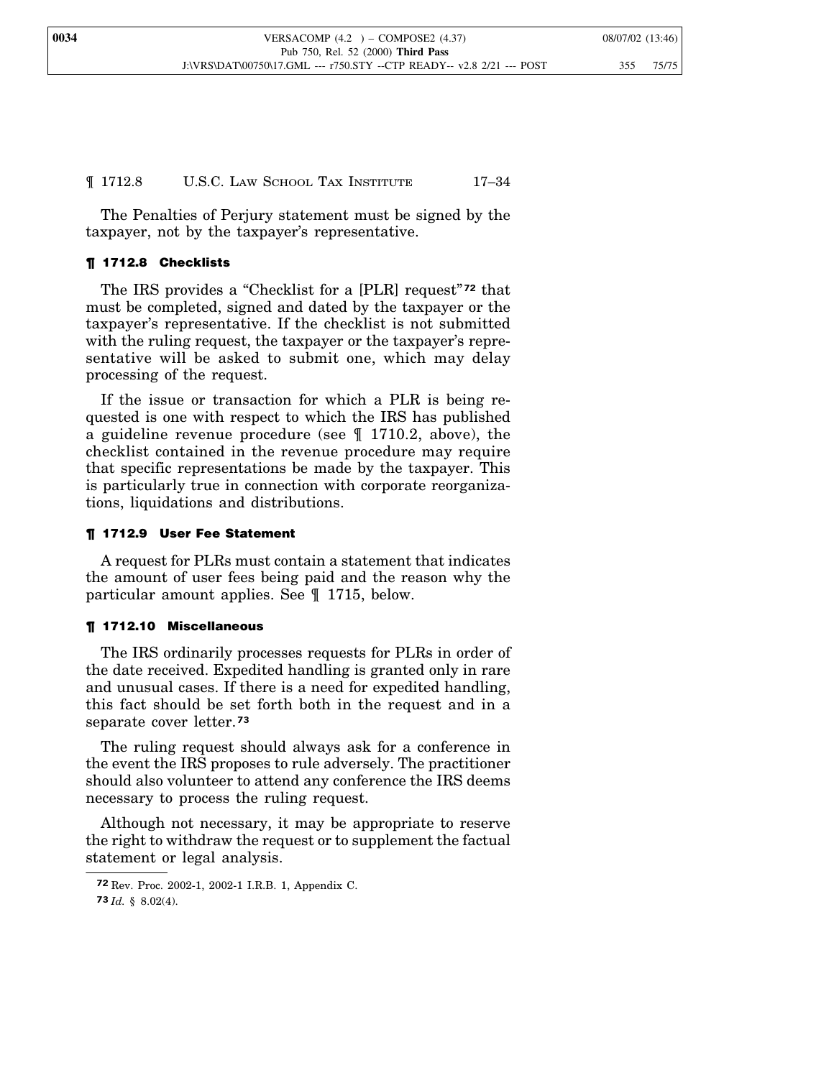## ¶ 1712.8 U.S.C. LAW SCHOOL TAX INSTITUTE 17–34

The Penalties of Perjury statement must be signed by the taxpayer, not by the taxpayer's representative.

## ¶ 1712.8 Checklists

The IRS provides a "Checklist for a [PLR] request" **<sup>72</sup>** that must be completed, signed and dated by the taxpayer or the taxpayer's representative. If the checklist is not submitted with the ruling request, the taxpayer or the taxpayer's representative will be asked to submit one, which may delay processing of the request.

If the issue or transaction for which a PLR is being requested is one with respect to which the IRS has published a guideline revenue procedure (see ¶ 1710.2, above), the checklist contained in the revenue procedure may require that specific representations be made by the taxpayer. This is particularly true in connection with corporate reorganizations, liquidations and distributions.

## ¶ 1712.9 User Fee Statement

A request for PLRs must contain a statement that indicates the amount of user fees being paid and the reason why the particular amount applies. See ¶ 1715, below.

## ¶ 1712.10 Miscellaneous

The IRS ordinarily processes requests for PLRs in order of the date received. Expedited handling is granted only in rare and unusual cases. If there is a need for expedited handling, this fact should be set forth both in the request and in a separate cover letter.**<sup>73</sup>**

The ruling request should always ask for a conference in the event the IRS proposes to rule adversely. The practitioner should also volunteer to attend any conference the IRS deems necessary to process the ruling request.

Although not necessary, it may be appropriate to reserve the right to withdraw the request or to supplement the factual statement or legal analysis.

**<sup>72</sup>** Rev. Proc. 2002-1, 2002-1 I.R.B. 1, Appendix C.

**<sup>73</sup>** *Id.* § 8.02(4).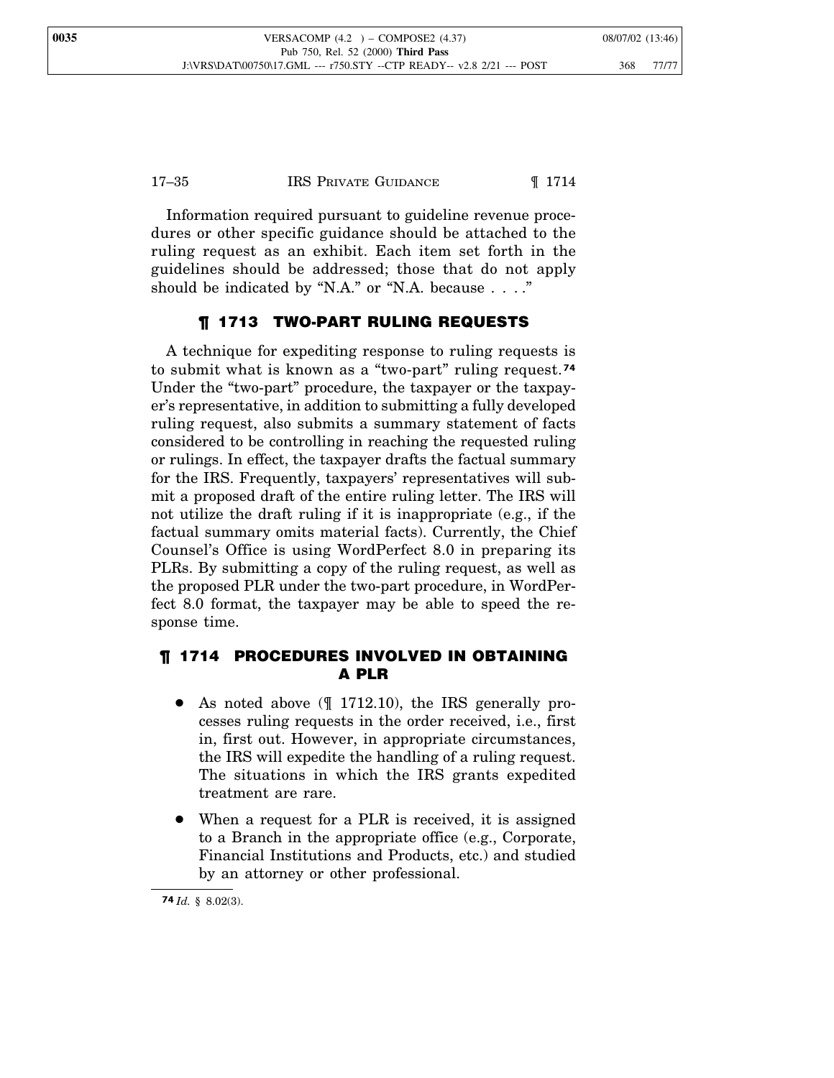17–35 IRS PRIVATE GUIDANCE ¶ 1714

Information required pursuant to guideline revenue procedures or other specific guidance should be attached to the ruling request as an exhibit. Each item set forth in the guidelines should be addressed; those that do not apply should be indicated by "N.A." or "N.A. because . . . ."

## ¶ 1713 TWO-PART RULING REQUESTS

A technique for expediting response to ruling requests is to submit what is known as a "two-part" ruling request.**<sup>74</sup>** Under the "two-part" procedure, the taxpayer or the taxpayer's representative, in addition to submitting a fully developed ruling request, also submits a summary statement of facts considered to be controlling in reaching the requested ruling or rulings. In effect, the taxpayer drafts the factual summary for the IRS. Frequently, taxpayers' representatives will submit a proposed draft of the entire ruling letter. The IRS will not utilize the draft ruling if it is inappropriate (e.g., if the factual summary omits material facts). Currently, the Chief Counsel's Office is using WordPerfect 8.0 in preparing its PLRs. By submitting a copy of the ruling request, as well as the proposed PLR under the two-part procedure, in WordPerfect 8.0 format, the taxpayer may be able to speed the response time.

## ¶ 1714 PROCEDURES INVOLVED IN OBTAINING A PLR

- As noted above  $($   $\parallel$  1712.10), the IRS generally processes ruling requests in the order received, i.e., first in, first out. However, in appropriate circumstances, the IRS will expedite the handling of a ruling request. The situations in which the IRS grants expedited treatment are rare.
- When a request for a PLR is received, it is assigned to a Branch in the appropriate office (e.g., Corporate, Financial Institutions and Products, etc.) and studied by an attorney or other professional.

**<sup>74</sup>** *Id.* § 8.02(3).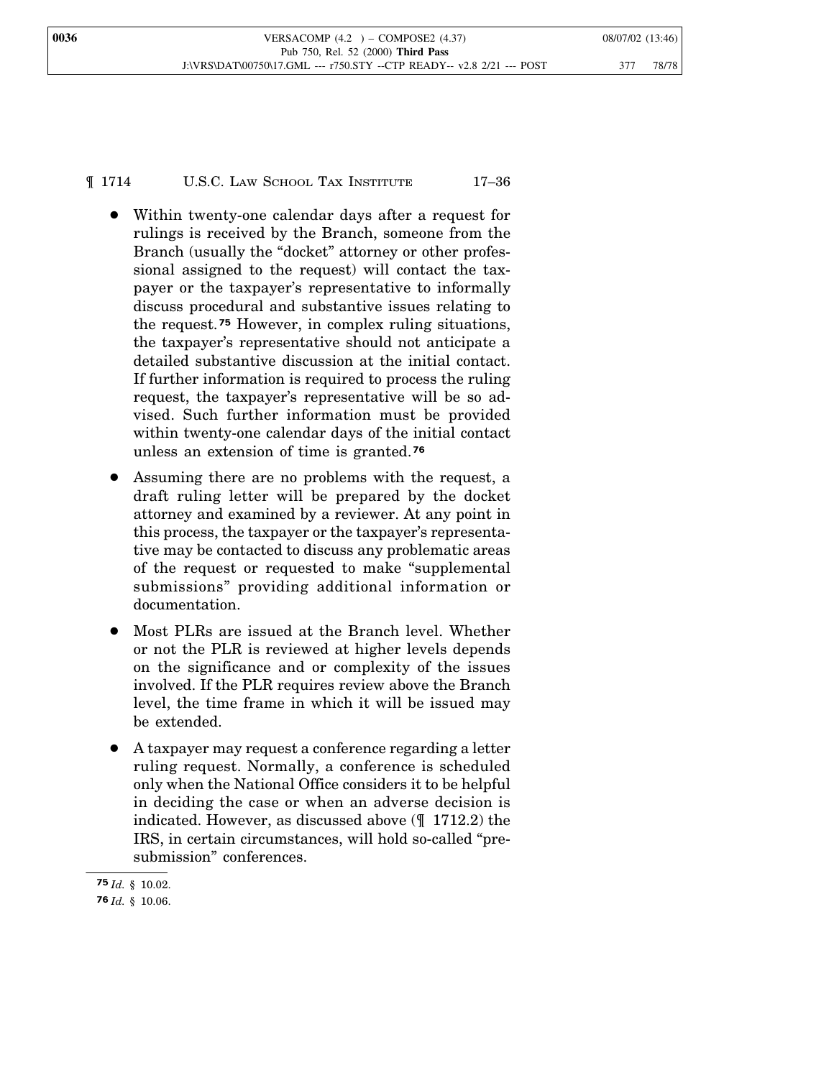¶ 1714 U.S.C. LAW SCHOOL TAX INSTITUTE 17–36

- Within twenty-one calendar days after a request for rulings is received by the Branch, someone from the Branch (usually the "docket" attorney or other professional assigned to the request) will contact the taxpayer or the taxpayer's representative to informally discuss procedural and substantive issues relating to the request. **<sup>75</sup>** However, in complex ruling situations, the taxpayer's representative should not anticipate a detailed substantive discussion at the initial contact. If further information is required to process the ruling request, the taxpayer's representative will be so advised. Such further information must be provided within twenty-one calendar days of the initial contact unless an extension of time is granted.**<sup>76</sup>**
- Assuming there are no problems with the request, a draft ruling letter will be prepared by the docket attorney and examined by a reviewer. At any point in this process, the taxpayer or the taxpayer's representative may be contacted to discuss any problematic areas of the request or requested to make "supplemental submissions" providing additional information or documentation.
- Most PLRs are issued at the Branch level. Whether or not the PLR is reviewed at higher levels depends on the significance and or complexity of the issues involved. If the PLR requires review above the Branch level, the time frame in which it will be issued may be extended.
- A taxpayer may request a conference regarding a letter ruling request. Normally, a conference is scheduled only when the National Office considers it to be helpful in deciding the case or when an adverse decision is indicated. However, as discussed above (¶ 1712.2) the IRS, in certain circumstances, will hold so-called "presubmission" conferences.

**<sup>75</sup>** *Id.* § 10.02.

**<sup>76</sup>** *Id.* § 10.06.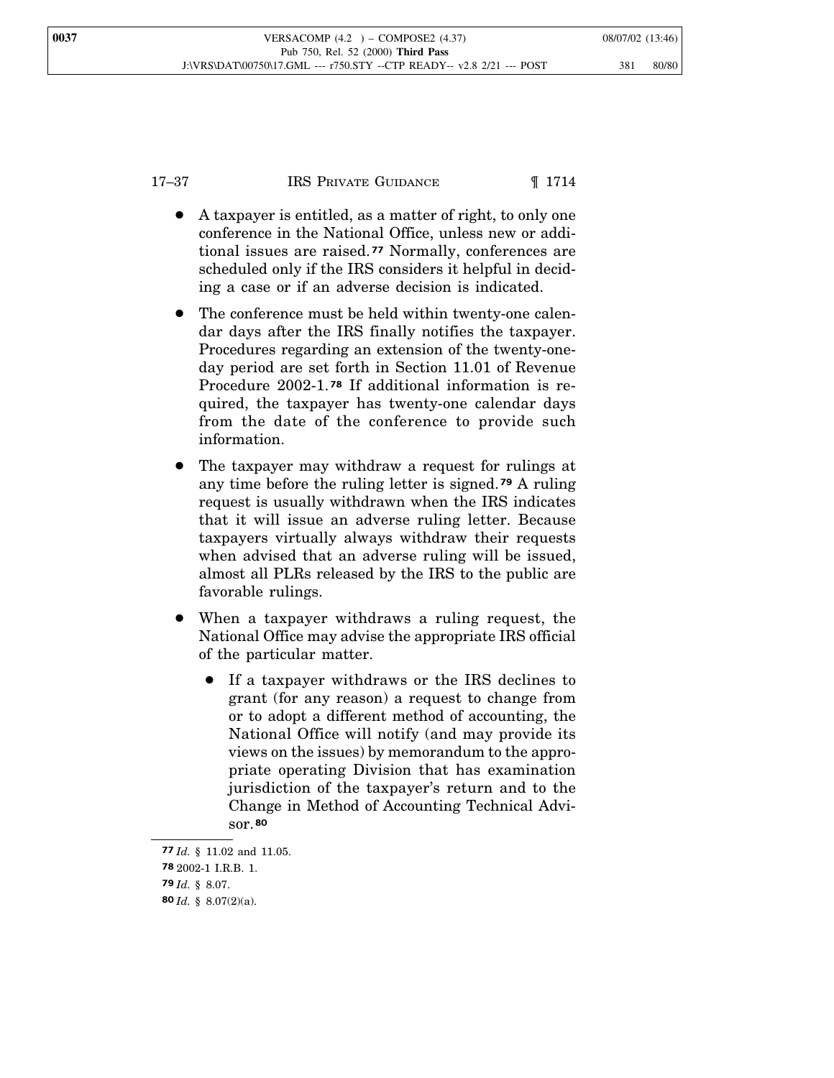- A taxpayer is entitled, as a matter of right, to only one conference in the National Office, unless new or additional issues are raised. **<sup>77</sup>** Normally, conferences are scheduled only if the IRS considers it helpful in deciding a case or if an adverse decision is indicated.
- The conference must be held within twenty-one calendar days after the IRS finally notifies the taxpayer. Procedures regarding an extension of the twenty-oneday period are set forth in Section 11.01 of Revenue Procedure 2002-1. **<sup>78</sup>** If additional information is required, the taxpayer has twenty-one calendar days from the date of the conference to provide such information.
- The taxpayer may withdraw a request for rulings at any time before the ruling letter is signed. **<sup>79</sup>** A ruling request is usually withdrawn when the IRS indicates that it will issue an adverse ruling letter. Because taxpayers virtually always withdraw their requests when advised that an adverse ruling will be issued, almost all PLRs released by the IRS to the public are favorable rulings.
- When a taxpayer withdraws a ruling request, the National Office may advise the appropriate IRS official of the particular matter.
	- If a taxpayer withdraws or the IRS declines to grant (for any reason) a request to change from or to adopt a different method of accounting, the National Office will notify (and may provide its views on the issues) by memorandum to the appropriate operating Division that has examination jurisdiction of the taxpayer's return and to the Change in Method of Accounting Technical Advisor.**<sup>80</sup>**

**<sup>77</sup>** *Id.* § 11.02 and 11.05. **78** 2002-1 I.R.B. 1. **79** *Id.* § 8.07. **80** *Id.* § 8.07(2)(a).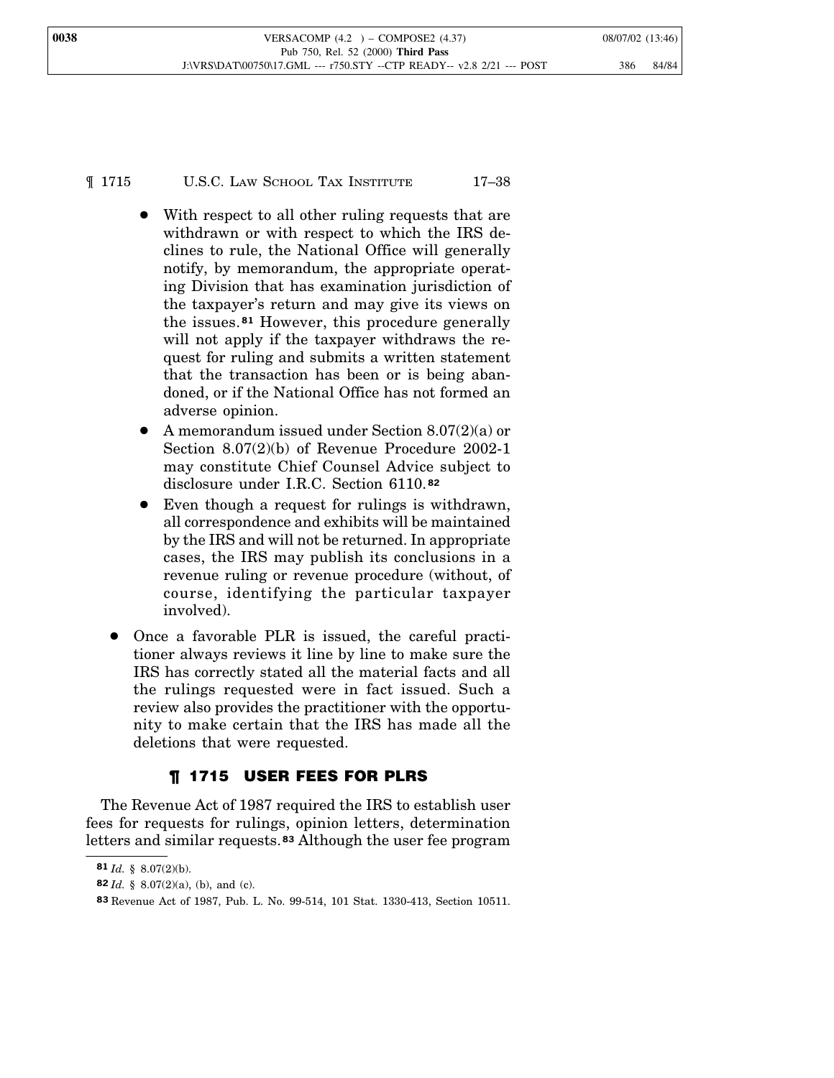¶ 1715 U.S.C. LAW SCHOOL TAX INSTITUTE 17–38

- With respect to all other ruling requests that are withdrawn or with respect to which the IRS declines to rule, the National Office will generally notify, by memorandum, the appropriate operating Division that has examination jurisdiction of the taxpayer's return and may give its views on the issues.**<sup>81</sup>** However, this procedure generally will not apply if the taxpayer withdraws the request for ruling and submits a written statement that the transaction has been or is being abandoned, or if the National Office has not formed an adverse opinion.
- A memorandum issued under Section  $8.07(2)(a)$  or Section 8.07(2)(b) of Revenue Procedure 2002-1 may constitute Chief Counsel Advice subject to disclosure under I.R.C. Section 6110. **82**
- Even though a request for rulings is withdrawn, all correspondence and exhibits will be maintained by the IRS and will not be returned. In appropriate cases, the IRS may publish its conclusions in a revenue ruling or revenue procedure (without, of course, identifying the particular taxpayer involved).
- Once a favorable PLR is issued, the careful practitioner always reviews it line by line to make sure the IRS has correctly stated all the material facts and all the rulings requested were in fact issued. Such a review also provides the practitioner with the opportunity to make certain that the IRS has made all the deletions that were requested.

## ¶ 1715 USER FEES FOR PLRS

The Revenue Act of 1987 required the IRS to establish user fees for requests for rulings, opinion letters, determination letters and similar requests.**<sup>83</sup>** Although the user fee program

**<sup>81</sup>** *Id.* § 8.07(2)(b).

**<sup>82</sup>** *Id.* § 8.07(2)(a), (b), and (c).

**<sup>83</sup>** Revenue Act of 1987, Pub. L. No. 99-514, 101 Stat. 1330-413, Section 10511.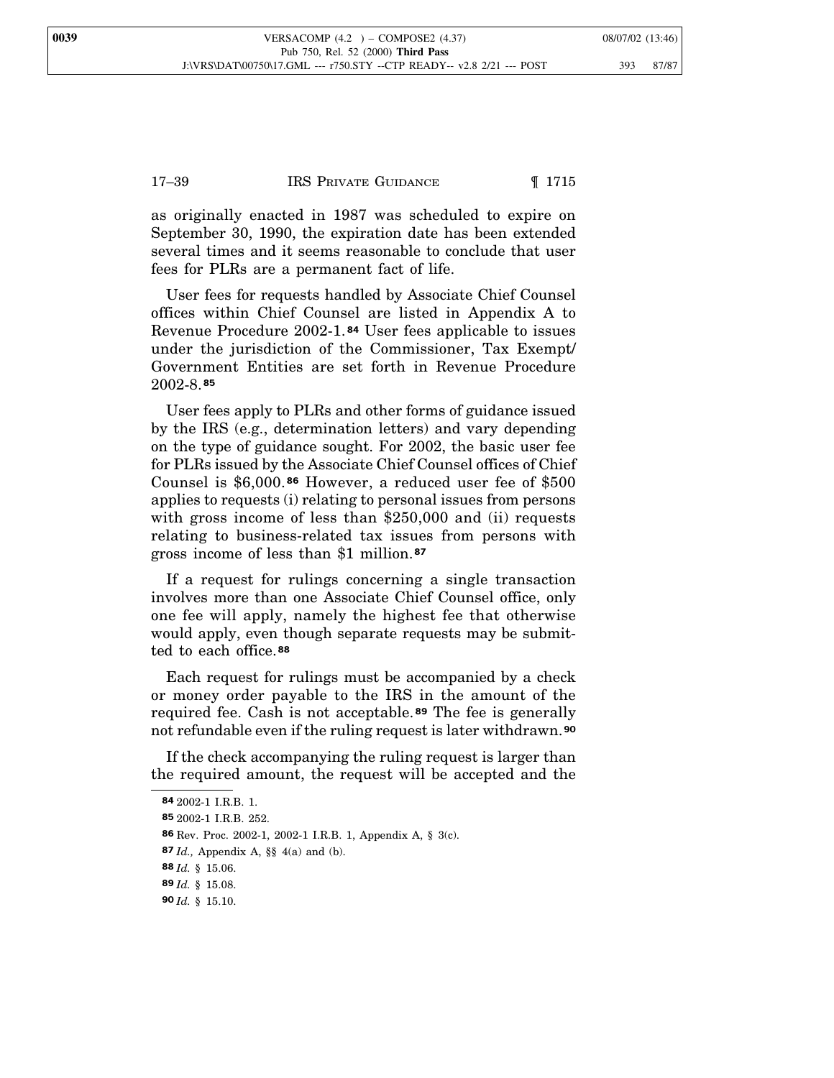## 17–39 IRS PRIVATE GUIDANCE ¶ 1715

as originally enacted in 1987 was scheduled to expire on September 30, 1990, the expiration date has been extended several times and it seems reasonable to conclude that user fees for PLRs are a permanent fact of life.

User fees for requests handled by Associate Chief Counsel offices within Chief Counsel are listed in Appendix A to Revenue Procedure 2002-1. **<sup>84</sup>** User fees applicable to issues under the jurisdiction of the Commissioner, Tax Exempt/ Government Entities are set forth in Revenue Procedure 2002-8. **85**

User fees apply to PLRs and other forms of guidance issued by the IRS (e.g., determination letters) and vary depending on the type of guidance sought. For 2002, the basic user fee for PLRs issued by the Associate Chief Counsel offices of Chief Counsel is \$6,000. **<sup>86</sup>** However, a reduced user fee of \$500 applies to requests (i) relating to personal issues from persons with gross income of less than \$250,000 and (ii) requests relating to business-related tax issues from persons with gross income of less than \$1 million.**<sup>87</sup>**

If a request for rulings concerning a single transaction involves more than one Associate Chief Counsel office, only one fee will apply, namely the highest fee that otherwise would apply, even though separate requests may be submitted to each office.**<sup>88</sup>**

Each request for rulings must be accompanied by a check or money order payable to the IRS in the amount of the required fee. Cash is not acceptable. **<sup>89</sup>** The fee is generally not refundable even if the ruling request is later withdrawn.**<sup>90</sup>**

If the check accompanying the ruling request is larger than the required amount, the request will be accepted and the

**<sup>84</sup>** 2002-1 I.R.B. 1.

**<sup>85</sup>** 2002-1 I.R.B. 252.

**<sup>86</sup>** Rev. Proc. 2002-1, 2002-1 I.R.B. 1, Appendix A, § 3(c).

**<sup>87</sup>** *Id.,* Appendix A, §§ 4(a) and (b).

**<sup>88</sup>** *Id.* § 15.06.

**<sup>89</sup>** *Id.* § 15.08.

**<sup>90</sup>** *Id.* § 15.10.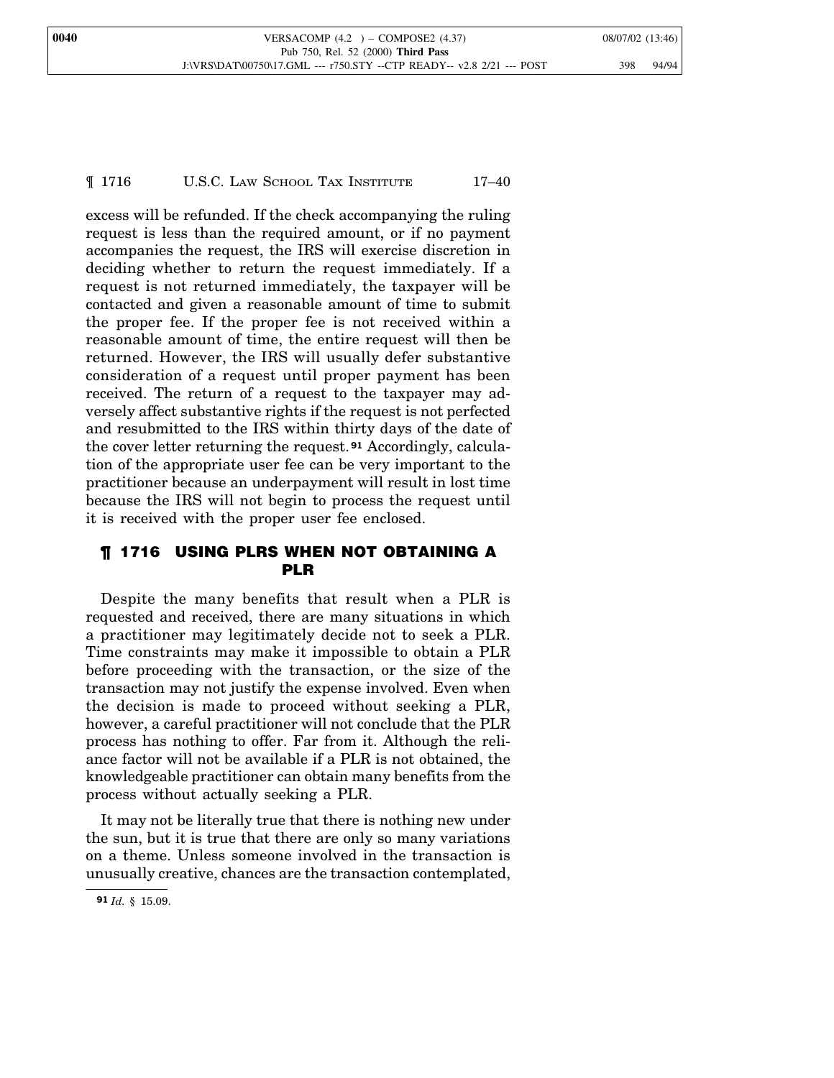## ¶ 1716 U.S.C. LAW SCHOOL TAX INSTITUTE 17–40

excess will be refunded. If the check accompanying the ruling request is less than the required amount, or if no payment accompanies the request, the IRS will exercise discretion in deciding whether to return the request immediately. If a request is not returned immediately, the taxpayer will be contacted and given a reasonable amount of time to submit the proper fee. If the proper fee is not received within a reasonable amount of time, the entire request will then be returned. However, the IRS will usually defer substantive consideration of a request until proper payment has been received. The return of a request to the taxpayer may adversely affect substantive rights if the request is not perfected and resubmitted to the IRS within thirty days of the date of the cover letter returning the request. **<sup>91</sup>** Accordingly, calculation of the appropriate user fee can be very important to the practitioner because an underpayment will result in lost time because the IRS will not begin to process the request until it is received with the proper user fee enclosed.

## ¶ 1716 USING PLRS WHEN NOT OBTAINING A PLR

Despite the many benefits that result when a PLR is requested and received, there are many situations in which a practitioner may legitimately decide not to seek a PLR. Time constraints may make it impossible to obtain a PLR before proceeding with the transaction, or the size of the transaction may not justify the expense involved. Even when the decision is made to proceed without seeking a PLR, however, a careful practitioner will not conclude that the PLR process has nothing to offer. Far from it. Although the reliance factor will not be available if a PLR is not obtained, the knowledgeable practitioner can obtain many benefits from the process without actually seeking a PLR.

It may not be literally true that there is nothing new under the sun, but it is true that there are only so many variations on a theme. Unless someone involved in the transaction is unusually creative, chances are the transaction contemplated,

**<sup>91</sup>** *Id.* § 15.09.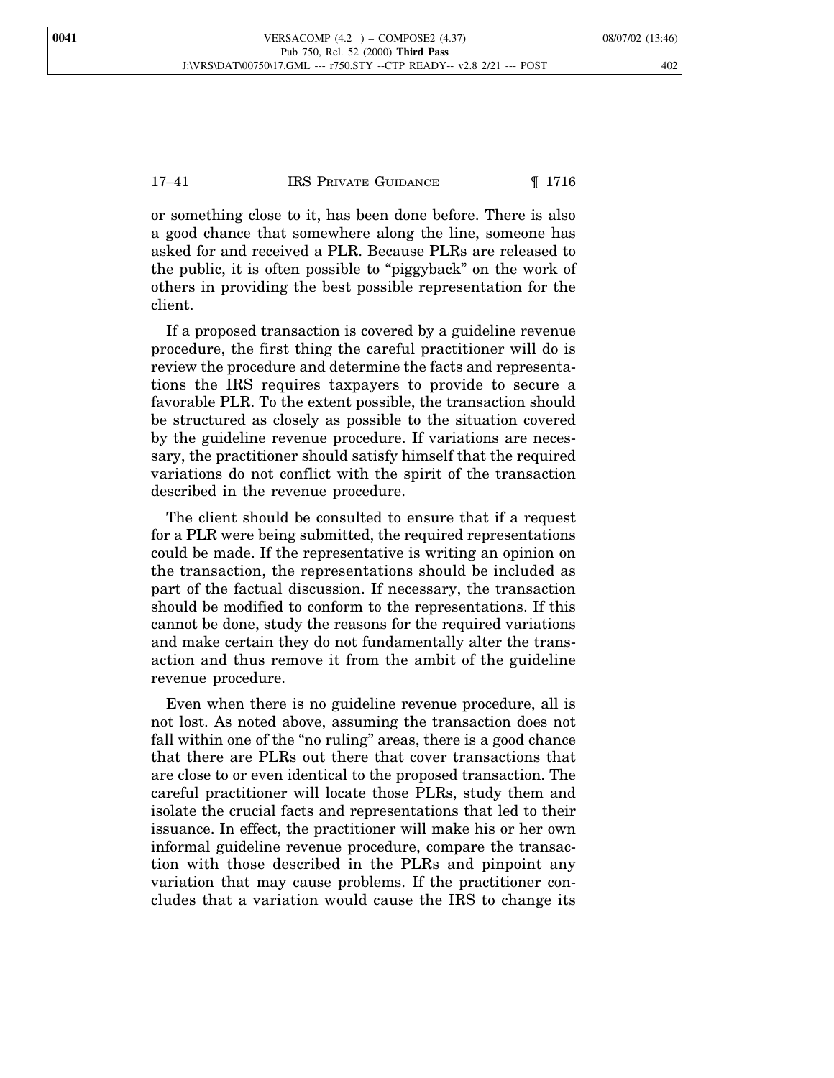## 17–41 **IRS PRIVATE GUIDANCE II** 1716

or something close to it, has been done before. There is also a good chance that somewhere along the line, someone has asked for and received a PLR. Because PLRs are released to the public, it is often possible to "piggyback" on the work of others in providing the best possible representation for the client.

If a proposed transaction is covered by a guideline revenue procedure, the first thing the careful practitioner will do is review the procedure and determine the facts and representations the IRS requires taxpayers to provide to secure a favorable PLR. To the extent possible, the transaction should be structured as closely as possible to the situation covered by the guideline revenue procedure. If variations are necessary, the practitioner should satisfy himself that the required variations do not conflict with the spirit of the transaction described in the revenue procedure.

The client should be consulted to ensure that if a request for a PLR were being submitted, the required representations could be made. If the representative is writing an opinion on the transaction, the representations should be included as part of the factual discussion. If necessary, the transaction should be modified to conform to the representations. If this cannot be done, study the reasons for the required variations and make certain they do not fundamentally alter the transaction and thus remove it from the ambit of the guideline revenue procedure.

Even when there is no guideline revenue procedure, all is not lost. As noted above, assuming the transaction does not fall within one of the "no ruling" areas, there is a good chance that there are PLRs out there that cover transactions that are close to or even identical to the proposed transaction. The careful practitioner will locate those PLRs, study them and isolate the crucial facts and representations that led to their issuance. In effect, the practitioner will make his or her own informal guideline revenue procedure, compare the transaction with those described in the PLRs and pinpoint any variation that may cause problems. If the practitioner concludes that a variation would cause the IRS to change its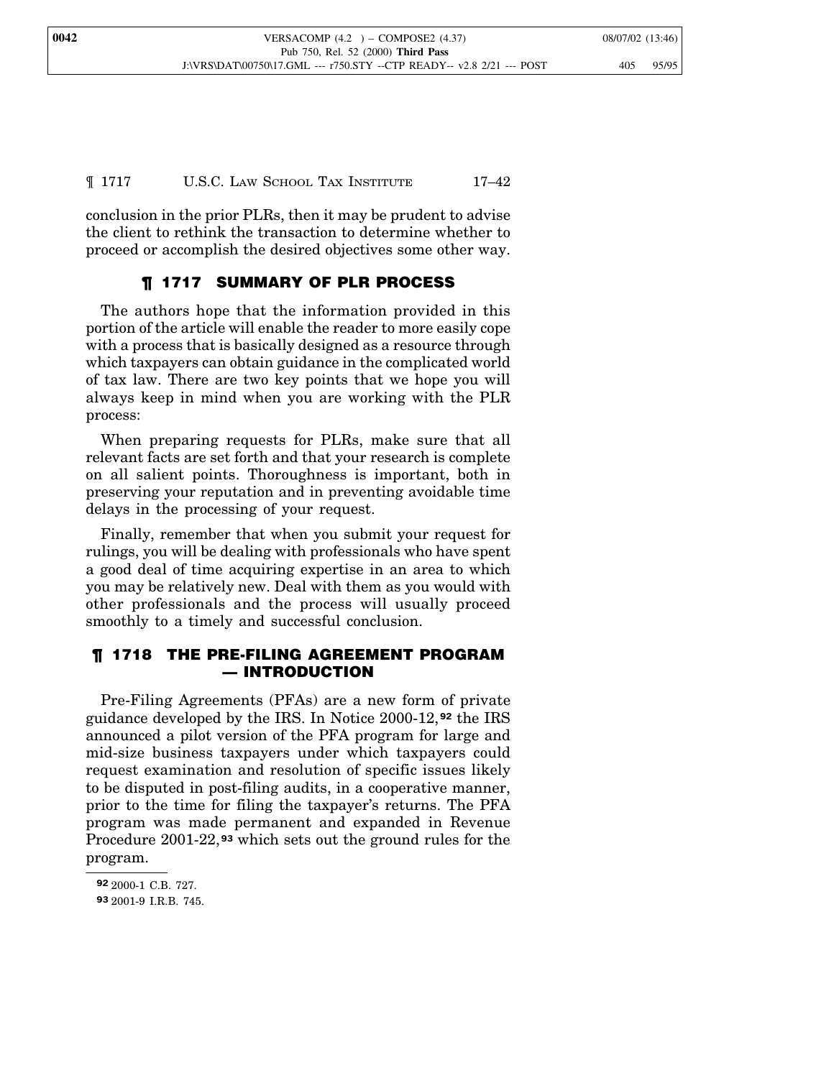conclusion in the prior PLRs, then it may be prudent to advise the client to rethink the transaction to determine whether to proceed or accomplish the desired objectives some other way.

## ¶ 1717 SUMMARY OF PLR PROCESS

The authors hope that the information provided in this portion of the article will enable the reader to more easily cope with a process that is basically designed as a resource through which taxpayers can obtain guidance in the complicated world of tax law. There are two key points that we hope you will always keep in mind when you are working with the PLR process:

When preparing requests for PLRs, make sure that all relevant facts are set forth and that your research is complete on all salient points. Thoroughness is important, both in preserving your reputation and in preventing avoidable time delays in the processing of your request.

Finally, remember that when you submit your request for rulings, you will be dealing with professionals who have spent a good deal of time acquiring expertise in an area to which you may be relatively new. Deal with them as you would with other professionals and the process will usually proceed smoothly to a timely and successful conclusion.

## ¶ 1718 THE PRE-FILING AGREEMENT PROGRAM — INTRODUCTION

Pre-Filing Agreements (PFAs) are a new form of private guidance developed by the IRS. In Notice 2000-12, **<sup>92</sup>** the IRS announced a pilot version of the PFA program for large and mid-size business taxpayers under which taxpayers could request examination and resolution of specific issues likely to be disputed in post-filing audits, in a cooperative manner, prior to the time for filing the taxpayer's returns. The PFA program was made permanent and expanded in Revenue Procedure 2001-22, **<sup>93</sup>** which sets out the ground rules for the program.

**<sup>92</sup>** 2000-1 C.B. 727.

**<sup>93</sup>** 2001-9 I.R.B. 745.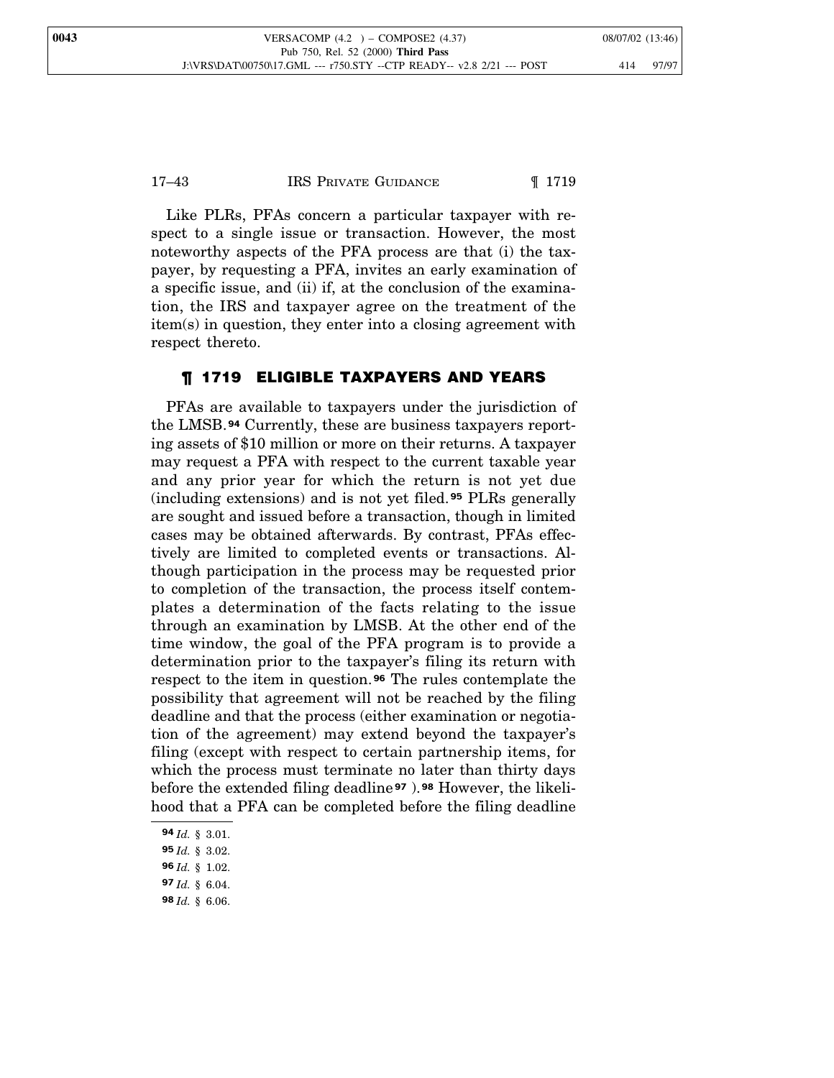#### 17–43 **IRS PRIVATE GUIDANCE I** 1719

Like PLRs, PFAs concern a particular taxpayer with respect to a single issue or transaction. However, the most noteworthy aspects of the PFA process are that (i) the taxpayer, by requesting a PFA, invites an early examination of a specific issue, and (ii) if, at the conclusion of the examination, the IRS and taxpayer agree on the treatment of the item(s) in question, they enter into a closing agreement with respect thereto.

## ¶ 1719 ELIGIBLE TAXPAYERS AND YEARS

PFAs are available to taxpayers under the jurisdiction of the LMSB.**<sup>94</sup>** Currently, these are business taxpayers reporting assets of \$10 million or more on their returns. A taxpayer may request a PFA with respect to the current taxable year and any prior year for which the return is not yet due (including extensions) and is not yet filed. **<sup>95</sup>** PLRs generally are sought and issued before a transaction, though in limited cases may be obtained afterwards. By contrast, PFAs effectively are limited to completed events or transactions. Although participation in the process may be requested prior to completion of the transaction, the process itself contemplates a determination of the facts relating to the issue through an examination by LMSB. At the other end of the time window, the goal of the PFA program is to provide a determination prior to the taxpayer's filing its return with respect to the item in question. **<sup>96</sup>** The rules contemplate the possibility that agreement will not be reached by the filing deadline and that the process (either examination or negotiation of the agreement) may extend beyond the taxpayer's filing (except with respect to certain partnership items, for which the process must terminate no later than thirty days before the extended filing deadline **<sup>97</sup>** ).**<sup>98</sup>** However, the likelihood that a PFA can be completed before the filing deadline

- **97** *Id.* § 6.04.
- **98** *Id.* § 6.06.

**<sup>94</sup>** *Id.* § 3.01.

**<sup>95</sup>** *Id.* § 3.02.

**<sup>96</sup>** *Id.* § 1.02.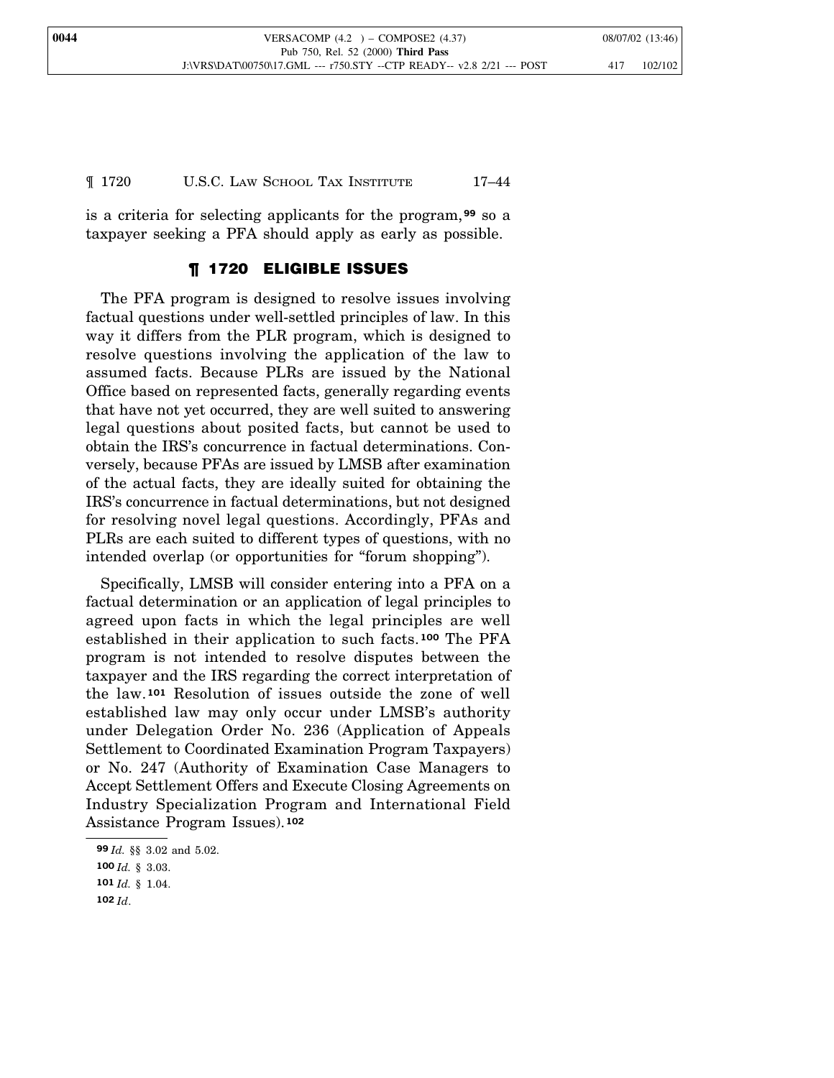**0044** VERSACOMP (4.2 ) – COMPOSE2 (4.37) 08/07/02 (13:46) Pub 750, Rel. 52 (2000) **Third Pass** J:\VRS\DAT\00750\17.GML --- r750.STY --CTP READY-- v2.8 2/21 --- POST 417 102/102

#### ¶ 1720 U.S.C. LAW SCHOOL TAX INSTITUTE 17–44

is a criteria for selecting applicants for the program,**<sup>99</sup>** so a taxpayer seeking a PFA should apply as early as possible.

## ¶ 1720 ELIGIBLE ISSUES

The PFA program is designed to resolve issues involving factual questions under well-settled principles of law. In this way it differs from the PLR program, which is designed to resolve questions involving the application of the law to assumed facts. Because PLRs are issued by the National Office based on represented facts, generally regarding events that have not yet occurred, they are well suited to answering legal questions about posited facts, but cannot be used to obtain the IRS's concurrence in factual determinations. Conversely, because PFAs are issued by LMSB after examination of the actual facts, they are ideally suited for obtaining the IRS's concurrence in factual determinations, but not designed for resolving novel legal questions. Accordingly, PFAs and PLRs are each suited to different types of questions, with no intended overlap (or opportunities for "forum shopping").

Specifically, LMSB will consider entering into a PFA on a factual determination or an application of legal principles to agreed upon facts in which the legal principles are well established in their application to such facts. **<sup>100</sup>** The PFA program is not intended to resolve disputes between the taxpayer and the IRS regarding the correct interpretation of the law.**<sup>101</sup>** Resolution of issues outside the zone of well established law may only occur under LMSB's authority under Delegation Order No. 236 (Application of Appeals Settlement to Coordinated Examination Program Taxpayers) or No. 247 (Authority of Examination Case Managers to Accept Settlement Offers and Execute Closing Agreements on Industry Specialization Program and International Field Assistance Program Issues).**<sup>102</sup>**

**<sup>99</sup>** *Id.* §§ 3.02 and 5.02.

**<sup>100</sup>** *Id.* § 3.03.

**<sup>101</sup>** *Id.* § 1.04.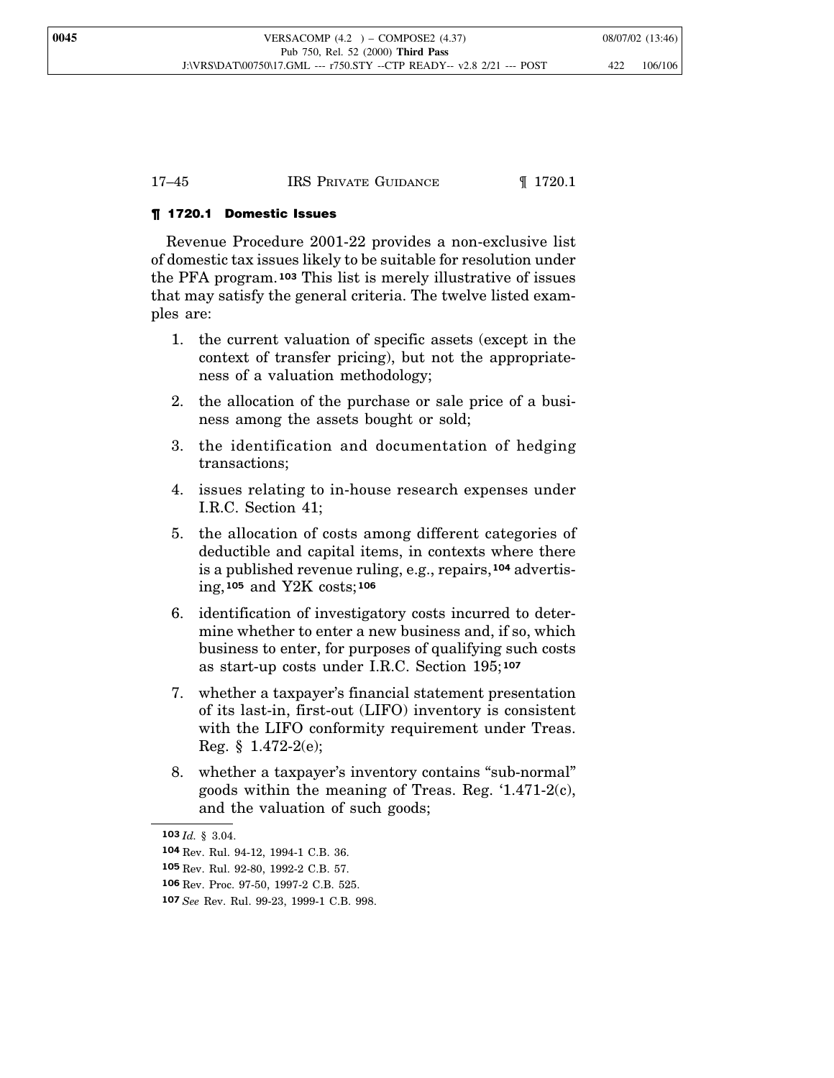| IRS PRIVATE GUIDANCE<br>17–45 | $\P$ 1720.1 |
|-------------------------------|-------------|
|-------------------------------|-------------|

## ¶ 1720.1 Domestic Issues

Revenue Procedure 2001-22 provides a non-exclusive list of domestic tax issues likely to be suitable for resolution under the PFA program.**<sup>103</sup>** This list is merely illustrative of issues that may satisfy the general criteria. The twelve listed examples are:

- 1. the current valuation of specific assets (except in the context of transfer pricing), but not the appropriateness of a valuation methodology;
- 2. the allocation of the purchase or sale price of a business among the assets bought or sold;
- 3. the identification and documentation of hedging transactions;
- 4. issues relating to in-house research expenses under I.R.C. Section 41;
- 5. the allocation of costs among different categories of deductible and capital items, in contexts where there is a published revenue ruling, e.g., repairs,**<sup>104</sup>** advertising,**<sup>105</sup>** and Y2K costs;**<sup>106</sup>**
- 6. identification of investigatory costs incurred to determine whether to enter a new business and, if so, which business to enter, for purposes of qualifying such costs as start-up costs under I.R.C. Section 195; **107**
- 7. whether a taxpayer's financial statement presentation of its last-in, first-out (LIFO) inventory is consistent with the LIFO conformity requirement under Treas. Reg.  $§$  1.472-2(e);
- 8. whether a taxpayer's inventory contains "sub-normal" goods within the meaning of Treas. Reg. '1.471-2(c), and the valuation of such goods;

**<sup>103</sup>** *Id.* § 3.04.

**<sup>104</sup>** Rev. Rul. 94-12, 1994-1 C.B. 36.

**<sup>105</sup>** Rev. Rul. 92-80, 1992-2 C.B. 57.

**<sup>106</sup>** Rev. Proc. 97-50, 1997-2 C.B. 525.

**<sup>107</sup>** *See* Rev. Rul. 99-23, 1999-1 C.B. 998.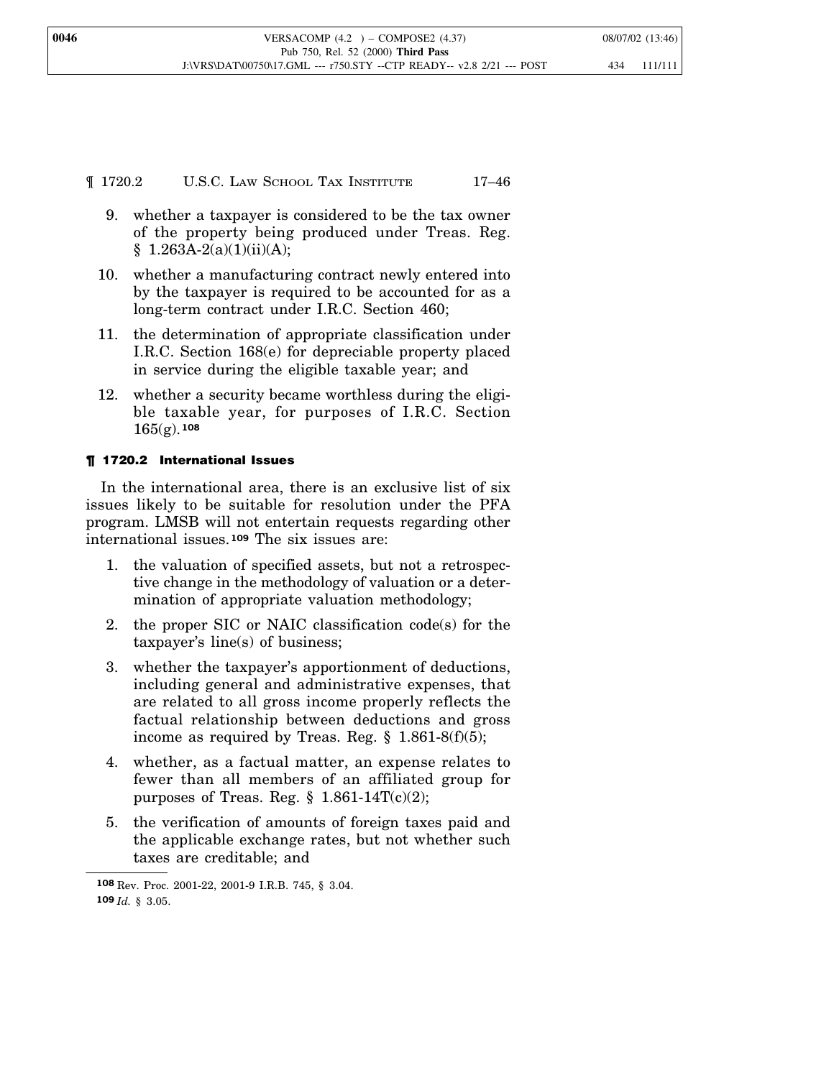¶ 1720.2 U.S.C. LAW SCHOOL TAX INSTITUTE 17–46

- 9. whether a taxpayer is considered to be the tax owner of the property being produced under Treas. Reg.  $$ 1.263A-2(a)(1)(ii)(A);$
- 10. whether a manufacturing contract newly entered into by the taxpayer is required to be accounted for as a long-term contract under I.R.C. Section 460;
- 11. the determination of appropriate classification under I.R.C. Section 168(e) for depreciable property placed in service during the eligible taxable year; and
- 12. whether a security became worthless during the eligible taxable year, for purposes of I.R.C. Section 165(g). **108**

## ¶ 1720.2 International Issues

In the international area, there is an exclusive list of six issues likely to be suitable for resolution under the PFA program. LMSB will not entertain requests regarding other international issues.**<sup>109</sup>** The six issues are:

- 1. the valuation of specified assets, but not a retrospective change in the methodology of valuation or a determination of appropriate valuation methodology;
- 2. the proper SIC or NAIC classification code(s) for the taxpayer's line(s) of business;
- 3. whether the taxpayer's apportionment of deductions, including general and administrative expenses, that are related to all gross income properly reflects the factual relationship between deductions and gross income as required by Treas. Reg.  $\S$  1.861-8(f)(5);
- 4. whether, as a factual matter, an expense relates to fewer than all members of an affiliated group for purposes of Treas. Reg.  $\S$  1.861-14T(c)(2);
- 5. the verification of amounts of foreign taxes paid and the applicable exchange rates, but not whether such taxes are creditable; and

**<sup>108</sup>** Rev. Proc. 2001-22, 2001-9 I.R.B. 745, § 3.04. **109** *Id.* § 3.05.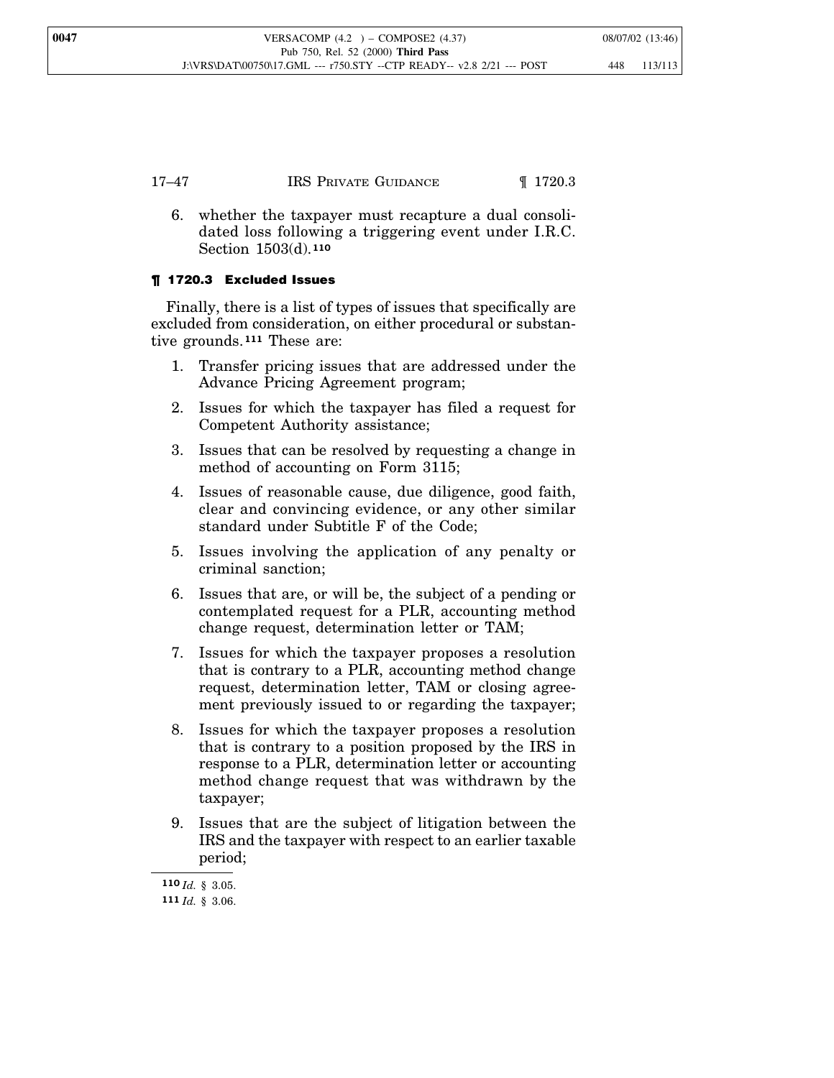6. whether the taxpayer must recapture a dual consolidated loss following a triggering event under I.R.C. Section 1503(d). **110**

## ¶ 1720.3 Excluded Issues

Finally, there is a list of types of issues that specifically are excluded from consideration, on either procedural or substantive grounds.**<sup>111</sup>** These are:

- 1. Transfer pricing issues that are addressed under the Advance Pricing Agreement program;
- 2. Issues for which the taxpayer has filed a request for Competent Authority assistance;
- 3. Issues that can be resolved by requesting a change in method of accounting on Form 3115;
- 4. Issues of reasonable cause, due diligence, good faith, clear and convincing evidence, or any other similar standard under Subtitle F of the Code;
- 5. Issues involving the application of any penalty or criminal sanction;
- 6. Issues that are, or will be, the subject of a pending or contemplated request for a PLR, accounting method change request, determination letter or TAM;
- 7. Issues for which the taxpayer proposes a resolution that is contrary to a PLR, accounting method change request, determination letter, TAM or closing agreement previously issued to or regarding the taxpayer;
- 8. Issues for which the taxpayer proposes a resolution that is contrary to a position proposed by the IRS in response to a PLR, determination letter or accounting method change request that was withdrawn by the taxpayer;
- 9. Issues that are the subject of litigation between the IRS and the taxpayer with respect to an earlier taxable period;

**<sup>110</sup>** *Id.* § 3.05. **111** *Id.* § 3.06.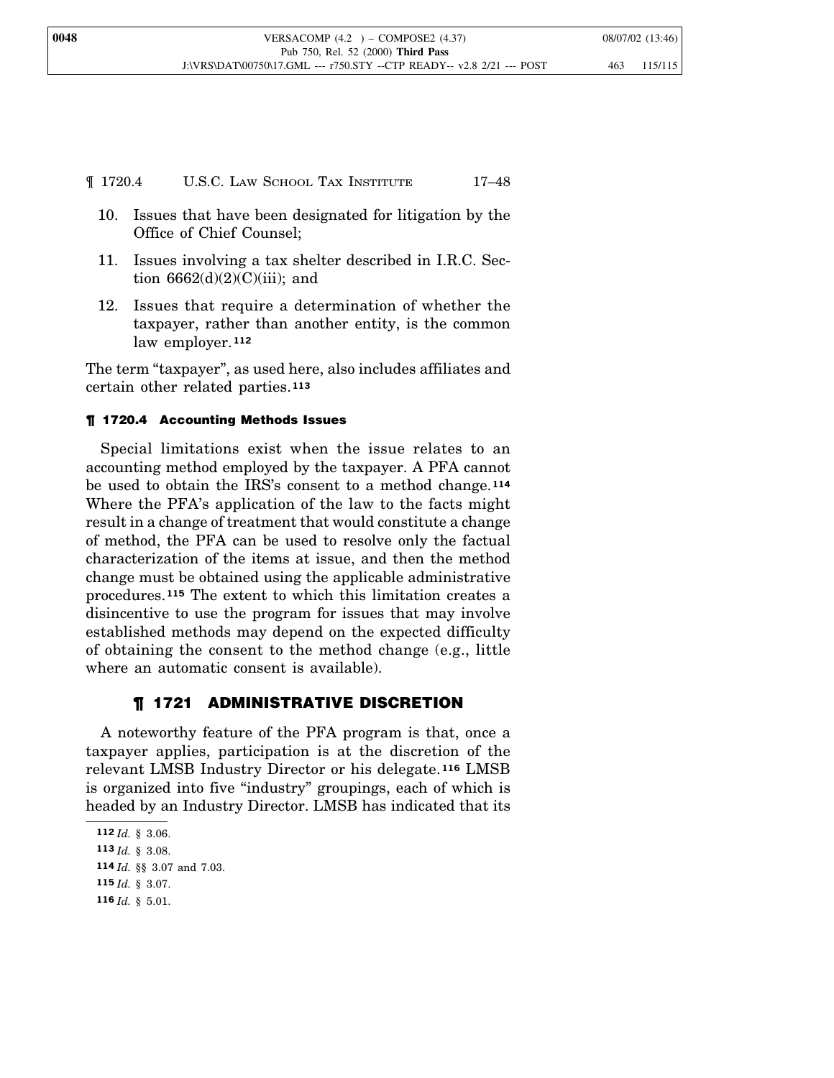## ¶ 1720.4 U.S.C. LAW SCHOOL TAX INSTITUTE 17–48

- 10. Issues that have been designated for litigation by the Office of Chief Counsel;
- 11. Issues involving a tax shelter described in I.R.C. Section  $6662(d)(2)(C)(iii)$ ; and
- 12. Issues that require a determination of whether the taxpayer, rather than another entity, is the common law employer.**<sup>112</sup>**

The term "taxpayer", as used here, also includes affiliates and certain other related parties.**<sup>113</sup>**

## ¶ 1720.4 Accounting Methods Issues

Special limitations exist when the issue relates to an accounting method employed by the taxpayer. A PFA cannot be used to obtain the IRS's consent to a method change.**<sup>114</sup>** Where the PFA's application of the law to the facts might result in a change of treatment that would constitute a change of method, the PFA can be used to resolve only the factual characterization of the items at issue, and then the method change must be obtained using the applicable administrative procedures.**<sup>115</sup>** The extent to which this limitation creates a disincentive to use the program for issues that may involve established methods may depend on the expected difficulty of obtaining the consent to the method change (e.g., little where an automatic consent is available).

## ¶ 1721 ADMINISTRATIVE DISCRETION

A noteworthy feature of the PFA program is that, once a taxpayer applies, participation is at the discretion of the relevant LMSB Industry Director or his delegate. **<sup>116</sup>** LMSB is organized into five "industry" groupings, each of which is headed by an Industry Director. LMSB has indicated that its

**<sup>112</sup>** *Id.* § 3.06.

**<sup>113</sup>** *Id.* § 3.08.

**<sup>114</sup>** *Id.* §§ 3.07 and 7.03.

**<sup>115</sup>** *Id.* § 3.07.

**<sup>116</sup>** *Id.* § 5.01.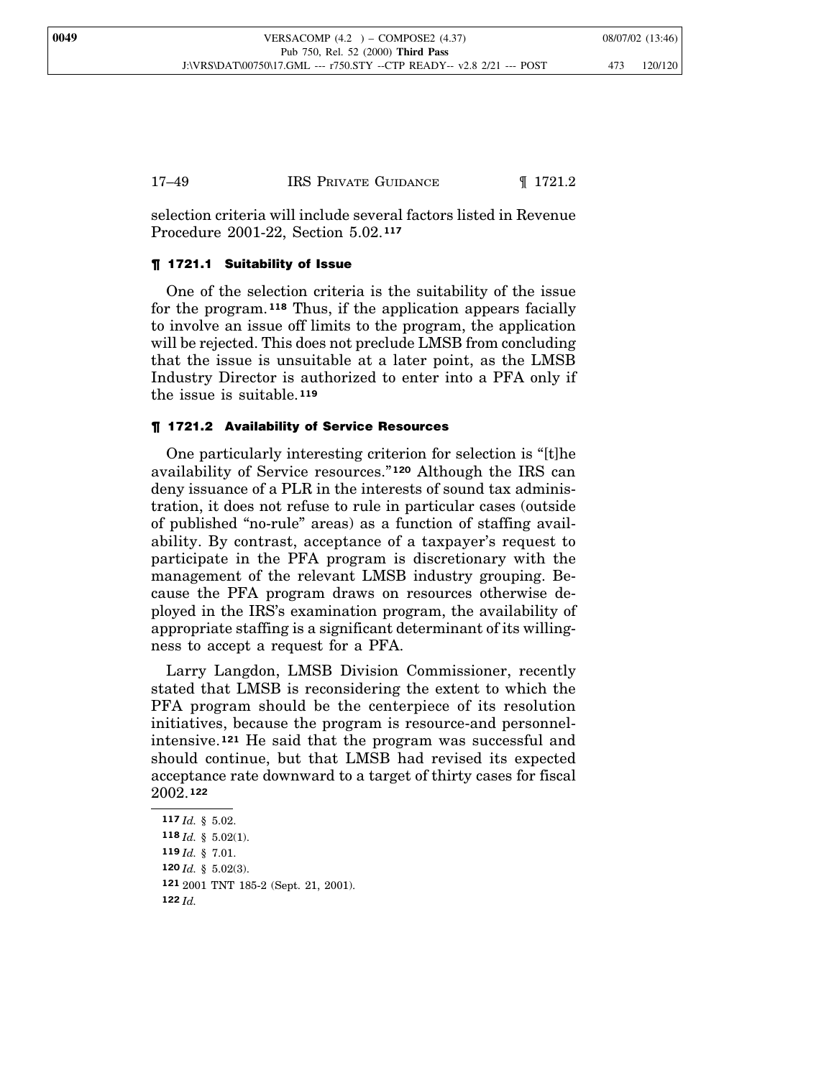| 17–49 | <b>IRS PRIVATE GUIDANCE</b> | $\P$ 1721.2 |
|-------|-----------------------------|-------------|
|-------|-----------------------------|-------------|

selection criteria will include several factors listed in Revenue Procedure 2001-22, Section 5.02. **117**

## ¶ 1721.1 Suitability of Issue

One of the selection criteria is the suitability of the issue for the program. **<sup>118</sup>** Thus, if the application appears facially to involve an issue off limits to the program, the application will be rejected. This does not preclude LMSB from concluding that the issue is unsuitable at a later point, as the LMSB Industry Director is authorized to enter into a PFA only if the issue is suitable.**<sup>119</sup>**

## ¶ 1721.2 Availability of Service Resources

One particularly interesting criterion for selection is "[t]he availability of Service resources." **<sup>120</sup>** Although the IRS can deny issuance of a PLR in the interests of sound tax administration, it does not refuse to rule in particular cases (outside of published "no-rule" areas) as a function of staffing availability. By contrast, acceptance of a taxpayer's request to participate in the PFA program is discretionary with the management of the relevant LMSB industry grouping. Because the PFA program draws on resources otherwise deployed in the IRS's examination program, the availability of appropriate staffing is a significant determinant of its willingness to accept a request for a PFA.

Larry Langdon, LMSB Division Commissioner, recently stated that LMSB is reconsidering the extent to which the PFA program should be the centerpiece of its resolution initiatives, because the program is resource-and personnelintensive.**<sup>121</sup>** He said that the program was successful and should continue, but that LMSB had revised its expected acceptance rate downward to a target of thirty cases for fiscal 2002.**<sup>122</sup>**

 *Id.* § 5.02. *Id.* § 5.02(1). *Id.* § 7.01. *Id.* § 5.02(3). 2001 TNT 185-2 (Sept. 21, 2001). **122** *Id.*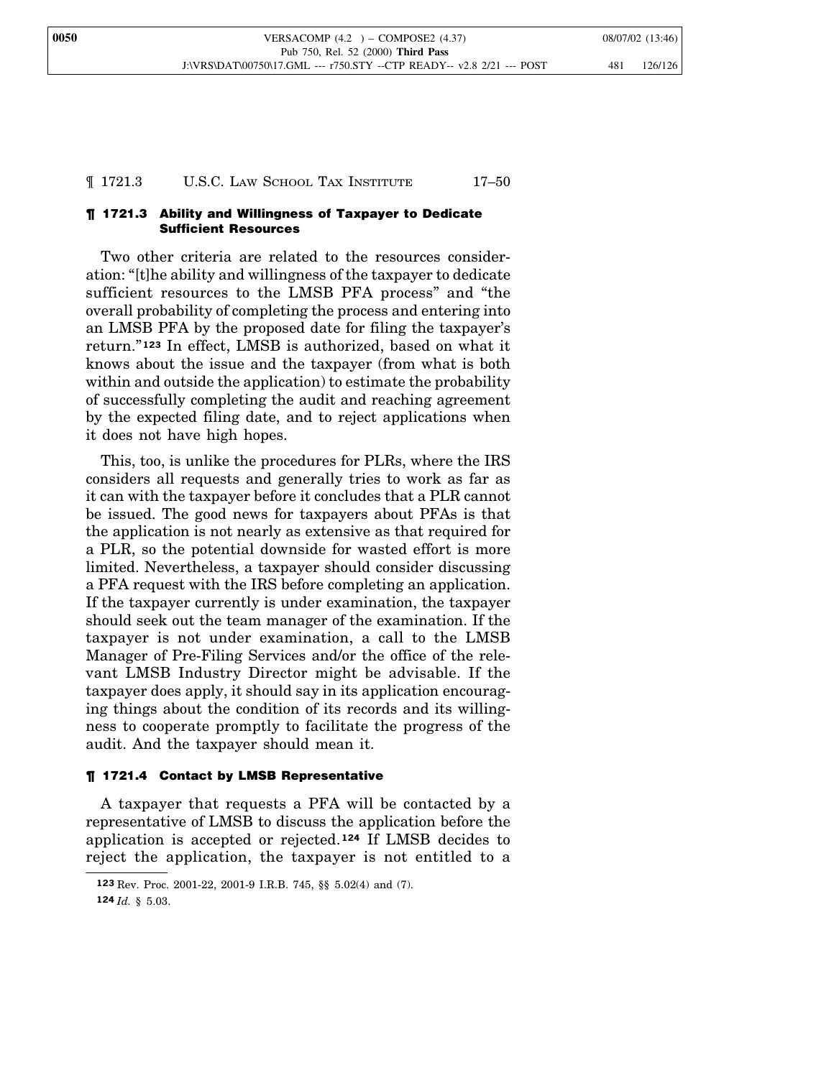#### ¶ 1721.3 U.S.C. LAW SCHOOL TAX INSTITUTE 17–50

#### ¶ 1721.3 Ability and Willingness of Taxpayer to Dedicate Sufficient Resources

Two other criteria are related to the resources consideration: "[t]he ability and willingness of the taxpayer to dedicate sufficient resources to the LMSB PFA process" and "the overall probability of completing the process and entering into an LMSB PFA by the proposed date for filing the taxpayer's return." **<sup>123</sup>** In effect, LMSB is authorized, based on what it knows about the issue and the taxpayer (from what is both within and outside the application) to estimate the probability of successfully completing the audit and reaching agreement by the expected filing date, and to reject applications when it does not have high hopes.

This, too, is unlike the procedures for PLRs, where the IRS considers all requests and generally tries to work as far as it can with the taxpayer before it concludes that a PLR cannot be issued. The good news for taxpayers about PFAs is that the application is not nearly as extensive as that required for a PLR, so the potential downside for wasted effort is more limited. Nevertheless, a taxpayer should consider discussing a PFA request with the IRS before completing an application. If the taxpayer currently is under examination, the taxpayer should seek out the team manager of the examination. If the taxpayer is not under examination, a call to the LMSB Manager of Pre-Filing Services and/or the office of the relevant LMSB Industry Director might be advisable. If the taxpayer does apply, it should say in its application encouraging things about the condition of its records and its willingness to cooperate promptly to facilitate the progress of the audit. And the taxpayer should mean it.

#### ¶ 1721.4 Contact by LMSB Representative

A taxpayer that requests a PFA will be contacted by a representative of LMSB to discuss the application before the application is accepted or rejected.**<sup>124</sup>** If LMSB decides to reject the application, the taxpayer is not entitled to a

**<sup>123</sup>** Rev. Proc. 2001-22, 2001-9 I.R.B. 745, §§ 5.02(4) and (7).

**<sup>124</sup>** *Id.* § 5.03.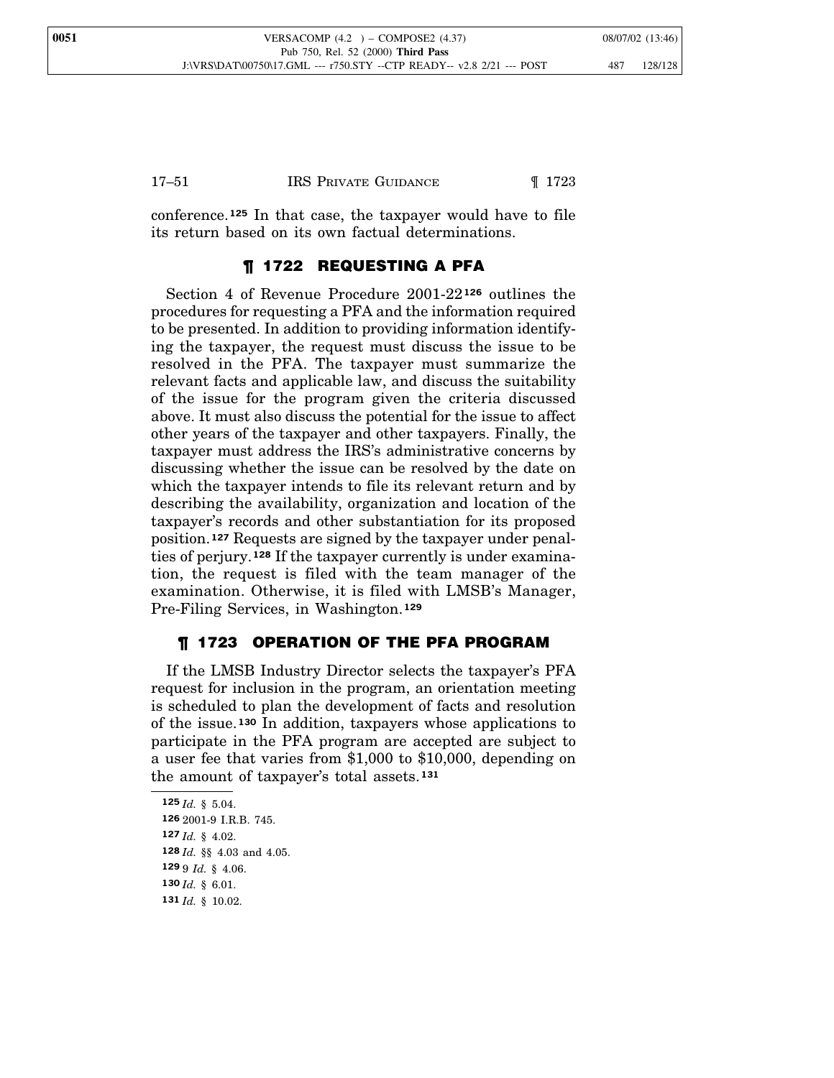conference.**<sup>125</sup>** In that case, the taxpayer would have to file its return based on its own factual determinations.

## ¶ 1722 REQUESTING A PFA

Section 4 of Revenue Procedure 2001-22**<sup>126</sup>** outlines the procedures for requesting a PFA and the information required to be presented. In addition to providing information identifying the taxpayer, the request must discuss the issue to be resolved in the PFA. The taxpayer must summarize the relevant facts and applicable law, and discuss the suitability of the issue for the program given the criteria discussed above. It must also discuss the potential for the issue to affect other years of the taxpayer and other taxpayers. Finally, the taxpayer must address the IRS's administrative concerns by discussing whether the issue can be resolved by the date on which the taxpayer intends to file its relevant return and by describing the availability, organization and location of the taxpayer's records and other substantiation for its proposed position.**<sup>127</sup>** Requests are signed by the taxpayer under penalties of perjury.**<sup>128</sup>** If the taxpayer currently is under examination, the request is filed with the team manager of the examination. Otherwise, it is filed with LMSB's Manager, Pre-Filing Services, in Washington.**<sup>129</sup>**

## ¶ 1723 OPERATION OF THE PFA PROGRAM

If the LMSB Industry Director selects the taxpayer's PFA request for inclusion in the program, an orientation meeting is scheduled to plan the development of facts and resolution of the issue. **<sup>130</sup>** In addition, taxpayers whose applications to participate in the PFA program are accepted are subject to a user fee that varies from \$1,000 to \$10,000, depending on the amount of taxpayer's total assets.**<sup>131</sup>**

 *Id.* § 5.04. 2001-9 I.R.B. 745. *Id.* § 4.02. *Id.* §§ 4.03 and 4.05. 9 *Id.* § 4.06. *Id.* § 6.01. *Id.* § 10.02.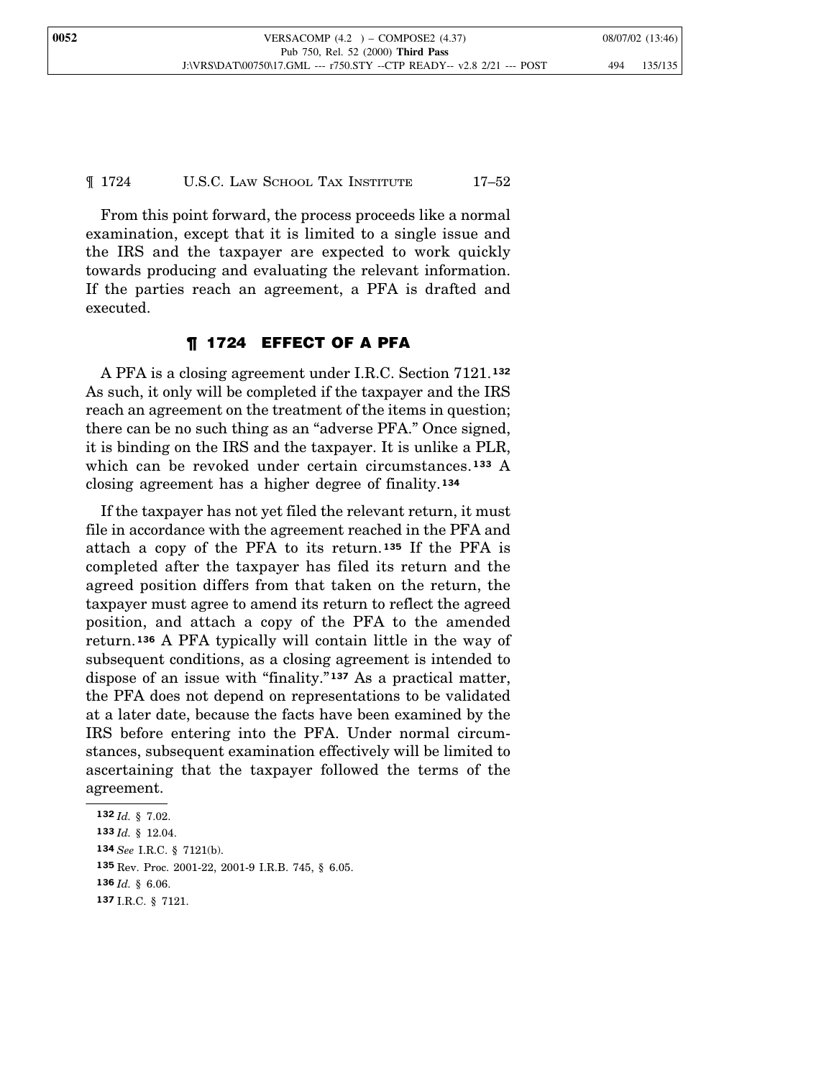¶ 1724 U.S.C. LAW SCHOOL TAX INSTITUTE 17–52

From this point forward, the process proceeds like a normal examination, except that it is limited to a single issue and the IRS and the taxpayer are expected to work quickly towards producing and evaluating the relevant information. If the parties reach an agreement, a PFA is drafted and executed.

## ¶ 1724 EFFECT OF A PFA

A PFA is a closing agreement under I.R.C. Section 7121. **132** As such, it only will be completed if the taxpayer and the IRS reach an agreement on the treatment of the items in question; there can be no such thing as an "adverse PFA." Once signed, it is binding on the IRS and the taxpayer. It is unlike a PLR, which can be revoked under certain circumstances.**<sup>133</sup>** A closing agreement has a higher degree of finality.**<sup>134</sup>**

If the taxpayer has not yet filed the relevant return, it must file in accordance with the agreement reached in the PFA and attach a copy of the PFA to its return. **<sup>135</sup>** If the PFA is completed after the taxpayer has filed its return and the agreed position differs from that taken on the return, the taxpayer must agree to amend its return to reflect the agreed position, and attach a copy of the PFA to the amended return.**<sup>136</sup>** A PFA typically will contain little in the way of subsequent conditions, as a closing agreement is intended to dispose of an issue with "finality." **<sup>137</sup>** As a practical matter, the PFA does not depend on representations to be validated at a later date, because the facts have been examined by the IRS before entering into the PFA. Under normal circumstances, subsequent examination effectively will be limited to ascertaining that the taxpayer followed the terms of the agreement.

 *Id.* § 7.02. *Id.* § 12.04. *See* I.R.C. § 7121(b). Rev. Proc. 2001-22, 2001-9 I.R.B. 745, § 6.05. *Id.* § 6.06. I.R.C. § 7121.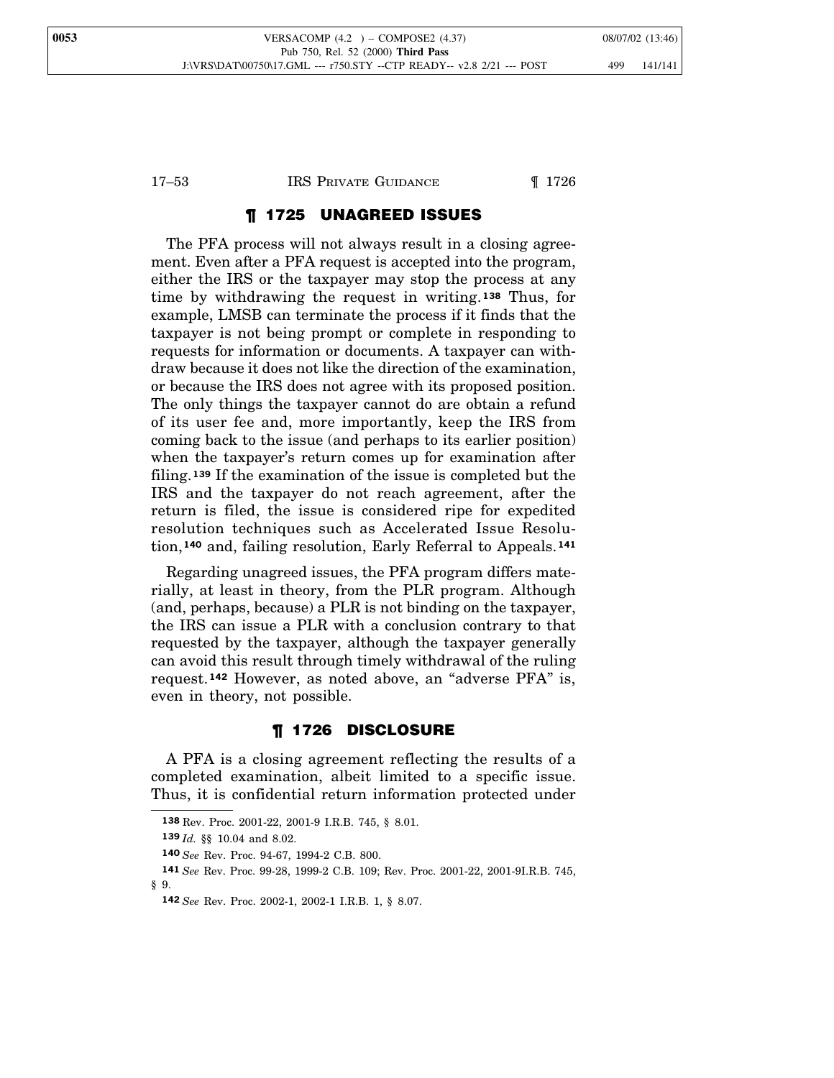## 17–53 IRS PRIVATE GUIDANCE 1726

## ¶ 1725 UNAGREED ISSUES

The PFA process will not always result in a closing agreement. Even after a PFA request is accepted into the program, either the IRS or the taxpayer may stop the process at any time by withdrawing the request in writing. **<sup>138</sup>** Thus, for example, LMSB can terminate the process if it finds that the taxpayer is not being prompt or complete in responding to requests for information or documents. A taxpayer can withdraw because it does not like the direction of the examination, or because the IRS does not agree with its proposed position. The only things the taxpayer cannot do are obtain a refund of its user fee and, more importantly, keep the IRS from coming back to the issue (and perhaps to its earlier position) when the taxpayer's return comes up for examination after filing.**<sup>139</sup>** If the examination of the issue is completed but the IRS and the taxpayer do not reach agreement, after the return is filed, the issue is considered ripe for expedited resolution techniques such as Accelerated Issue Resolution,**<sup>140</sup>** and, failing resolution, Early Referral to Appeals. **<sup>141</sup>**

Regarding unagreed issues, the PFA program differs materially, at least in theory, from the PLR program. Although (and, perhaps, because) a PLR is not binding on the taxpayer, the IRS can issue a PLR with a conclusion contrary to that requested by the taxpayer, although the taxpayer generally can avoid this result through timely withdrawal of the ruling request.**<sup>142</sup>** However, as noted above, an "adverse PFA" is, even in theory, not possible.

## ¶ 1726 DISCLOSURE

A PFA is a closing agreement reflecting the results of a completed examination, albeit limited to a specific issue. Thus, it is confidential return information protected under

**<sup>138</sup>** Rev. Proc. 2001-22, 2001-9 I.R.B. 745, § 8.01.

**<sup>139</sup>** *Id.* §§ 10.04 and 8.02.

**<sup>140</sup>** *See* Rev. Proc. 94-67, 1994-2 C.B. 800.

**<sup>141</sup>** *See* Rev. Proc. 99-28, 1999-2 C.B. 109; Rev. Proc. 2001-22, 2001-9I.R.B. 745, § 9.

**<sup>142</sup>** *See* Rev. Proc. 2002-1, 2002-1 I.R.B. 1, § 8.07.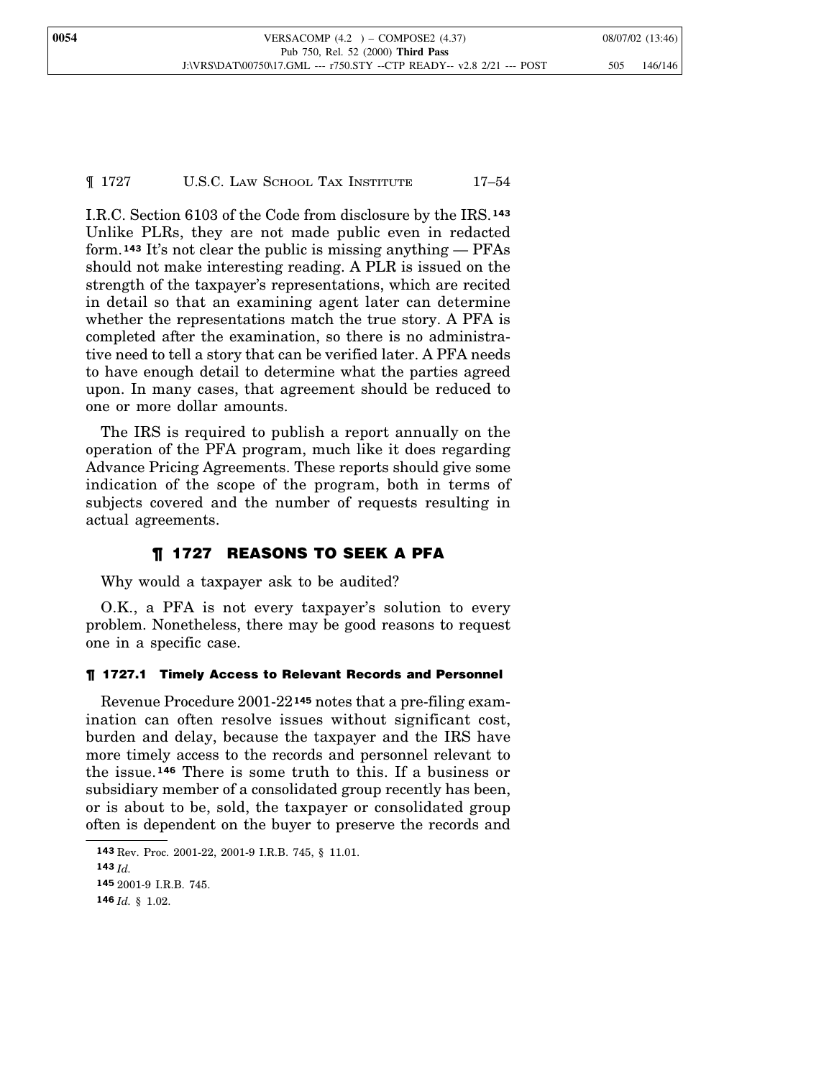¶ 1727 U.S.C. LAW SCHOOL TAX INSTITUTE 17–54

I.R.C. Section 6103 of the Code from disclosure by the IRS.**<sup>143</sup>** Unlike PLRs, they are not made public even in redacted form.**<sup>143</sup>** It's not clear the public is missing anything — PFAs should not make interesting reading. A PLR is issued on the strength of the taxpayer's representations, which are recited in detail so that an examining agent later can determine whether the representations match the true story. A PFA is completed after the examination, so there is no administrative need to tell a story that can be verified later. A PFA needs to have enough detail to determine what the parties agreed upon. In many cases, that agreement should be reduced to one or more dollar amounts.

The IRS is required to publish a report annually on the operation of the PFA program, much like it does regarding Advance Pricing Agreements. These reports should give some indication of the scope of the program, both in terms of subjects covered and the number of requests resulting in actual agreements.

## ¶ 1727 REASONS TO SEEK A PFA

Why would a taxpayer ask to be audited?

O.K., a PFA is not every taxpayer's solution to every problem. Nonetheless, there may be good reasons to request one in a specific case.

## ¶ 1727.1 Timely Access to Relevant Records and Personnel

Revenue Procedure 2001-22**<sup>145</sup>** notes that a pre-filing examination can often resolve issues without significant cost, burden and delay, because the taxpayer and the IRS have more timely access to the records and personnel relevant to the issue.**<sup>146</sup>** There is some truth to this. If a business or subsidiary member of a consolidated group recently has been, or is about to be, sold, the taxpayer or consolidated group often is dependent on the buyer to preserve the records and

**<sup>143</sup>** Rev. Proc. 2001-22, 2001-9 I.R.B. 745, § 11.01. **143** *Id.* **145** 2001-9 I.R.B. 745. **146** *Id.* § 1.02.